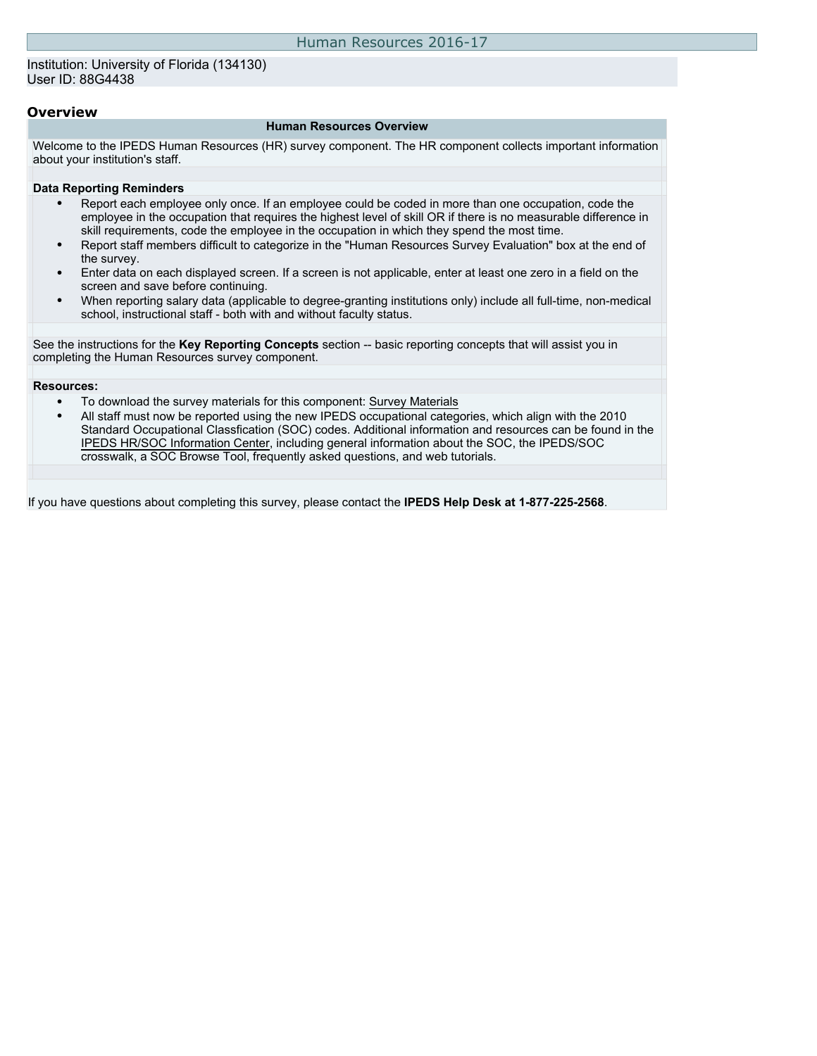#### Institution: University of Florida (134130) User ID: 88G4438

#### **Overview**

#### **Human Resources Overview**

Welcome to the IPEDS Human Resources (HR) survey component. The HR component collects important information about your institution's staff.

#### **Data Reporting Reminders**

- Report each employee only once. If an employee could be coded in more than one occupation, code the employee in the occupation that requires the highest level of skill OR if there is no measurable difference in skill requirements, code the employee in the occupation in which they spend the most time.
- Report staff members difficult to categorize in the "Human Resources Survey Evaluation" box at the end of the survey.
- Enter data on each displayed screen. If a screen is not applicable, enter at least one zero in a field on the screen and save before continuing.
- When reporting salary data (applicable to degree-granting institutions only) include all full-time, non-medical school, instructional staff - both with and without faculty status.

See the instructions for the **Key Reporting Concepts** section -- basic reporting concepts that will assist you in completing the Human Resources survey component.

#### **Resources:**

- To download the survey materials for this component: [Survey Materials](https://surveys.nces.ed.gov/ipeds/VisIndex.aspx)
- All staff must now be reported using the new IPEDS occupational categories, which align with the 2010 Standard Occupational Classfication (SOC) codes. Additional information and resources can be found in the [IPEDS HR/SOC Information Center](http://nces.ed.gov/ipeds/Section/resources_soc), including general information about the SOC, the IPEDS/SOC crosswalk, a SOC Browse Tool, frequently asked questions, and web tutorials.

If you have questions about completing this survey, please contact the **IPEDS Help Desk at 1-877-225-2568**.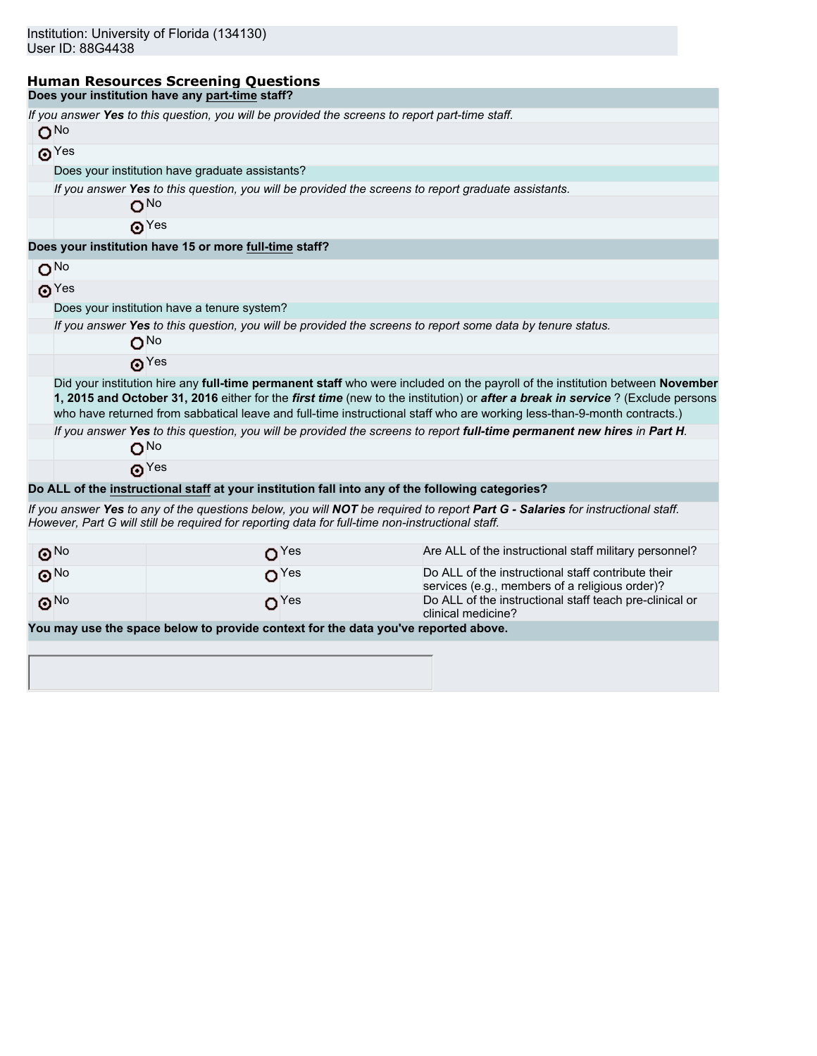#### **Human Resources Screening Questions Does your institution have any part-time staff?**

| If you answer Yes to this question, you will be provided the screens to report part-time staff.<br>O <sub>No</sub><br>$\odot$ Yes<br>Does your institution have graduate assistants?<br>If you answer Yes to this question, you will be provided the screens to report graduate assistants.<br>O <sub>No</sub><br>$\odot$ Yes<br>Does your institution have 15 or more full-time staff?<br>O <sub>NO</sub> |  |  |  |  |  |  |  |  |  |
|------------------------------------------------------------------------------------------------------------------------------------------------------------------------------------------------------------------------------------------------------------------------------------------------------------------------------------------------------------------------------------------------------------|--|--|--|--|--|--|--|--|--|
|                                                                                                                                                                                                                                                                                                                                                                                                            |  |  |  |  |  |  |  |  |  |
|                                                                                                                                                                                                                                                                                                                                                                                                            |  |  |  |  |  |  |  |  |  |
|                                                                                                                                                                                                                                                                                                                                                                                                            |  |  |  |  |  |  |  |  |  |
|                                                                                                                                                                                                                                                                                                                                                                                                            |  |  |  |  |  |  |  |  |  |
|                                                                                                                                                                                                                                                                                                                                                                                                            |  |  |  |  |  |  |  |  |  |
|                                                                                                                                                                                                                                                                                                                                                                                                            |  |  |  |  |  |  |  |  |  |
|                                                                                                                                                                                                                                                                                                                                                                                                            |  |  |  |  |  |  |  |  |  |
|                                                                                                                                                                                                                                                                                                                                                                                                            |  |  |  |  |  |  |  |  |  |
|                                                                                                                                                                                                                                                                                                                                                                                                            |  |  |  |  |  |  |  |  |  |
| $\odot$ Yes                                                                                                                                                                                                                                                                                                                                                                                                |  |  |  |  |  |  |  |  |  |
| Does your institution have a tenure system?                                                                                                                                                                                                                                                                                                                                                                |  |  |  |  |  |  |  |  |  |
| If you answer Yes to this question, you will be provided the screens to report some data by tenure status.                                                                                                                                                                                                                                                                                                 |  |  |  |  |  |  |  |  |  |
| $O^{No}$                                                                                                                                                                                                                                                                                                                                                                                                   |  |  |  |  |  |  |  |  |  |
| $\odot$ Yes                                                                                                                                                                                                                                                                                                                                                                                                |  |  |  |  |  |  |  |  |  |
| Did your institution hire any full-time permanent staff who were included on the payroll of the institution between November<br>1, 2015 and October 31, 2016 either for the first time (new to the institution) or after a break in service? (Exclude persons<br>who have returned from sabbatical leave and full-time instructional staff who are working less-than-9-month contracts.)                   |  |  |  |  |  |  |  |  |  |
| If you answer Yes to this question, you will be provided the screens to report full-time permanent new hires in Part H.                                                                                                                                                                                                                                                                                    |  |  |  |  |  |  |  |  |  |
| O <sub>No</sub>                                                                                                                                                                                                                                                                                                                                                                                            |  |  |  |  |  |  |  |  |  |
| $\odot$ Yes                                                                                                                                                                                                                                                                                                                                                                                                |  |  |  |  |  |  |  |  |  |
| Do ALL of the instructional staff at your institution fall into any of the following categories?                                                                                                                                                                                                                                                                                                           |  |  |  |  |  |  |  |  |  |
| If you answer Yes to any of the questions below, you will NOT be required to report Part G - Salaries for instructional staff.<br>However, Part G will still be required for reporting data for full-time non-instructional staff.                                                                                                                                                                         |  |  |  |  |  |  |  |  |  |
| Are ALL of the instructional staff military personnel?<br>$\odot^{\rm No}$<br>O <sup>Yes</sup>                                                                                                                                                                                                                                                                                                             |  |  |  |  |  |  |  |  |  |
| $\odot$ No<br>Do ALL of the instructional staff contribute their<br>O <sup>Yes</sup><br>services (e.g., members of a religious order)?                                                                                                                                                                                                                                                                     |  |  |  |  |  |  |  |  |  |
| Do ALL of the instructional staff teach pre-clinical or<br>$\odot$ <sup>No</sup><br>$\Omega$ <sup>Yes</sup><br>clinical medicine?                                                                                                                                                                                                                                                                          |  |  |  |  |  |  |  |  |  |
| You may use the space below to provide context for the data you've reported above.                                                                                                                                                                                                                                                                                                                         |  |  |  |  |  |  |  |  |  |
|                                                                                                                                                                                                                                                                                                                                                                                                            |  |  |  |  |  |  |  |  |  |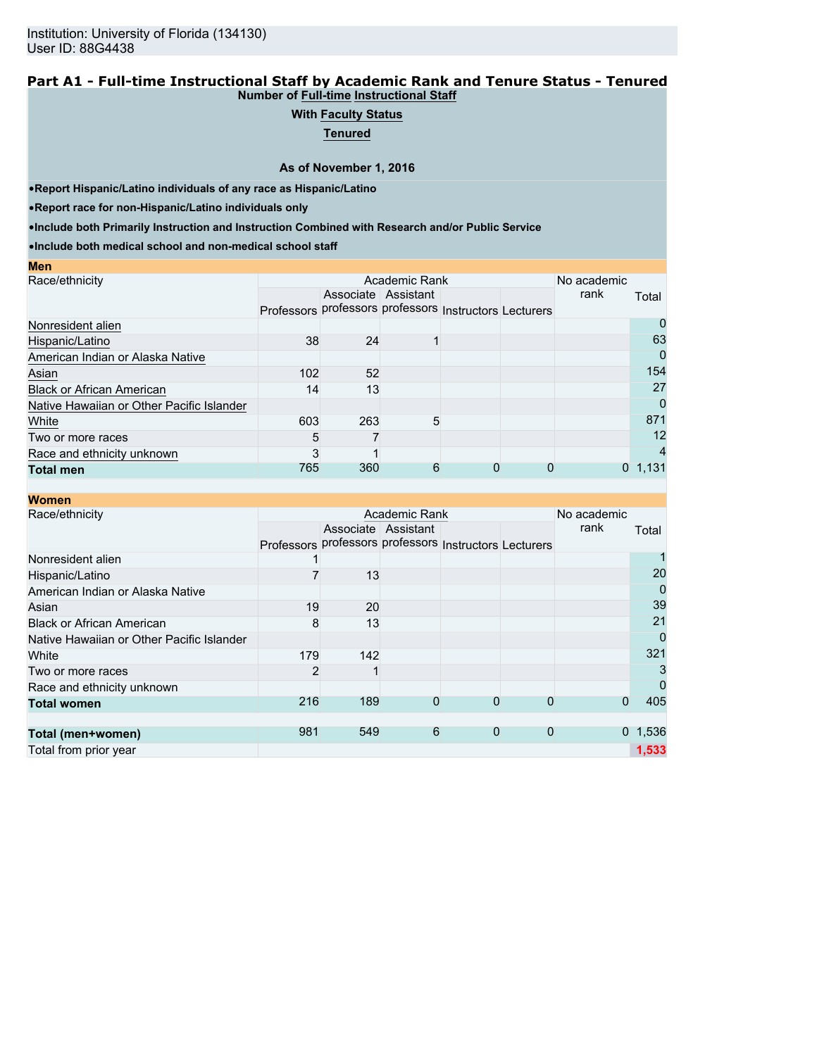#### **Part A1 - Full-time Instructional Staff by Academic Rank and Tenure Status - Tenured Number of Full-time Instructional Staff**

## **With Faculty Status**

**Tenured**

**As of November 1, 2016**

•**Report Hispanic/Latino individuals of any race as Hispanic/Latino**

•**Report race for non-Hispanic/Latino individuals only**

**Men**

•**Include both Primarily Instruction and Instruction Combined with Research and/or Public Service**

|     |                  |                                                     |                         | No academic |                                                                        |
|-----|------------------|-----------------------------------------------------|-------------------------|-------------|------------------------------------------------------------------------|
|     |                  |                                                     |                         | rank        | Total                                                                  |
|     |                  |                                                     |                         |             |                                                                        |
|     |                  |                                                     |                         |             | O                                                                      |
|     |                  |                                                     |                         |             | 63                                                                     |
|     |                  |                                                     |                         |             | 0                                                                      |
|     |                  |                                                     |                         |             | 154                                                                    |
| 14  |                  |                                                     |                         |             | 27                                                                     |
|     |                  |                                                     |                         |             | 0                                                                      |
|     |                  |                                                     |                         |             | 871                                                                    |
| 5   |                  |                                                     |                         |             | 12                                                                     |
|     |                  |                                                     |                         |             | 4                                                                      |
| 765 |                  | 0                                                   |                         |             | 1,131                                                                  |
|     | 38<br>102<br>603 | Associate Assistant<br>24<br>52<br>13<br>263<br>360 | Academic Rank<br>5<br>6 |             | Professors professors professors Instructors Lecturers<br>$\mathbf{0}$ |

| <b>Women</b>                              |                |                     |               |                                                        |              |             |                 |
|-------------------------------------------|----------------|---------------------|---------------|--------------------------------------------------------|--------------|-------------|-----------------|
| Race/ethnicity                            |                |                     | Academic Rank |                                                        |              | No academic |                 |
|                                           |                | Associate Assistant |               |                                                        |              | rank        | Total           |
|                                           |                |                     |               | Professors professors professors Instructors Lecturers |              |             |                 |
| Nonresident alien                         |                |                     |               |                                                        |              |             |                 |
| Hispanic/Latino                           |                | 13                  |               |                                                        |              |             | 20              |
| American Indian or Alaska Native          |                |                     |               |                                                        |              |             | 0               |
| Asian                                     | 19             | 20                  |               |                                                        |              |             | 39              |
| <b>Black or African American</b>          | 8              | 13                  |               |                                                        |              |             | 21              |
| Native Hawaiian or Other Pacific Islander |                |                     |               |                                                        |              |             | 0               |
| White                                     | 179            | 142                 |               |                                                        |              |             | 321             |
| Two or more races                         | $\overline{2}$ |                     |               |                                                        |              |             | 3               |
| Race and ethnicity unknown                |                |                     |               |                                                        |              |             | 0               |
| <b>Total women</b>                        | 216            | 189                 | $\Omega$      | 0                                                      | $\Omega$     | 0           | 405             |
|                                           |                |                     |               |                                                        |              |             |                 |
| Total (men+women)                         | 981            | 549                 | 6             | $\mathbf{0}$                                           | $\mathbf{0}$ |             | $0 \quad 1,536$ |
| Total from prior year                     |                |                     |               |                                                        |              |             | 1,533           |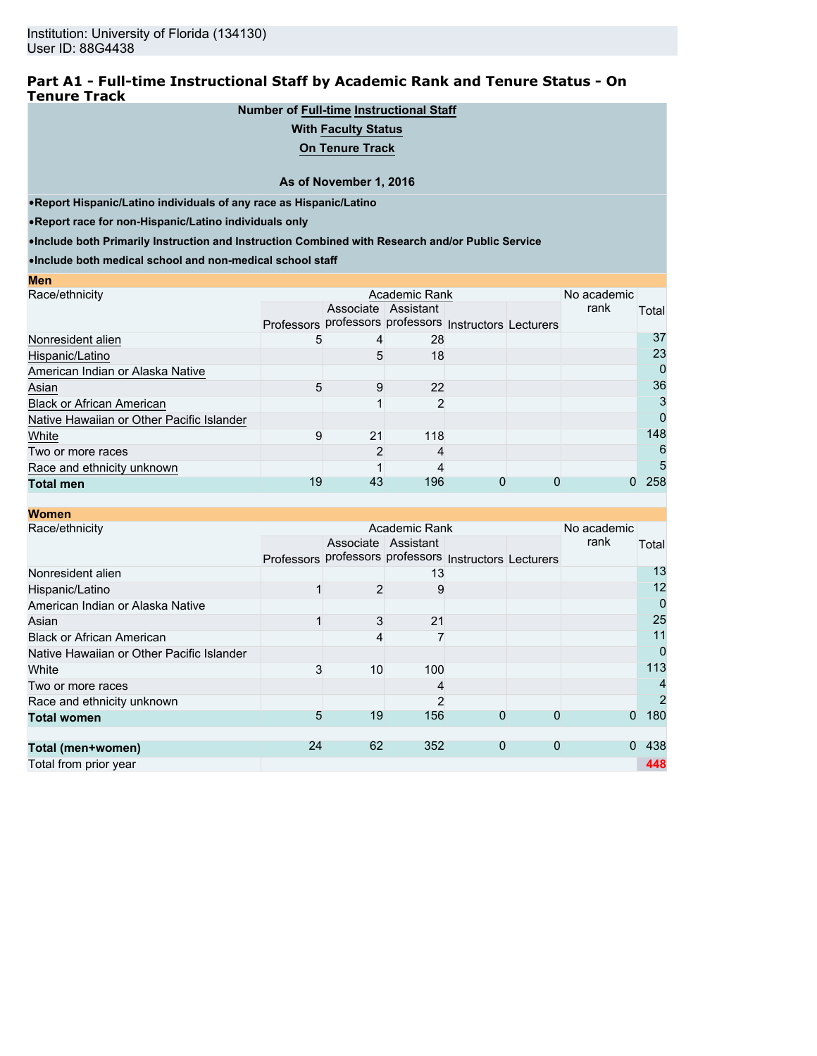### **Part A1 - Full-time Instructional Staff by Academic Rank and Tenure Status - On Tenure Track**

## **Number of Full-time Instructional Staff**

#### **With Faculty Status**

**On Tenure Track**

#### **As of November 1, 2016**

•**Report Hispanic/Latino individuals of any race as Hispanic/Latino**

•**Report race for non-Hispanic/Latino individuals only**

•**Include both Primarily Instruction and Instruction Combined with Research and/or Public Service**

| <b>Men</b>                                |                                                        |                     |                |  |             |       |
|-------------------------------------------|--------------------------------------------------------|---------------------|----------------|--|-------------|-------|
| Race/ethnicity                            |                                                        |                     | Academic Rank  |  | No academic |       |
|                                           |                                                        | Associate Assistant |                |  | rank        | Total |
|                                           | Professors professors professors Instructors Lecturers |                     |                |  |             |       |
| Nonresident alien                         | 5                                                      |                     | 28             |  |             | 37    |
| Hispanic/Latino                           |                                                        | 5                   | 18             |  |             | 23    |
| American Indian or Alaska Native          |                                                        |                     |                |  |             | 0     |
| Asian                                     | 5                                                      | 9                   | 22             |  |             | 36    |
| <b>Black or African American</b>          |                                                        |                     | $\overline{2}$ |  |             | 3     |
| Native Hawaiian or Other Pacific Islander |                                                        |                     |                |  |             | 0     |
| White                                     | 9                                                      | 21                  | 118            |  |             | 148   |
| Two or more races                         |                                                        |                     | 4              |  |             | 6     |
| Race and ethnicity unknown                |                                                        |                     |                |  |             | 5     |
| <b>Total men</b>                          | 19                                                     | 43                  | 196            |  |             | 258   |

| <b>Women</b>                              |            |                |                     |                                             |              |             |                |
|-------------------------------------------|------------|----------------|---------------------|---------------------------------------------|--------------|-------------|----------------|
| Race/ethnicity                            |            |                | Academic Rank       |                                             |              | No academic |                |
|                                           |            |                | Associate Assistant |                                             |              | rank        | Total          |
|                                           | Professors |                |                     | professors professors Instructors Lecturers |              |             |                |
| Nonresident alien                         |            |                | 13                  |                                             |              |             | 13             |
| Hispanic/Latino                           |            | $\overline{2}$ | 9                   |                                             |              |             | 12             |
| American Indian or Alaska Native          |            |                |                     |                                             |              |             | 0              |
| Asian                                     |            | 3              | 21                  |                                             |              |             | 25             |
| <b>Black or African American</b>          |            | 4              |                     |                                             |              |             | 11             |
| Native Hawaiian or Other Pacific Islander |            |                |                     |                                             |              |             | 0              |
| White                                     | 3          | 10             | 100                 |                                             |              |             | 113            |
| Two or more races                         |            |                |                     |                                             |              |             | $\overline{4}$ |
| Race and ethnicity unknown                |            |                | $\overline{2}$      |                                             |              |             | $\overline{2}$ |
| <b>Total women</b>                        | 5          | 19             | 156                 | 0                                           | 0            | $\Omega$    | 180            |
|                                           |            |                |                     |                                             |              |             |                |
| Total (men+women)                         | 24         | 62             | 352                 | $\mathbf{0}$                                | $\mathbf{0}$ | $\Omega$    | 438            |
| Total from prior year                     |            |                |                     |                                             |              |             | 448            |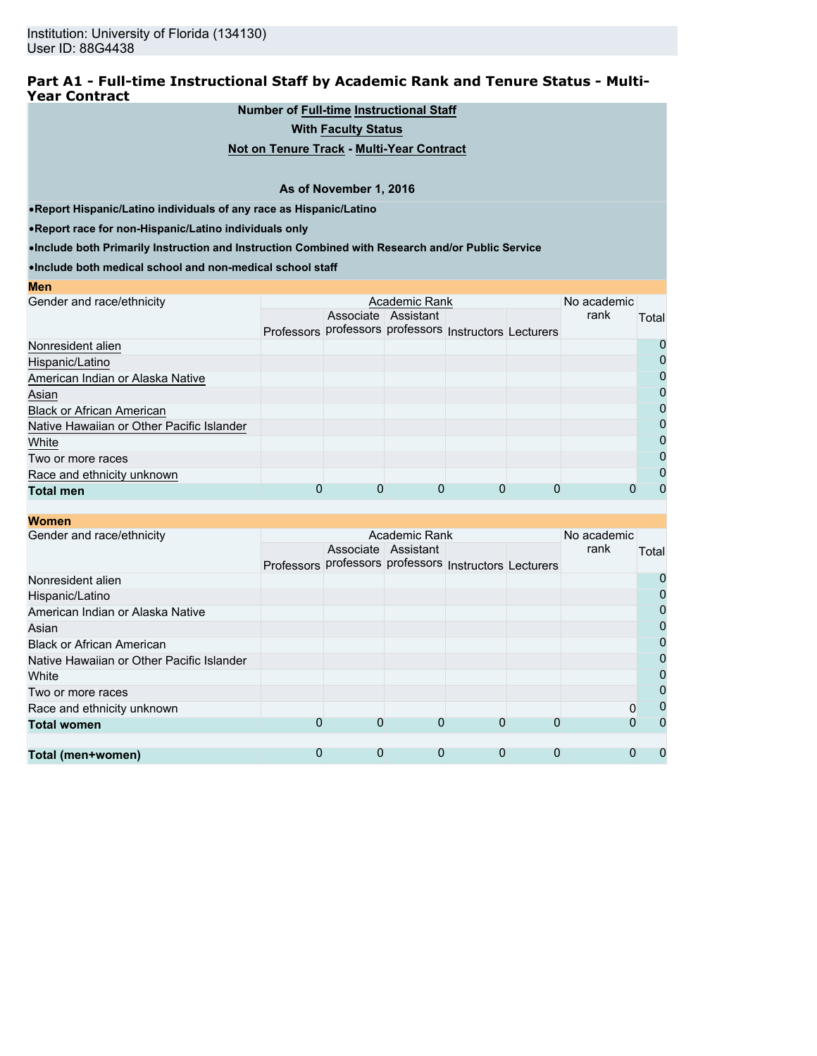### **Part A1 - Full-time Instructional Staff by Academic Rank and Tenure Status - Multi-Year Contract**

## **Number of Full-time Instructional Staff**

**With Faculty Status**

#### **Not on Tenure Track - Multi-Year Contract**

#### **As of November 1, 2016**

•**Report Hispanic/Latino individuals of any race as Hispanic/Latino**

•**Report race for non-Hispanic/Latino individuals only**

•**Include both Primarily Instruction and Instruction Combined with Research and/or Public Service**

•**Include both medical school and non-medical school staff**

| MGH                                       |                                                        |                     |  |                     |       |
|-------------------------------------------|--------------------------------------------------------|---------------------|--|---------------------|-------|
| Gender and race/ethnicity                 |                                                        | Academic Rank       |  | No academic<br>rank |       |
|                                           |                                                        | Associate Assistant |  |                     | Total |
|                                           | Professors professors professors Instructors Lecturers |                     |  |                     |       |
| Nonresident alien                         |                                                        |                     |  |                     | O     |
| Hispanic/Latino                           |                                                        |                     |  |                     | 0     |
| American Indian or Alaska Native          |                                                        |                     |  |                     | 0     |
| Asian                                     |                                                        |                     |  |                     | 0     |
| <b>Black or African American</b>          |                                                        |                     |  |                     | 0     |
| Native Hawaiian or Other Pacific Islander |                                                        |                     |  |                     | 0     |
| White                                     |                                                        |                     |  |                     | 0     |
| Two or more races                         |                                                        |                     |  |                     | 0     |
| Race and ethnicity unknown                |                                                        |                     |  |                     | 0     |
| <b>Total men</b>                          |                                                        |                     |  |                     | 0     |
|                                           |                                                        |                     |  |                     |       |

#### **Women**

**Men**

| ,,,,,,,,,                                 |                                                        |   |                     |   |   |             |                |
|-------------------------------------------|--------------------------------------------------------|---|---------------------|---|---|-------------|----------------|
| Gender and race/ethnicity                 |                                                        |   | Academic Rank       |   |   | No academic |                |
|                                           |                                                        |   | Associate Assistant |   |   | rank        | Total          |
|                                           | Professors professors professors Instructors Lecturers |   |                     |   |   |             |                |
| Nonresident alien                         |                                                        |   |                     |   |   |             | 0              |
| Hispanic/Latino                           |                                                        |   |                     |   |   |             | $\mathbf 0$    |
| American Indian or Alaska Native          |                                                        |   |                     |   |   |             | $\overline{0}$ |
| Asian                                     |                                                        |   |                     |   |   |             | $\mathbf 0$    |
| <b>Black or African American</b>          |                                                        |   |                     |   |   |             | $\overline{0}$ |
| Native Hawaiian or Other Pacific Islander |                                                        |   |                     |   |   |             | $\overline{0}$ |
| White                                     |                                                        |   |                     |   |   |             | $\mathbf 0$    |
| Two or more races                         |                                                        |   |                     |   |   |             | $\mathbf 0$    |
| Race and ethnicity unknown                |                                                        |   |                     |   |   |             | 0              |
| <b>Total women</b>                        | 0                                                      | 0 | 0                   | 0 | 0 |             | $\Omega$       |
|                                           |                                                        |   |                     |   |   |             |                |
| Total (men+women)                         | 0                                                      | 0 | 0                   | 0 | 0 |             |                |
|                                           |                                                        |   |                     |   |   |             |                |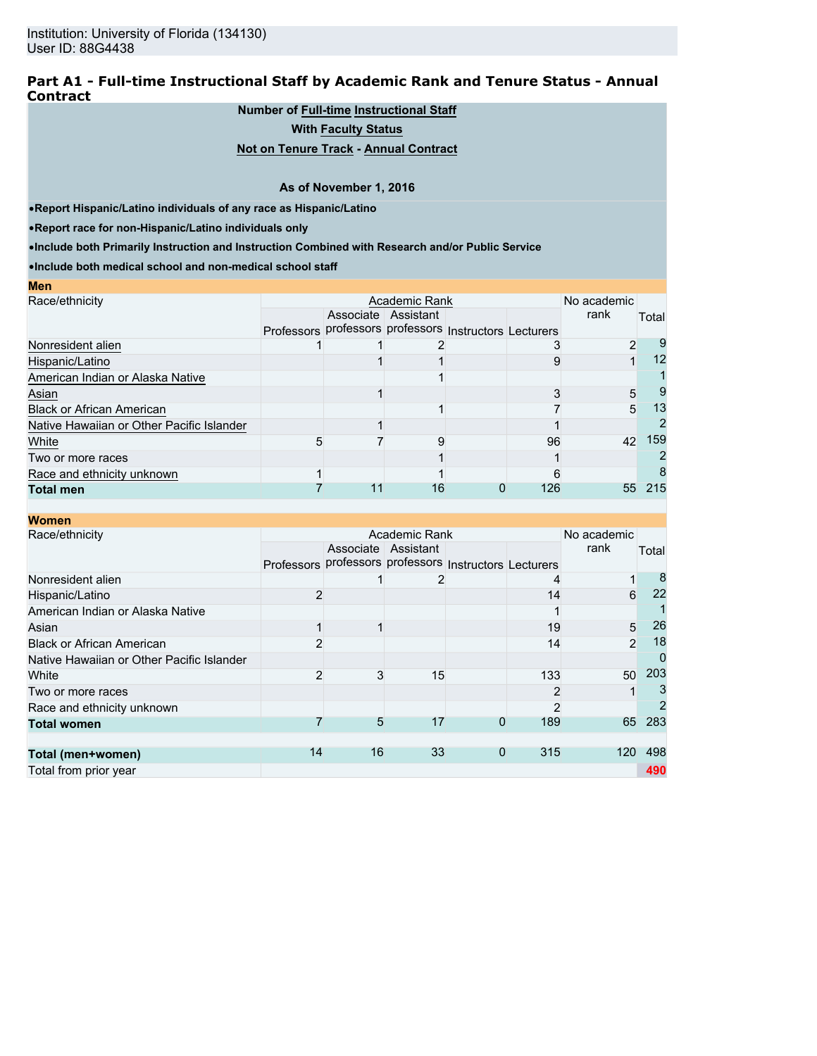### **Part A1 - Full-time Instructional Staff by Academic Rank and Tenure Status - Annual Contract**

## **Number of Full-time Instructional Staff**

**With Faculty Status**

### **Not on Tenure Track - Annual Contract**

#### **As of November 1, 2016**

•**Report Hispanic/Latino individuals of any race as Hispanic/Latino**

•**Report race for non-Hispanic/Latino individuals only**

**Men**

•**Include both Primarily Instruction and Instruction Combined with Research and/or Public Service**

| MEIL                                      |  |                                                        |     |             |       |
|-------------------------------------------|--|--------------------------------------------------------|-----|-------------|-------|
| Race/ethnicity                            |  | Academic Rank                                          |     | No academic |       |
|                                           |  | Associate Assistant                                    |     | rank        | Total |
|                                           |  | Professors professors professors Instructors Lecturers |     |             |       |
| Nonresident alien                         |  |                                                        |     |             | 9     |
| Hispanic/Latino                           |  |                                                        |     |             | 12    |
| American Indian or Alaska Native          |  |                                                        |     |             |       |
| Asian                                     |  |                                                        |     | 5           | 9     |
| <b>Black or African American</b>          |  |                                                        |     | 5           | 13    |
| Native Hawaiian or Other Pacific Islander |  |                                                        |     |             |       |
| White                                     |  |                                                        | 96  | 42          | 159   |
| Two or more races                         |  |                                                        |     |             |       |
| Race and ethnicity unknown                |  |                                                        |     |             |       |
| <b>Total men</b>                          |  | 16                                                     | 126 | 55          | 215   |

| <b>Women</b>                              |                   |    |                                             |             |     |                |       |
|-------------------------------------------|-------------------|----|---------------------------------------------|-------------|-----|----------------|-------|
| Race/ethnicity                            |                   |    | Academic Rank                               |             |     | No academic    |       |
|                                           |                   |    | Associate Assistant                         |             |     | rank           | Total |
|                                           | <b>Professors</b> |    | professors professors Instructors Lecturers |             |     |                |       |
| Nonresident alien                         |                   |    |                                             |             |     | 1              | 8     |
| Hispanic/Latino                           | 2                 |    |                                             |             | 14  | 6              | 22    |
| American Indian or Alaska Native          |                   |    |                                             |             |     |                |       |
| Asian                                     |                   |    |                                             |             | 19  | 5              | 26    |
| <b>Black or African American</b>          | $\overline{2}$    |    |                                             |             | 14  | $\overline{2}$ | 18    |
| Native Hawaiian or Other Pacific Islander |                   |    |                                             |             |     |                | 0     |
| White                                     | 2                 | 3  | 15                                          |             | 133 | 50             | 203   |
| Two or more races                         |                   |    |                                             |             |     |                |       |
| Race and ethnicity unknown                |                   |    |                                             |             |     |                | 2     |
| <b>Total women</b>                        |                   | 5  | 17                                          | 0           | 189 | 65             | 283   |
|                                           |                   |    |                                             |             |     |                |       |
| Total (men+women)                         | 14                | 16 | 33                                          | $\mathbf 0$ | 315 | 120            | 498   |
| Total from prior year                     |                   |    |                                             |             |     |                | 490   |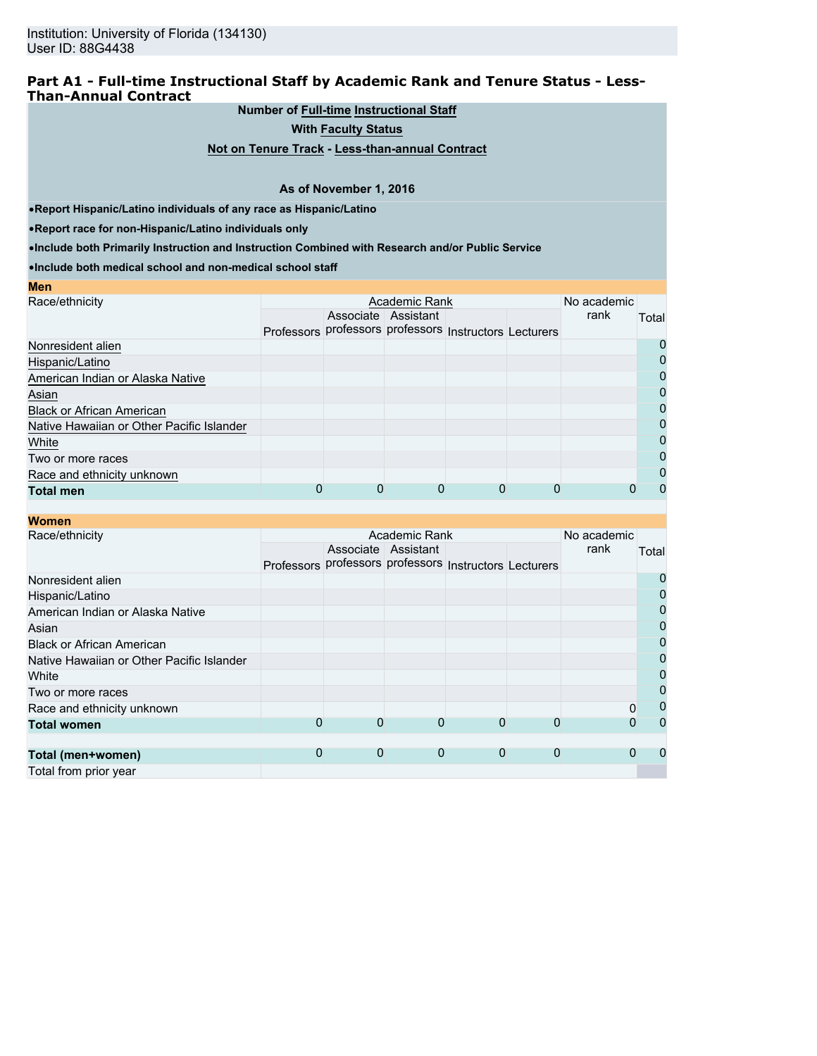### **Part A1 - Full-time Instructional Staff by Academic Rank and Tenure Status - Less-Than-Annual Contract**

**Number of Full-time Instructional Staff**

**With Faculty Status**

**Not on Tenure Track - Less-than-annual Contract**

#### **As of November 1, 2016**

•**Report Hispanic/Latino individuals of any race as Hispanic/Latino**

•**Report race for non-Hispanic/Latino individuals only**

**Men**

•**Include both Primarily Instruction and Instruction Combined with Research and/or Public Service**

| <b>IVIC II</b>                            |                                                        |                     |  |             |          |
|-------------------------------------------|--------------------------------------------------------|---------------------|--|-------------|----------|
| Race/ethnicity                            |                                                        | Academic Rank       |  | No academic |          |
|                                           |                                                        | Associate Assistant |  | rank        | Total    |
|                                           | Professors professors professors Instructors Lecturers |                     |  |             |          |
| Nonresident alien                         |                                                        |                     |  |             | $\Omega$ |
| Hispanic/Latino                           |                                                        |                     |  |             | 0        |
| American Indian or Alaska Native          |                                                        |                     |  |             | 0        |
| Asian                                     |                                                        |                     |  |             | 0        |
| <b>Black or African American</b>          |                                                        |                     |  |             | 0        |
| Native Hawaiian or Other Pacific Islander |                                                        |                     |  |             | 0        |
| White                                     |                                                        |                     |  |             | 0        |
| Two or more races                         |                                                        |                     |  |             | 0        |
| Race and ethnicity unknown                |                                                        |                     |  |             | 0        |
| <b>Total men</b>                          |                                                        |                     |  |             | 0        |
|                                           |                                                        |                     |  |             |          |

| <b>Women</b>                              |            |             |                                             |             |             |             |       |
|-------------------------------------------|------------|-------------|---------------------------------------------|-------------|-------------|-------------|-------|
| Race/ethnicity                            |            |             | Academic Rank                               |             |             | No academic |       |
|                                           |            |             | Associate Assistant                         |             |             | rank        | Total |
|                                           | Professors |             | professors professors Instructors Lecturers |             |             |             |       |
| Nonresident alien                         |            |             |                                             |             |             |             | 0     |
| Hispanic/Latino                           |            |             |                                             |             |             |             | 0     |
| American Indian or Alaska Native          |            |             |                                             |             |             |             | 0     |
| Asian                                     |            |             |                                             |             |             |             | 0     |
| <b>Black or African American</b>          |            |             |                                             |             |             |             | 0     |
| Native Hawaiian or Other Pacific Islander |            |             |                                             |             |             |             | 0     |
| White                                     |            |             |                                             |             |             |             | 0     |
| Two or more races                         |            |             |                                             |             |             |             | 0     |
| Race and ethnicity unknown                |            |             |                                             |             |             | 0           | 0     |
| <b>Total women</b>                        | 0          | 0           | 0                                           | 0           | 0           | 0           | 0     |
|                                           |            |             |                                             |             |             |             |       |
| Total (men+women)                         | 0          | $\mathbf 0$ | $\mathbf 0$                                 | $\mathbf 0$ | $\mathbf 0$ | $\Omega$    | 0     |
| Total from prior year                     |            |             |                                             |             |             |             |       |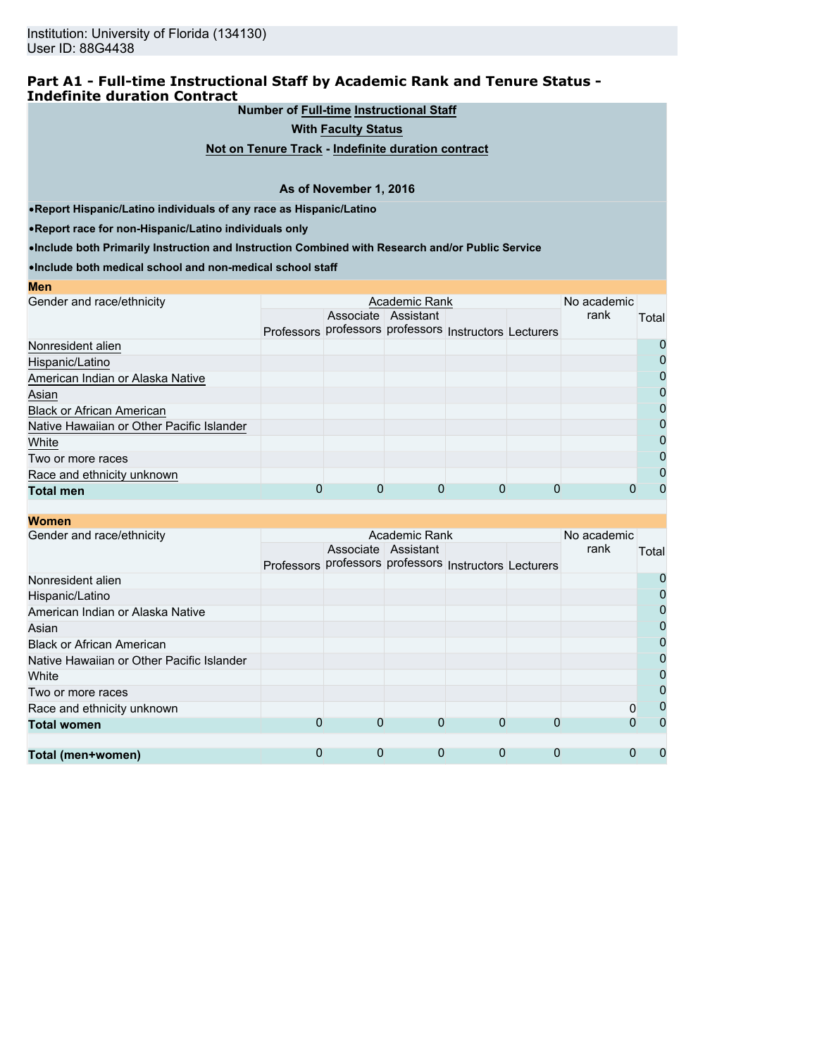### **Part A1 - Full-time Instructional Staff by Academic Rank and Tenure Status - Indefinite duration Contract**

**Number of Full-time Instructional Staff**

**With Faculty Status**

**Not on Tenure Track - Indefinite duration contract**

#### **As of November 1, 2016**

•**Report Hispanic/Latino individuals of any race as Hispanic/Latino**

•**Report race for non-Hispanic/Latino individuals only**

•**Include both Primarily Instruction and Instruction Combined with Research and/or Public Service**

| <b>Men</b>                                |                                                        |                     |  |             |       |
|-------------------------------------------|--------------------------------------------------------|---------------------|--|-------------|-------|
| Gender and race/ethnicity                 |                                                        | Academic Rank       |  | No academic |       |
|                                           |                                                        | Associate Assistant |  | rank        | Total |
|                                           | Professors professors professors Instructors Lecturers |                     |  |             |       |
| Nonresident alien                         |                                                        |                     |  |             | O     |
| Hispanic/Latino                           |                                                        |                     |  |             | 0     |
| American Indian or Alaska Native          |                                                        |                     |  |             | Ω     |
| Asian                                     |                                                        |                     |  |             | 0     |
| <b>Black or African American</b>          |                                                        |                     |  |             | 0     |
| Native Hawaiian or Other Pacific Islander |                                                        |                     |  |             | 0     |
| White                                     |                                                        |                     |  |             | 0     |
| Two or more races                         |                                                        |                     |  |             | 0     |
| Race and ethnicity unknown                |                                                        |                     |  |             | 0     |
| <b>Total men</b>                          |                                                        |                     |  |             | O     |

| Women |  |
|-------|--|
|-------|--|

| <i>v</i> omen                             |                   |   |                                             |   |   |             |              |
|-------------------------------------------|-------------------|---|---------------------------------------------|---|---|-------------|--------------|
| Gender and race/ethnicity                 | Academic Rank     |   |                                             |   |   | No academic |              |
|                                           |                   |   | Associate Assistant                         |   |   | rank        | Total        |
|                                           | <b>Professors</b> |   | professors professors Instructors Lecturers |   |   |             |              |
| Nonresident alien                         |                   |   |                                             |   |   |             |              |
| Hispanic/Latino                           |                   |   |                                             |   |   |             | O            |
| American Indian or Alaska Native          |                   |   |                                             |   |   |             | 0            |
| Asian                                     |                   |   |                                             |   |   |             | 0            |
| <b>Black or African American</b>          |                   |   |                                             |   |   |             | 0            |
| Native Hawaiian or Other Pacific Islander |                   |   |                                             |   |   |             | 0            |
| White                                     |                   |   |                                             |   |   |             |              |
| Two or more races                         |                   |   |                                             |   |   |             | 0            |
| Race and ethnicity unknown                |                   |   |                                             |   |   |             | 0            |
| <b>Total women</b>                        | 0                 | 0 | 0                                           | 0 |   |             | $\mathbf{I}$ |
|                                           |                   |   |                                             |   |   |             |              |
| Total (men+women)                         | 0                 | 0 | 0                                           | 0 | 0 | 0           |              |
|                                           |                   |   |                                             |   |   |             |              |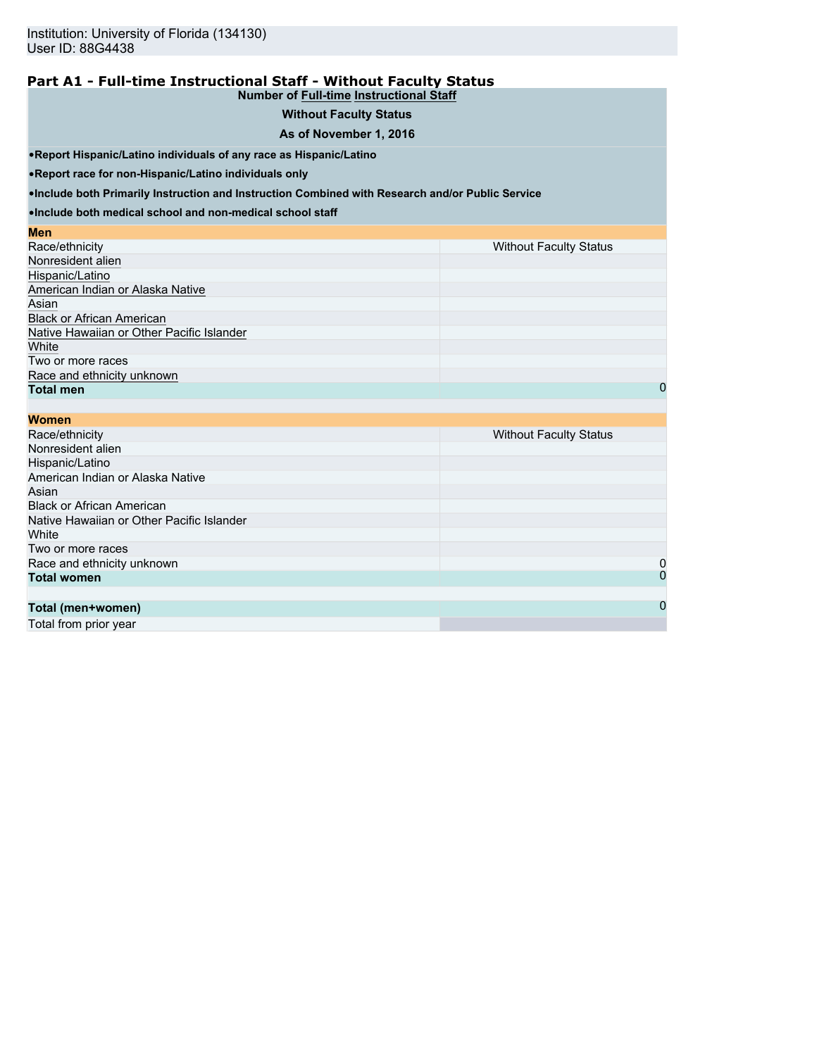#### **Part A1 - Full-time Instructional Staff - Without Faculty Status Number of Full-time Instructional Staff**

## **Without Faculty Status**

#### **As of November 1, 2016**

•**Report Hispanic/Latino individuals of any race as Hispanic/Latino**

•**Report race for non-Hispanic/Latino individuals only**

•**Include both Primarily Instruction and Instruction Combined with Research and/or Public Service**

•**Include both medical school and non-medical school staff**

| Men                                       |                               |
|-------------------------------------------|-------------------------------|
| Race/ethnicity                            | <b>Without Faculty Status</b> |
| Nonresident alien                         |                               |
| Hispanic/Latino                           |                               |
| American Indian or Alaska Native          |                               |
| Asian                                     |                               |
| <b>Black or African American</b>          |                               |
| Native Hawaiian or Other Pacific Islander |                               |
| White                                     |                               |
| Two or more races                         |                               |
| Race and ethnicity unknown                |                               |
| <b>Total men</b>                          | 0                             |

| <b>Women</b>                              |                               |
|-------------------------------------------|-------------------------------|
| Race/ethnicity                            | <b>Without Faculty Status</b> |
| Nonresident alien                         |                               |
| Hispanic/Latino                           |                               |
| American Indian or Alaska Native          |                               |
| Asian                                     |                               |
| <b>Black or African American</b>          |                               |
| Native Hawaiian or Other Pacific Islander |                               |
| White                                     |                               |
| Two or more races                         |                               |
| Race and ethnicity unknown                | 0                             |
| <b>Total women</b>                        | 0                             |
|                                           |                               |
| Total (men+women)                         | $\mathbf 0$                   |

Total from prior year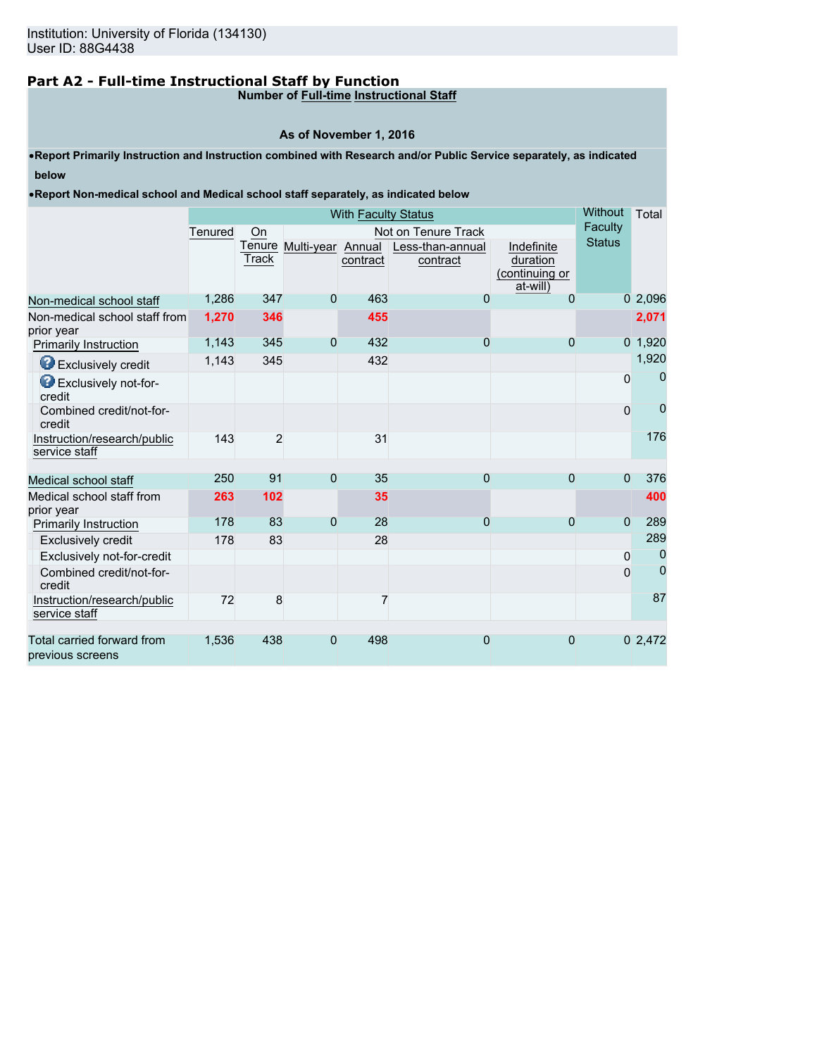# **Part A2 - Full-time Instructional Staff by Function**

**Number of Full-time Instructional Staff**

## **As of November 1, 2016**

•**Report Primarily Instruction and Instruction combined with Research and/or Public Service separately, as indicated below**

•**Report Non-medical school and Medical school staff separately, as indicated below**

|                                                | <b>With Faculty Status</b> |                 |                   |          |                              |                                                      |                | Total          |
|------------------------------------------------|----------------------------|-----------------|-------------------|----------|------------------------------|------------------------------------------------------|----------------|----------------|
|                                                | Tenured                    | On              |                   |          | Not on Tenure Track          |                                                      | Faculty        |                |
|                                                |                            | Tenure<br>Track | Multi-year Annual | contract | Less-than-annual<br>contract | Indefinite<br>duration<br>(continuing or<br>at-will) | <b>Status</b>  |                |
| Non-medical school staff                       | 1,286                      | 347             | $\mathbf{0}$      | 463      | 0                            | $\Omega$                                             |                | 02,096         |
| Non-medical school staff from<br>prior year    | 1,270                      | 346             |                   | 455      |                              |                                                      |                | 2,071          |
| <b>Primarily Instruction</b>                   | 1,143                      | 345             | $\overline{0}$    | 432      | 0                            | $\overline{0}$                                       |                | $0$ 1,920      |
| <b>B</b> Exclusively credit                    | 1,143                      | 345             |                   | 432      |                              |                                                      |                | 1,920          |
| Exclusively not-for-<br>credit                 |                            |                 |                   |          |                              |                                                      | $\mathbf 0$    | 0              |
| Combined credit/not-for-<br>credit             |                            |                 |                   |          |                              |                                                      | $\Omega$       | 0              |
| Instruction/research/public<br>service staff   | 143                        | $\overline{2}$  |                   | 31       |                              |                                                      |                | 176            |
| Medical school staff                           | 250                        | 91              | $\overline{0}$    | 35       | $\overline{0}$               | $\overline{0}$                                       | $\overline{0}$ | 376            |
| Medical school staff from<br>prior year        | 263                        | 102             |                   | 35       |                              |                                                      |                | 400            |
| Primarily Instruction                          | 178                        | 83              | $\mathbf{0}$      | 28       | $\overline{0}$               | $\overline{0}$                                       | $\overline{0}$ | 289            |
| <b>Exclusively credit</b>                      | 178                        | 83              |                   | 28       |                              |                                                      |                | 289            |
| Exclusively not-for-credit                     |                            |                 |                   |          |                              |                                                      | 0              | 0              |
| Combined credit/not-for-<br>credit             |                            |                 |                   |          |                              |                                                      | $\Omega$       | $\overline{0}$ |
| Instruction/research/public<br>service staff   | 72                         | 8               |                   |          |                              |                                                      |                | 87             |
| Total carried forward from<br>previous screens | 1,536                      | 438             | 0                 | 498      | $\overline{0}$               | $\overline{0}$                                       |                | 02,472         |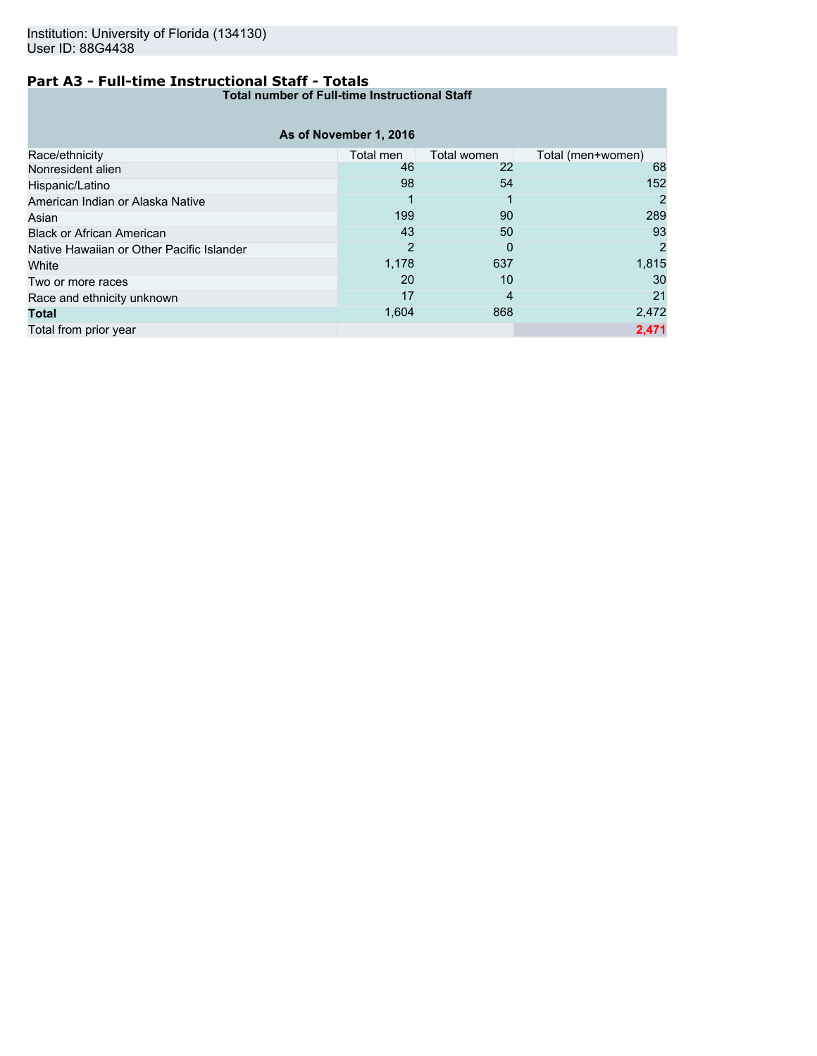## **Part A3 - Full-time Instructional Staff - Totals**

**Total number of Full-time Instructional Staff**

|                                           | As of November 1, 2016 |             |                   |
|-------------------------------------------|------------------------|-------------|-------------------|
| Race/ethnicity                            | Total men              | Total women | Total (men+women) |
| Nonresident alien                         | 46                     | 22          | 68                |
| Hispanic/Latino                           | 98                     | 54          | 152               |
| American Indian or Alaska Native          |                        |             | 2                 |
| Asian                                     | 199                    | 90          | 289               |
| <b>Black or African American</b>          | 43                     | 50          | 93                |
| Native Hawaiian or Other Pacific Islander | 2                      | 0           | 2                 |
| White                                     | 1,178                  | 637         | 1,815             |
| Two or more races                         | 20                     | 10          | 30                |
| Race and ethnicity unknown                | 17                     | 4           | 21                |
| <b>Total</b>                              | 1,604                  | 868         | 2,472             |
| Total from prior year                     |                        |             | 2,471             |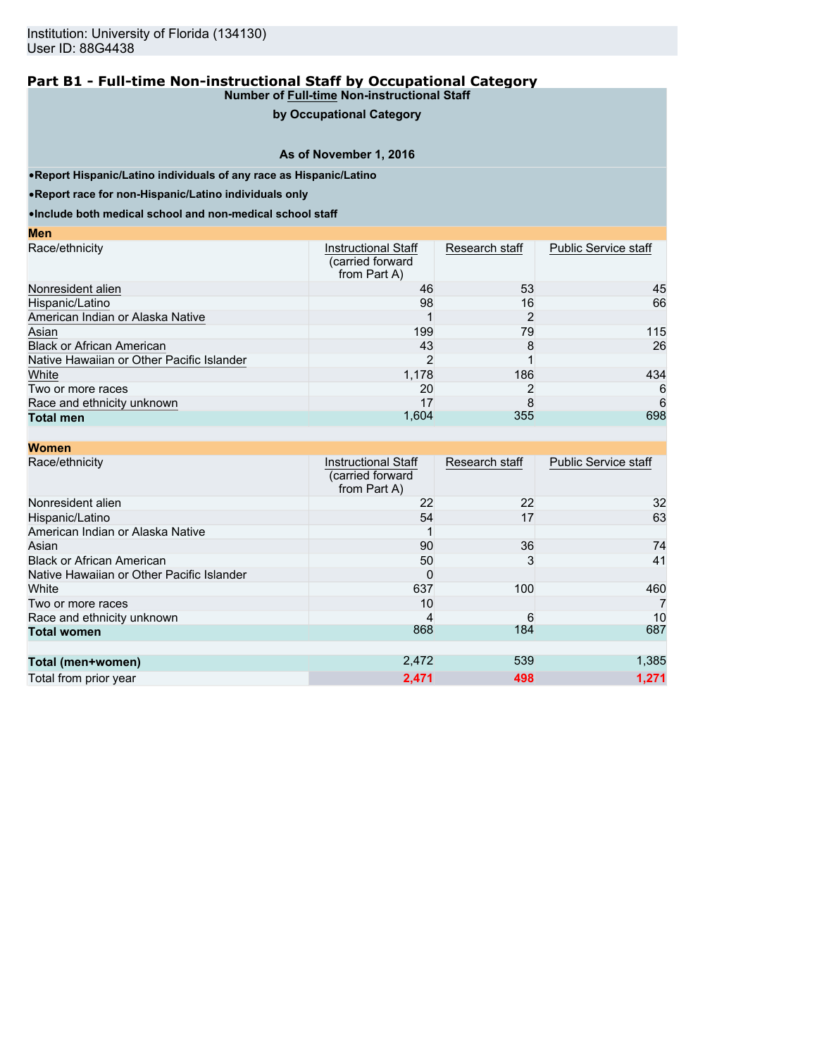## **by Occupational Category**

### **As of November 1, 2016**

•**Report Hispanic/Latino individuals of any race as Hispanic/Latino**

•**Report race for non-Hispanic/Latino individuals only**

**Men**

| $\mathbf{v}$                              |                                                                 |                |                             |
|-------------------------------------------|-----------------------------------------------------------------|----------------|-----------------------------|
| Race/ethnicity                            | <b>Instructional Staff</b><br>(carried forward)<br>from Part A) | Research staff | <b>Public Service staff</b> |
| Nonresident alien                         | 46                                                              | 53             | 45                          |
| Hispanic/Latino                           | 98                                                              | 16             | 66                          |
| American Indian or Alaska Native          |                                                                 |                |                             |
| Asian                                     | 199                                                             | 79             | 115                         |
| <b>Black or African American</b>          | 43                                                              | 8              | 26                          |
| Native Hawaiian or Other Pacific Islander |                                                                 |                |                             |
| White                                     | 1,178                                                           | 186            | 434                         |
| Two or more races                         | 20                                                              |                | 6                           |
| Race and ethnicity unknown                | 17                                                              | 8              | 6                           |
| <b>Total men</b>                          | 1,604                                                           | 355            | 698                         |

| <b>Women</b>                              |                                                                |                |                             |
|-------------------------------------------|----------------------------------------------------------------|----------------|-----------------------------|
| Race/ethnicity                            | <b>Instructional Staff</b><br>(carried forward<br>from Part A) | Research staff | <b>Public Service staff</b> |
| Nonresident alien                         | 22                                                             | 22             | 32                          |
| Hispanic/Latino                           | 54                                                             | 17             | 63                          |
| American Indian or Alaska Native          |                                                                |                |                             |
| Asian                                     | 90                                                             | 36             | 74                          |
| <b>Black or African American</b>          | 50                                                             | 3              | 41                          |
| Native Hawaiian or Other Pacific Islander | $\Omega$                                                       |                |                             |
| White                                     | 637                                                            | 100            | 460                         |
| Two or more races                         | 10                                                             |                |                             |
| Race and ethnicity unknown                |                                                                | 6              | 10                          |
| <b>Total women</b>                        | 868                                                            | 184            | 687                         |
|                                           |                                                                |                |                             |
| Total (men+women)                         | 2,472                                                          | 539            | 1,385                       |
| Total from prior year                     | 2,471                                                          | 498            | 1,271                       |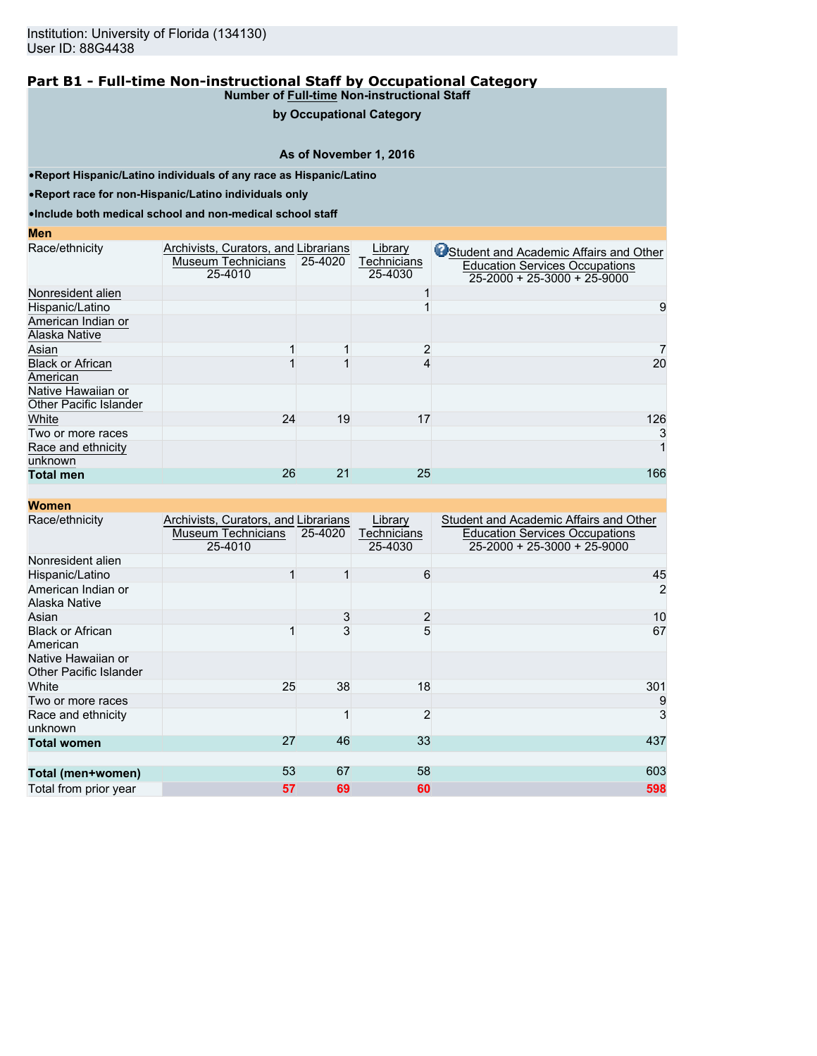## **by Occupational Category**

### **As of November 1, 2016**

•**Report Hispanic/Latino individuals of any race as Hispanic/Latino**

•**Report race for non-Hispanic/Latino individuals only**

•**Include both medical school and non-medical school staff**

#### **Men**

| Race/ethnicity                | Archivists, Curators, and Librarians |         | Library     | Student and Academic Affairs and Other |
|-------------------------------|--------------------------------------|---------|-------------|----------------------------------------|
|                               | Museum Technicians                   | 25-4020 | Technicians | <b>Education Services Occupations</b>  |
|                               | 25-4010                              |         | 25-4030     | $25-2000 + 25-3000 + 25-9000$          |
| Nonresident alien             |                                      |         |             |                                        |
| Hispanic/Latino               |                                      |         |             | 9                                      |
| American Indian or            |                                      |         |             |                                        |
| Alaska Native                 |                                      |         |             |                                        |
| Asian                         |                                      |         |             |                                        |
| <b>Black or African</b>       |                                      |         |             | 20                                     |
| American                      |                                      |         |             |                                        |
| Native Hawaiian or            |                                      |         |             |                                        |
| <b>Other Pacific Islander</b> |                                      |         |             |                                        |
| White                         | 24                                   | 19      | 17          | 126                                    |
| Two or more races             |                                      |         |             | 3                                      |
| Race and ethnicity            |                                      |         |             |                                        |
| unknown                       |                                      |         |             |                                        |
| <b>Total men</b>              | 26                                   | 21      | 25          | 166                                    |

| <b>Women</b>                                 |                                                                       |         |                                   |                                                                                                                        |
|----------------------------------------------|-----------------------------------------------------------------------|---------|-----------------------------------|------------------------------------------------------------------------------------------------------------------------|
| Race/ethnicity                               | Archivists, Curators, and Librarians<br>Museum Technicians<br>25-4010 | 25-4020 | Library<br>Technicians<br>25-4030 | Student and Academic Affairs and Other<br><b>Education Services Occupations</b><br>$25 - 2000 + 25 - 3000 + 25 - 9000$ |
| Nonresident alien                            |                                                                       |         |                                   |                                                                                                                        |
| Hispanic/Latino                              |                                                                       |         | 6                                 | 45                                                                                                                     |
| American Indian or<br>Alaska Native          |                                                                       |         |                                   | $\overline{2}$                                                                                                         |
| Asian                                        |                                                                       | 3       | $\overline{2}$                    | 10                                                                                                                     |
| <b>Black or African</b><br>American          |                                                                       | 3       | 5                                 | 67                                                                                                                     |
| Native Hawaiian or<br>Other Pacific Islander |                                                                       |         |                                   |                                                                                                                        |
| White                                        | 25                                                                    | 38      | 18                                | 301                                                                                                                    |
| Two or more races                            |                                                                       |         |                                   | 9                                                                                                                      |
| Race and ethnicity<br>unknown                |                                                                       |         | $\overline{2}$                    | $\overline{3}$                                                                                                         |
| <b>Total women</b>                           | 27                                                                    | 46      | 33                                | 437                                                                                                                    |
| Total (men+women)                            | 53                                                                    | 67      | 58                                | 603                                                                                                                    |
| Total from prior year                        | 57                                                                    | 69      | 60                                | 598                                                                                                                    |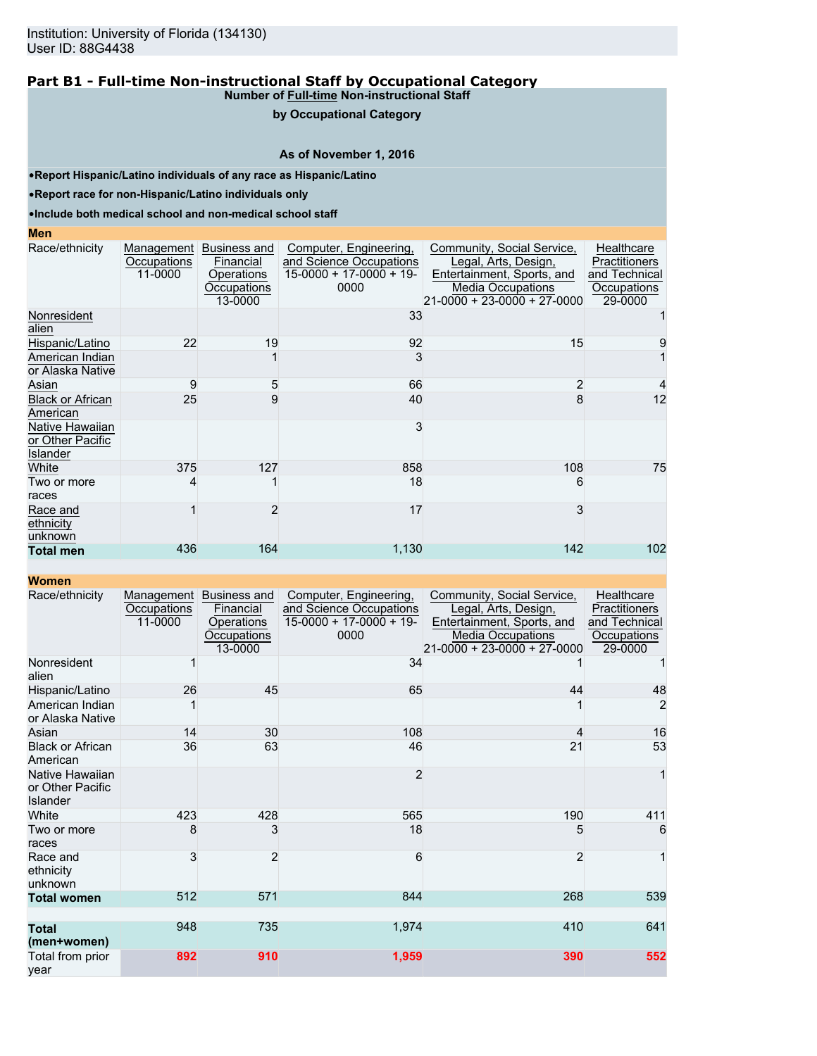#### **by Occupational Category**

### **As of November 1, 2016**

•**Report Hispanic/Latino individuals of any race as Hispanic/Latino**

•**Report race for non-Hispanic/Latino individuals only**

•**Include both medical school and non-medical school staff**

#### **Men**

| Race/ethnicity                                  | Management<br>Occupations<br>11-0000 | Business and<br>Financial<br>Operations<br>Occupations<br>13-0000 | Computer, Engineering,<br>and Science Occupations<br>$15-0000 + 17-0000 + 19$<br>0000 | Community, Social Service,<br>Legal, Arts, Design,<br>Entertainment, Sports, and<br><b>Media Occupations</b><br>21-0000 + 23-0000 + 27-0000 | Healthcare<br>Practitioners<br>and Technical<br>Occupations<br>29-0000 |
|-------------------------------------------------|--------------------------------------|-------------------------------------------------------------------|---------------------------------------------------------------------------------------|---------------------------------------------------------------------------------------------------------------------------------------------|------------------------------------------------------------------------|
| Nonresident<br>alien                            |                                      |                                                                   | 33                                                                                    |                                                                                                                                             |                                                                        |
| Hispanic/Latino                                 | 22                                   | 19                                                                | 92                                                                                    | 15                                                                                                                                          | 9                                                                      |
| American Indian<br>or Alaska Native             |                                      |                                                                   |                                                                                       |                                                                                                                                             |                                                                        |
| Asian                                           | 9                                    | 5                                                                 | 66                                                                                    | 2                                                                                                                                           | 4                                                                      |
| <b>Black or African</b><br>American             | 25                                   | 9                                                                 | 40                                                                                    | 8                                                                                                                                           | 12                                                                     |
| Native Hawaiian<br>or Other Pacific<br>Islander |                                      |                                                                   |                                                                                       |                                                                                                                                             |                                                                        |
| White                                           | 375                                  | 127                                                               | 858                                                                                   | 108                                                                                                                                         | 75                                                                     |
| Two or more<br>races                            |                                      |                                                                   | 18                                                                                    | 6                                                                                                                                           |                                                                        |
| Race and<br>ethnicity<br>unknown                |                                      | 2                                                                 | 17                                                                                    | 3                                                                                                                                           |                                                                        |
| <b>Total men</b>                                | 436                                  | 164                                                               | 1,130                                                                                 | 142                                                                                                                                         | 102                                                                    |

| wungh                                           |                                             |                                                                   |                                                                                       |                                                                                                                                                     |                                                                        |
|-------------------------------------------------|---------------------------------------------|-------------------------------------------------------------------|---------------------------------------------------------------------------------------|-----------------------------------------------------------------------------------------------------------------------------------------------------|------------------------------------------------------------------------|
| Race/ethnicity                                  | <b>Management</b><br>Occupations<br>11-0000 | Business and<br>Financial<br>Operations<br>Occupations<br>13-0000 | Computer, Engineering,<br>and Science Occupations<br>$15-0000 + 17-0000 + 19$<br>0000 | Community, Social Service,<br>Legal, Arts, Design,<br>Entertainment, Sports, and<br><b>Media Occupations</b><br>$21 - 0000 + 23 - 0000 + 27 - 0000$ | Healthcare<br>Practitioners<br>and Technical<br>Occupations<br>29-0000 |
| Nonresident<br>alien                            |                                             |                                                                   | 34                                                                                    |                                                                                                                                                     |                                                                        |
| Hispanic/Latino                                 | 26                                          | 45                                                                | 65                                                                                    | 44                                                                                                                                                  | 48                                                                     |
| American Indian<br>or Alaska Native             |                                             |                                                                   |                                                                                       |                                                                                                                                                     | 2                                                                      |
| Asian                                           | 14                                          | 30                                                                | 108                                                                                   | 4                                                                                                                                                   | 16                                                                     |
| <b>Black or African</b><br>American             | 36                                          | 63                                                                | 46                                                                                    | 21                                                                                                                                                  | 53                                                                     |
| Native Hawaiian<br>or Other Pacific<br>Islander |                                             |                                                                   | $\overline{2}$                                                                        |                                                                                                                                                     | 1                                                                      |
| White                                           | 423                                         | 428                                                               | 565                                                                                   | 190                                                                                                                                                 | 411                                                                    |
| Two or more<br>races                            | 8                                           | 3                                                                 | 18                                                                                    | 5                                                                                                                                                   | 6                                                                      |
| Race and<br>ethnicity<br>unknown                | 3                                           | $\overline{2}$                                                    | 6                                                                                     | $\overline{2}$                                                                                                                                      | 1                                                                      |
| <b>Total women</b>                              | 512                                         | 571                                                               | 844                                                                                   | 268                                                                                                                                                 | 539                                                                    |
| <b>Total</b><br>(men+women)                     | 948                                         | 735                                                               | 1,974                                                                                 | 410                                                                                                                                                 | 641                                                                    |
| Total from prior<br>year                        | 892                                         | 910                                                               | 1,959                                                                                 | 390                                                                                                                                                 | 552                                                                    |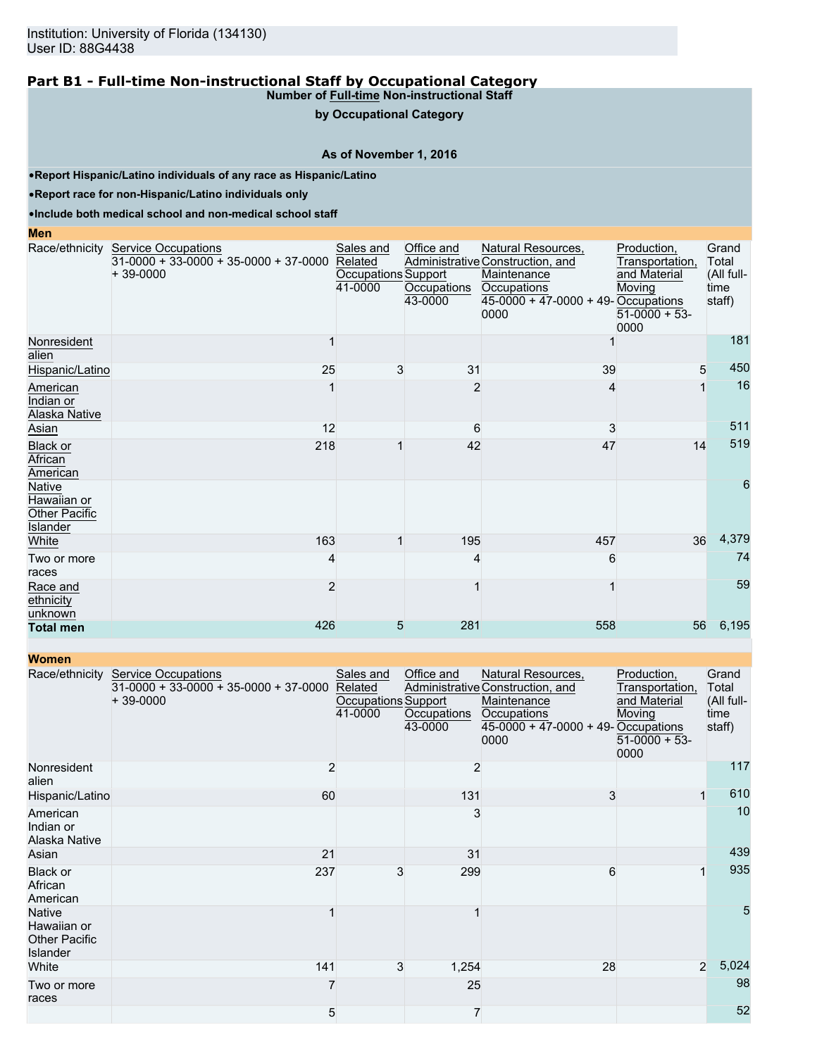**by Occupational Category**

## **As of November 1, 2016**

•**Report Hispanic/Latino individuals of any race as Hispanic/Latino**

•**Report race for non-Hispanic/Latino individuals only**

•**Include both medical school and non-medical school staff**

#### **Men**

|                                                           | Race/ethnicity Service Occupations<br>$31-0000 + 33-0000 + 35-0000 + 37-0000$<br>$+39-0000$ | Sales and<br>Related<br>Occupations Support<br>41-0000 | Office and<br>Occupations<br>43-0000 | Natural Resources,<br>Administrative Construction, and<br>Maintenance<br>Occupations<br>$45-0000 + 47-0000 + 49$ -Occupations<br>0000 | Production,<br>Transportation,<br>and Material<br>Moving<br>$51-0000 + 53$<br>0000 | Grand<br>Total<br>(All full-<br>time<br>staff) |
|-----------------------------------------------------------|---------------------------------------------------------------------------------------------|--------------------------------------------------------|--------------------------------------|---------------------------------------------------------------------------------------------------------------------------------------|------------------------------------------------------------------------------------|------------------------------------------------|
| Nonresident<br>alien                                      |                                                                                             |                                                        |                                      |                                                                                                                                       |                                                                                    | 181                                            |
| Hispanic/Latino                                           | 25                                                                                          | 3                                                      | 31                                   | 39                                                                                                                                    | 5                                                                                  | 450                                            |
| American<br>Indian or<br>Alaska Native                    |                                                                                             |                                                        | 2                                    | 4                                                                                                                                     |                                                                                    | 16                                             |
| Asian                                                     | 12                                                                                          |                                                        | 6                                    | 3                                                                                                                                     |                                                                                    | 511                                            |
| <b>Black or</b><br>African<br>American                    | 218                                                                                         |                                                        | 42                                   | 47                                                                                                                                    | 14                                                                                 | 519                                            |
| Native<br>Hawaiian or<br>Other Pacific<br><b>Islander</b> |                                                                                             |                                                        |                                      |                                                                                                                                       |                                                                                    | 6                                              |
| White                                                     | 163                                                                                         |                                                        | 195                                  | 457                                                                                                                                   | 36                                                                                 | 4,379                                          |
| Two or more<br>races                                      |                                                                                             |                                                        |                                      | 6                                                                                                                                     |                                                                                    | 74                                             |
| Race and<br>ethnicity<br>unknown                          | $\overline{2}$                                                                              |                                                        |                                      |                                                                                                                                       |                                                                                    | 59                                             |
| <b>Total men</b>                                          | 426                                                                                         | 5                                                      | 281                                  | 558                                                                                                                                   | 56                                                                                 | 6,195                                          |

| <b>Women</b>                                                     |                                                                                     |                                                        |                                      |                                                                                                                                     |                                                                                    |                                                |
|------------------------------------------------------------------|-------------------------------------------------------------------------------------|--------------------------------------------------------|--------------------------------------|-------------------------------------------------------------------------------------------------------------------------------------|------------------------------------------------------------------------------------|------------------------------------------------|
| Race/ethnicity                                                   | <b>Service Occupations</b><br>$31-0000 + 33-0000 + 35-0000 + 37-0000$<br>$+39-0000$ | Sales and<br>Related<br>Occupations Support<br>41-0000 | Office and<br>Occupations<br>43-0000 | Natural Resources,<br>Administrative Construction, and<br>Maintenance<br>Occupations<br>45-0000 + 47-0000 + 49- Occupations<br>0000 | Production,<br>Transportation,<br>and Material<br>Moving<br>$51-0000 + 53$<br>0000 | Grand<br>Total<br>(All full-<br>time<br>staff) |
| Nonresident<br>alien                                             | $\overline{2}$                                                                      |                                                        | 2                                    |                                                                                                                                     |                                                                                    | 117                                            |
| Hispanic/Latino                                                  | 60                                                                                  |                                                        | 131                                  | 3                                                                                                                                   |                                                                                    | 610                                            |
| American<br>Indian or<br>Alaska Native                           |                                                                                     |                                                        | 3                                    |                                                                                                                                     |                                                                                    | 10                                             |
| Asian                                                            | 21                                                                                  |                                                        | 31                                   |                                                                                                                                     |                                                                                    | 439                                            |
| Black or<br>African<br>American                                  | 237                                                                                 | 3                                                      | 299                                  | 6                                                                                                                                   |                                                                                    | 935                                            |
| <b>Native</b><br>Hawaiian or<br><b>Other Pacific</b><br>Islander |                                                                                     |                                                        |                                      |                                                                                                                                     |                                                                                    | 5                                              |
| White                                                            | 141                                                                                 | 3                                                      | 1,254                                | 28                                                                                                                                  | $\overline{2}$                                                                     | 5,024                                          |
| Two or more<br>races                                             | 7                                                                                   |                                                        | 25                                   |                                                                                                                                     |                                                                                    | 98                                             |
|                                                                  | 5                                                                                   |                                                        | $\overline{7}$                       |                                                                                                                                     |                                                                                    | 52                                             |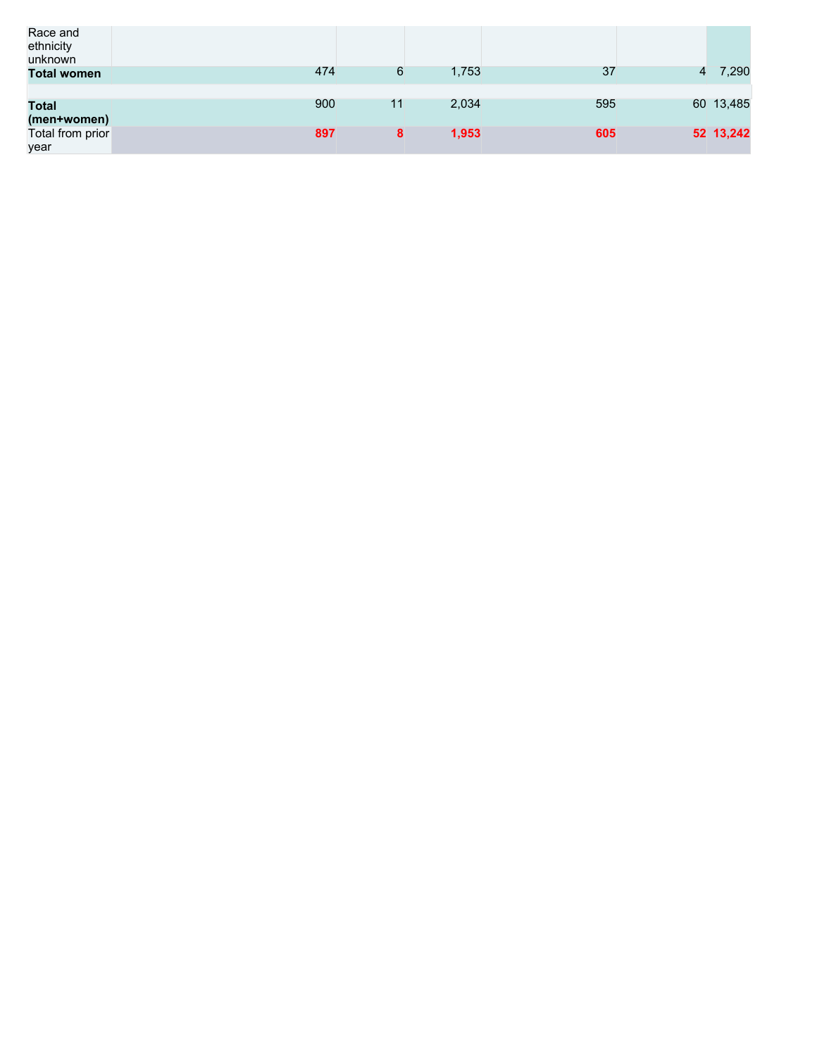| Race and<br>ethnicity<br>unknown |     |    |       |     |                |           |
|----------------------------------|-----|----|-------|-----|----------------|-----------|
| <b>Total women</b>               | 474 | 6  | 1,753 | 37  | $\overline{4}$ | 7,290     |
|                                  |     |    |       |     |                |           |
| <b>Total</b>                     | 900 | 11 | 2,034 | 595 |                | 60 13,485 |
| (men+women)                      |     |    |       |     |                |           |
| Total from prior                 | 897 | 8  | 1,953 | 605 |                | 52 13,242 |
| year                             |     |    |       |     |                |           |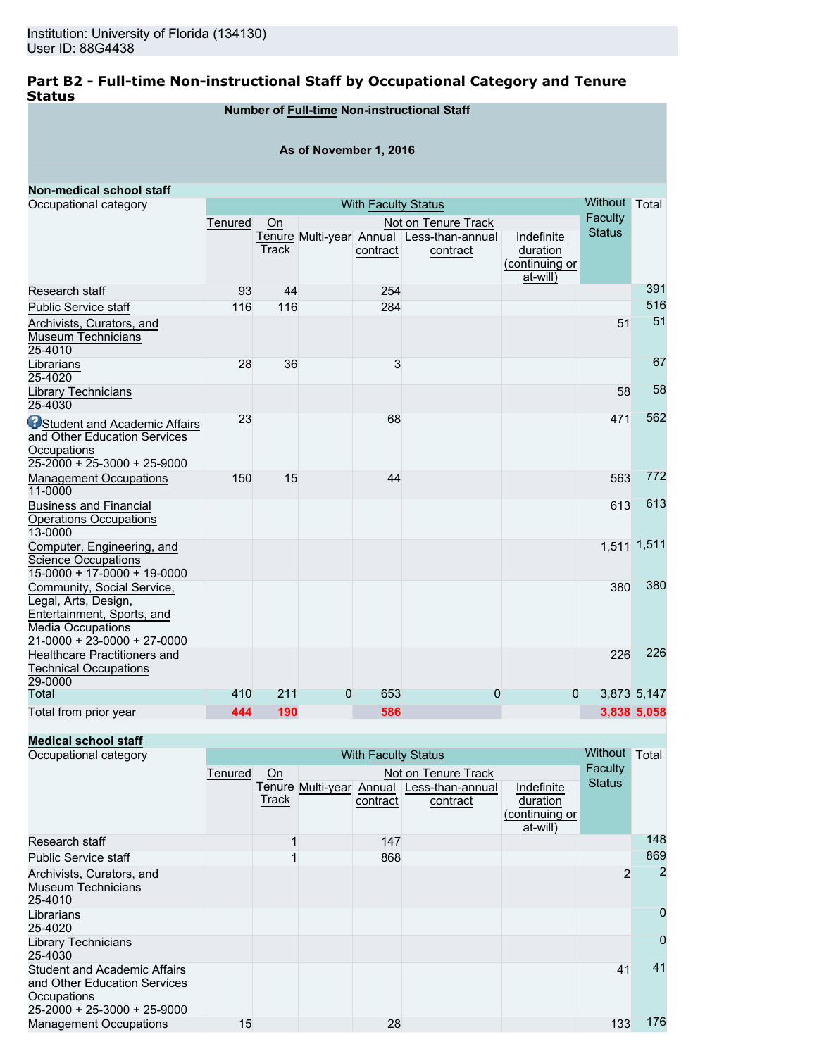## **Part B2 - Full-time Non-instructional Staff by Occupational Category and Tenure Status**

## **Number of Full-time Non-instructional Staff**

### **As of November 1, 2016**

| <b>Non-medical school staff</b>                                                                                                               |         |                           |              |                            |                                                       |                                                      |                          |             |
|-----------------------------------------------------------------------------------------------------------------------------------------------|---------|---------------------------|--------------|----------------------------|-------------------------------------------------------|------------------------------------------------------|--------------------------|-------------|
| Occupational category                                                                                                                         |         |                           |              | <b>With Faculty Status</b> |                                                       |                                                      | Without Total<br>Faculty |             |
|                                                                                                                                               | Tenured | Not on Tenure Track<br>On |              |                            |                                                       |                                                      |                          |             |
|                                                                                                                                               |         | Track                     |              | contract                   | Tenure Multi-year Annual Less-than-annual<br>contract | Indefinite<br>duration<br>(continuing or<br>at-will) | <b>Status</b>            |             |
| Research staff                                                                                                                                | 93      | 44                        |              | 254                        |                                                       |                                                      |                          | 391         |
| <b>Public Service staff</b>                                                                                                                   | 116     | 116                       |              | 284                        |                                                       |                                                      |                          | 516         |
| Archivists, Curators, and<br><b>Museum Technicians</b><br>25-4010                                                                             |         |                           |              |                            |                                                       |                                                      | 51                       | 51          |
| Librarians<br>25-4020                                                                                                                         | 28      | 36                        |              | 3                          |                                                       |                                                      |                          | 67          |
| Library Technicians<br>25-4030                                                                                                                |         |                           |              |                            |                                                       |                                                      | 58                       | 58          |
| <b>O</b> Student and Academic Affairs<br>and Other Education Services<br>Occupations<br>$25-2000 + 25-3000 + 25-9000$                         | 23      |                           |              | 68                         |                                                       |                                                      | 471                      | 562         |
| <b>Management Occupations</b><br>11-0000                                                                                                      | 150     | 15                        |              | 44                         |                                                       |                                                      | 563                      | 772         |
| <b>Business and Financial</b><br><b>Operations Occupations</b><br>13-0000                                                                     |         |                           |              |                            |                                                       |                                                      | 613                      | 613         |
| Computer, Engineering, and<br><b>Science Occupations</b><br>$15-0000 + 17-0000 + 19-0000$                                                     |         |                           |              |                            |                                                       |                                                      |                          | 1,511 1,511 |
| Community, Social Service,<br>Legal, Arts, Design,<br>Entertainment, Sports, and<br><b>Media Occupations</b><br>$21-0000 + 23-0000 + 27-0000$ |         |                           |              |                            |                                                       |                                                      | 380                      | 380         |
| <b>Healthcare Practitioners and</b><br><b>Technical Occupations</b><br>29-0000                                                                |         |                           |              |                            |                                                       |                                                      | 226                      | 226         |
| Total                                                                                                                                         | 410     | 211                       | $\mathbf{0}$ | 653                        | $\Omega$                                              | $\Omega$                                             |                          | 3,873 5,147 |
| Total from prior year                                                                                                                         | 444     | 190                       |              | 586                        |                                                       |                                                      |                          | 3,838 5,058 |

## **Medical school staff**

| Occupational category                                                                                                     |         |       |  | <b>With Faculty Status</b> |                                                       |                                                      | Without       | Total          |
|---------------------------------------------------------------------------------------------------------------------------|---------|-------|--|----------------------------|-------------------------------------------------------|------------------------------------------------------|---------------|----------------|
|                                                                                                                           | Tenured | On    |  |                            | Faculty                                               |                                                      |               |                |
|                                                                                                                           |         | Track |  | contract                   | Tenure Multi-year Annual Less-than-annual<br>contract | Indefinite<br>duration<br>(continuing or<br>at-will) | <b>Status</b> |                |
| Research staff                                                                                                            |         |       |  | 147                        |                                                       |                                                      |               | 148            |
| <b>Public Service staff</b>                                                                                               |         |       |  | 868                        |                                                       |                                                      |               | 869            |
| Archivists, Curators, and<br><b>Museum Technicians</b><br>25-4010                                                         |         |       |  |                            |                                                       |                                                      | 2             | $\overline{2}$ |
| Librarians<br>25-4020                                                                                                     |         |       |  |                            |                                                       |                                                      |               | $\mathbf 0$    |
| <b>Library Technicians</b><br>25-4030                                                                                     |         |       |  |                            |                                                       |                                                      |               | $\Omega$       |
| <b>Student and Academic Affairs</b><br>and Other Education Services<br>Occupations<br>$25 - 2000 + 25 - 3000 + 25 - 9000$ |         |       |  |                            |                                                       |                                                      | 41            | 41             |
| <b>Management Occupations</b>                                                                                             | 15      |       |  | 28                         |                                                       |                                                      | 133           | 176            |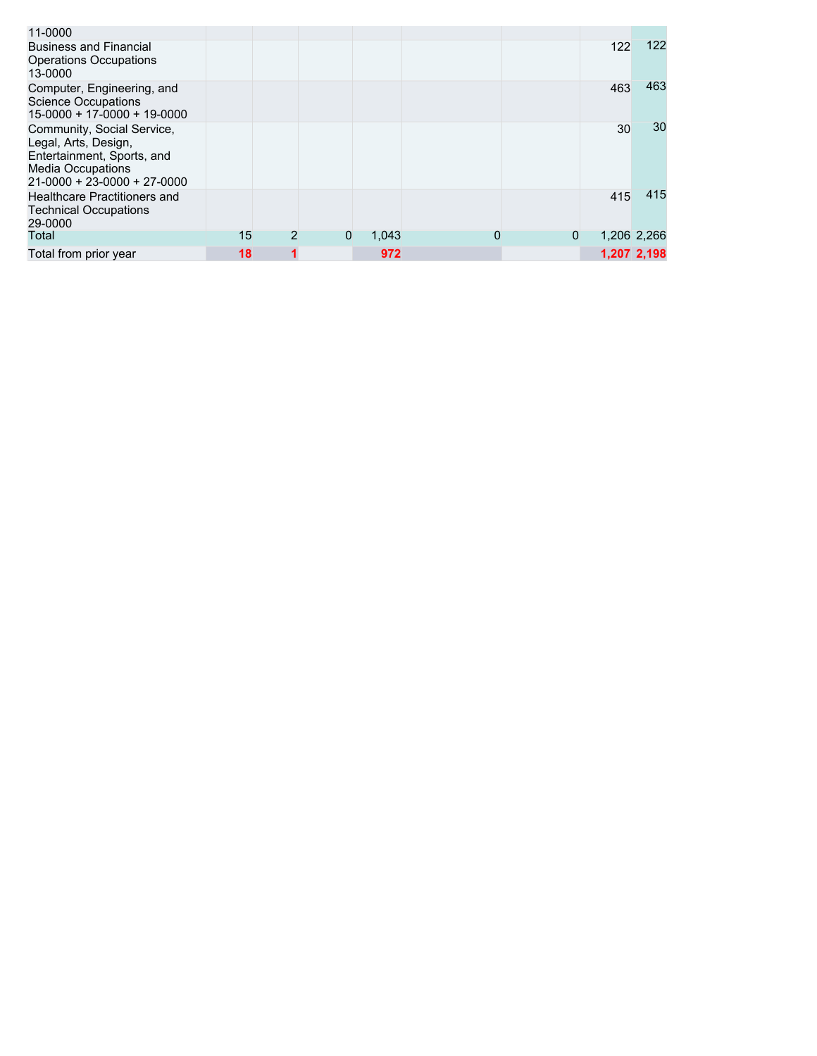| 11-0000                                                                                                                                      |    |              |       |          |   |     |             |
|----------------------------------------------------------------------------------------------------------------------------------------------|----|--------------|-------|----------|---|-----|-------------|
| <b>Business and Financial</b><br><b>Operations Occupations</b><br>13-0000                                                                    |    |              |       |          |   | 122 | 122         |
| Computer, Engineering, and<br><b>Science Occupations</b><br>$15-0000 + 17-0000 + 19-0000$                                                    |    |              |       |          |   | 463 | 463         |
| Community, Social Service,<br>Legal, Arts, Design,<br>Entertainment, Sports, and<br>Media Occupations<br>$21 - 0000 + 23 - 0000 + 27 - 0000$ |    |              |       |          |   | 30  | 30          |
| Healthcare Practitioners and<br><b>Technical Occupations</b><br>29-0000                                                                      |    |              |       |          |   | 415 | 415         |
| Total                                                                                                                                        | 15 | $\mathbf{0}$ | 1.043 | $\Omega$ | 0 |     | 1,206 2,266 |
| Total from prior year                                                                                                                        | 18 |              | 972   |          |   |     | 1,207 2,198 |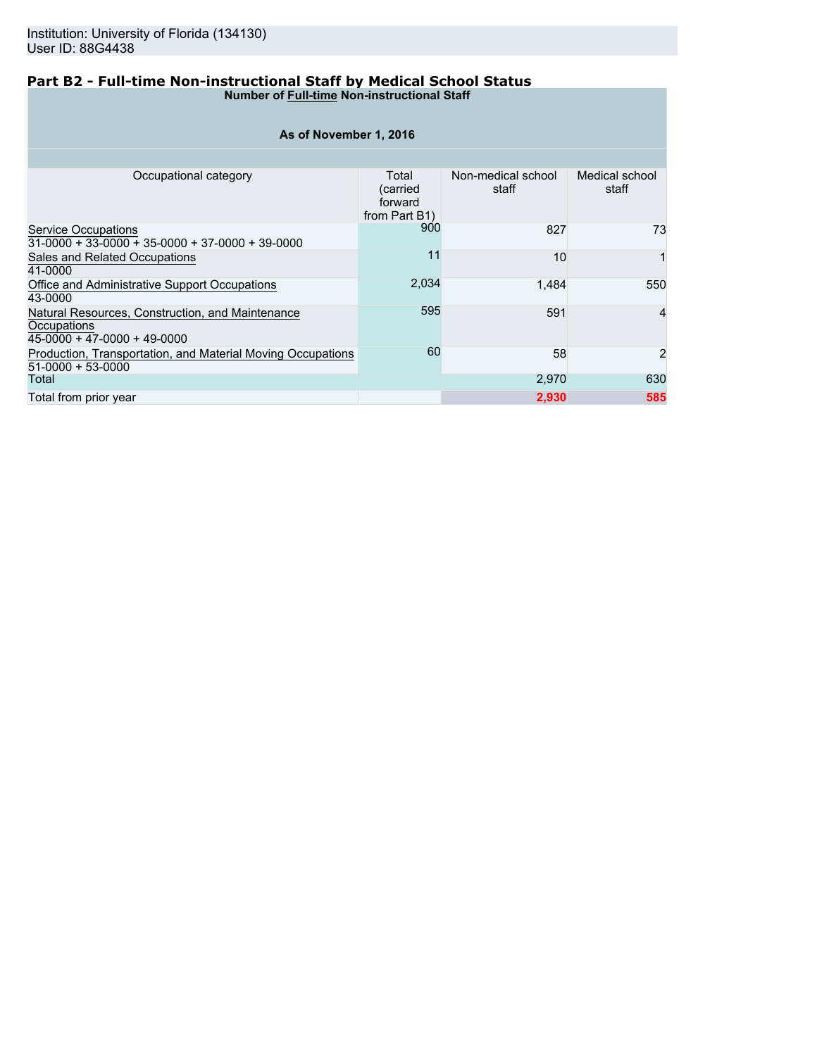### **Part B2 - Full-time Non-instructional Staff by Medical School Status Number of Full-time Non-instructional Staff**

| As of November 1, 2016                                                                         |                                                |                             |                         |  |  |  |  |  |  |  |  |  |
|------------------------------------------------------------------------------------------------|------------------------------------------------|-----------------------------|-------------------------|--|--|--|--|--|--|--|--|--|
|                                                                                                |                                                |                             |                         |  |  |  |  |  |  |  |  |  |
| Occupational category                                                                          | Total<br>(carried)<br>forward<br>from Part B1) | Non-medical school<br>staff | Medical school<br>staff |  |  |  |  |  |  |  |  |  |
| Service Occupations<br>$31-0000 + 33-0000 + 35-0000 + 37-0000 + 39-0000$                       | 900                                            | 827                         | 73                      |  |  |  |  |  |  |  |  |  |
| Sales and Related Occupations<br>41-0000                                                       | 11                                             | 10                          | 1                       |  |  |  |  |  |  |  |  |  |
| Office and Administrative Support Occupations<br>43-0000                                       | 2,034                                          | 1,484                       | 550                     |  |  |  |  |  |  |  |  |  |
| Natural Resources, Construction, and Maintenance<br>Occupations<br>45-0000 + 47-0000 + 49-0000 | 595                                            | 591                         | $\overline{4}$          |  |  |  |  |  |  |  |  |  |
| Production, Transportation, and Material Moving Occupations<br>51-0000 + 53-0000               | 60                                             | 58                          | $\overline{2}$          |  |  |  |  |  |  |  |  |  |
| Total                                                                                          |                                                | 2,970                       | 630                     |  |  |  |  |  |  |  |  |  |
| Total from prior year                                                                          |                                                | 2,930                       | 585                     |  |  |  |  |  |  |  |  |  |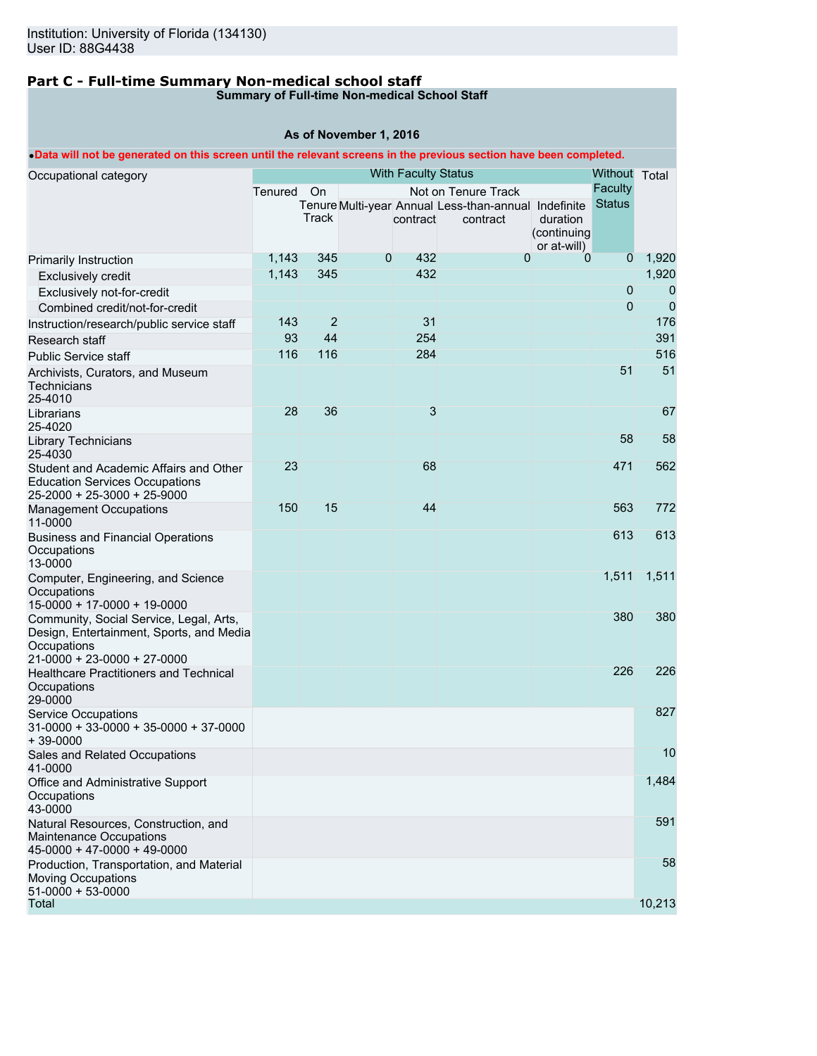# **Part C - Full-time Summary Non-medical school staff**

## **Summary of Full-time Non-medical School Staff**

## **As of November 1, 2016**

## •**Data will not be generated on this screen until the relevant screens in the previous section have been completed.**

| Occupational category                                                                                                             |         |                |              | <b>With Faculty Status</b> |                                                      |                         | Without Total  |                |
|-----------------------------------------------------------------------------------------------------------------------------------|---------|----------------|--------------|----------------------------|------------------------------------------------------|-------------------------|----------------|----------------|
|                                                                                                                                   | Tenured | On             |              |                            | Not on Tenure Track                                  |                         | Faculty        |                |
|                                                                                                                                   |         |                |              |                            | Tenure Multi-year Annual Less-than-annual Indefinite |                         | <b>Status</b>  |                |
|                                                                                                                                   |         | Track          |              | contract                   | contract                                             | duration<br>(continuing |                |                |
|                                                                                                                                   |         |                |              |                            |                                                      | or at-will)             |                |                |
| Primarily Instruction                                                                                                             | 1,143   | 345            | $\mathbf{0}$ | 432                        | $\mathbf{0}$                                         | 0                       | $\overline{0}$ | 1,920          |
| <b>Exclusively credit</b>                                                                                                         | 1,143   | 345            |              | 432                        |                                                      |                         |                | 1,920          |
| Exclusively not-for-credit                                                                                                        |         |                |              |                            |                                                      |                         | $\pmb{0}$      | 0              |
| Combined credit/not-for-credit                                                                                                    |         |                |              |                            |                                                      |                         | $\overline{0}$ | $\overline{0}$ |
| Instruction/research/public service staff                                                                                         | 143     | $\overline{2}$ |              | 31                         |                                                      |                         |                | 176            |
| Research staff                                                                                                                    | 93      | 44             |              | 254                        |                                                      |                         |                | 391            |
| <b>Public Service staff</b>                                                                                                       | 116     | 116            |              | 284                        |                                                      |                         |                | 516            |
| Archivists, Curators, and Museum<br>Technicians<br>25-4010                                                                        |         |                |              |                            |                                                      |                         | 51             | 51             |
| Librarians<br>25-4020                                                                                                             | 28      | 36             |              | 3                          |                                                      |                         |                | 67             |
| <b>Library Technicians</b><br>25-4030                                                                                             |         |                |              |                            |                                                      |                         | 58             | 58             |
| Student and Academic Affairs and Other<br><b>Education Services Occupations</b><br>25-2000 + 25-3000 + 25-9000                    | 23      |                |              | 68                         |                                                      |                         | 471            | 562            |
| <b>Management Occupations</b><br>11-0000                                                                                          | 150     | 15             |              | 44                         |                                                      |                         | 563            | 772            |
| <b>Business and Financial Operations</b><br>Occupations<br>13-0000                                                                |         |                |              |                            |                                                      |                         | 613            | 613            |
| Computer, Engineering, and Science<br>Occupations<br>15-0000 + 17-0000 + 19-0000                                                  |         |                |              |                            |                                                      |                         | 1,511          | 1,511          |
| Community, Social Service, Legal, Arts,<br>Design, Entertainment, Sports, and Media<br>Occupations<br>21-0000 + 23-0000 + 27-0000 |         |                |              |                            |                                                      |                         | 380            | 380            |
| <b>Healthcare Practitioners and Technical</b><br>Occupations<br>29-0000                                                           |         |                |              |                            |                                                      |                         | 226            | 226            |
| <b>Service Occupations</b><br>$31-0000 + 33-0000 + 35-0000 + 37-0000$<br>$+39-0000$                                               |         |                |              |                            |                                                      |                         |                | 827            |
| Sales and Related Occupations<br>41-0000                                                                                          |         |                |              |                            |                                                      |                         |                | 10             |
| Office and Administrative Support<br>Occupations<br>43-0000                                                                       |         |                |              |                            |                                                      |                         |                | 1,484          |
| Natural Resources, Construction, and<br>Maintenance Occupations<br>$45-0000 + 47-0000 + 49-0000$                                  |         |                |              |                            |                                                      |                         |                | 591            |
| Production, Transportation, and Material<br><b>Moving Occupations</b><br>$51-0000 + 53-0000$                                      |         |                |              |                            |                                                      |                         |                | 58             |
| Total                                                                                                                             |         |                |              |                            |                                                      |                         |                | 10,213         |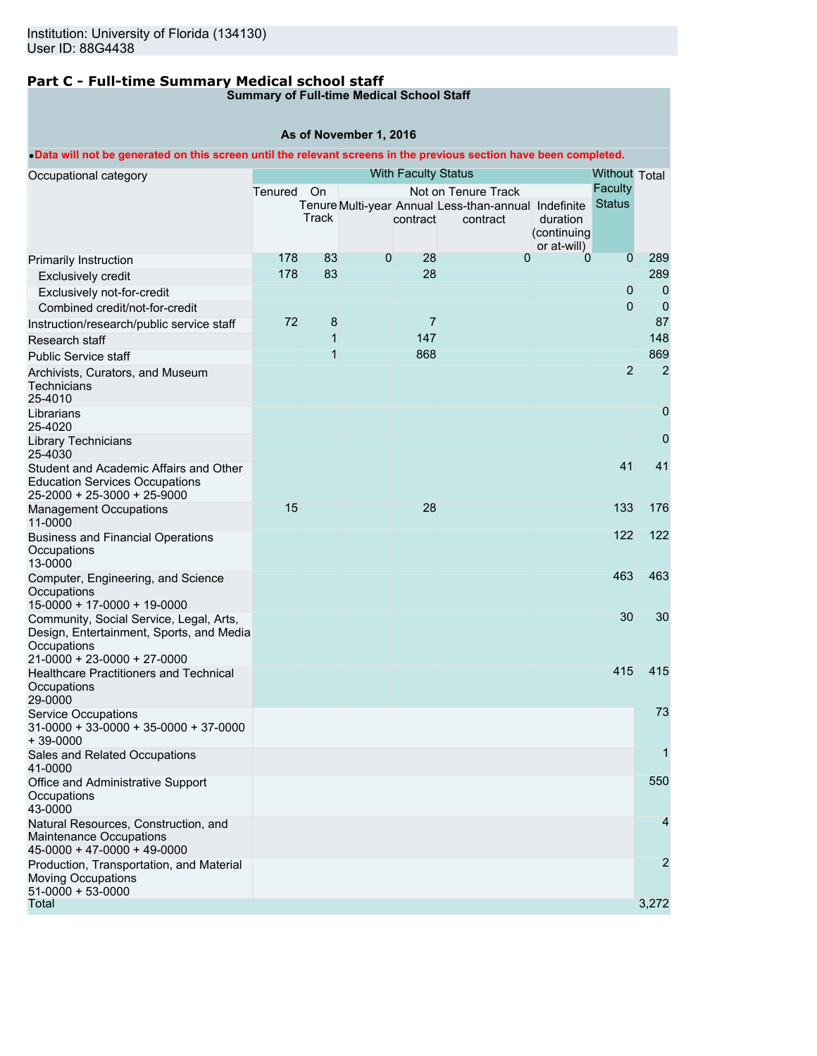# **Part C - Full-time Summary Medical school staff**

## **Summary of Full-time Medical School Staff**

## **As of November 1, 2016**

## •**Data will not be generated on this screen until the relevant screens in the previous section have been completed.**

| Occupational category                                                                                                             |         |                |         | <b>With Faculty Status</b> |                                                      |                         | <b>Without Total</b> |                |
|-----------------------------------------------------------------------------------------------------------------------------------|---------|----------------|---------|----------------------------|------------------------------------------------------|-------------------------|----------------------|----------------|
|                                                                                                                                   | Tenured | On             |         |                            | Not on Tenure Track                                  |                         | Faculty              |                |
|                                                                                                                                   |         |                |         |                            | Tenure Multi-year Annual Less-than-annual Indefinite |                         | <b>Status</b>        |                |
|                                                                                                                                   |         | Track          |         | contract                   | contract                                             | duration<br>(continuing |                      |                |
|                                                                                                                                   |         |                |         |                            |                                                      | or at-will)             |                      |                |
| <b>Primarily Instruction</b>                                                                                                      | 178     | 83             | $\bf 0$ | 28                         | 0                                                    | 0                       | $\overline{0}$       | 289            |
| <b>Exclusively credit</b>                                                                                                         | 178     | 83             |         | 28                         |                                                      |                         |                      | 289            |
| Exclusively not-for-credit                                                                                                        |         |                |         |                            |                                                      |                         | $\overline{0}$       | 0              |
| Combined credit/not-for-credit                                                                                                    |         |                |         |                            |                                                      |                         | $\overline{0}$       | $\overline{0}$ |
| Instruction/research/public service staff                                                                                         | 72      | 8              |         | $\overline{7}$             |                                                      |                         |                      | 87             |
| Research staff                                                                                                                    |         | 1              |         | 147                        |                                                      |                         |                      | 148            |
| <b>Public Service staff</b>                                                                                                       |         | $\overline{1}$ |         | 868                        |                                                      |                         |                      | 869            |
| Archivists, Curators, and Museum<br>Technicians<br>25-4010                                                                        |         |                |         |                            |                                                      |                         | $\overline{2}$       | $\overline{2}$ |
| Librarians<br>25-4020                                                                                                             |         |                |         |                            |                                                      |                         |                      | 0              |
| <b>Library Technicians</b><br>25-4030                                                                                             |         |                |         |                            |                                                      |                         |                      | 0              |
| Student and Academic Affairs and Other<br><b>Education Services Occupations</b><br>25-2000 + 25-3000 + 25-9000                    |         |                |         |                            |                                                      |                         | 41                   | 41             |
| <b>Management Occupations</b><br>11-0000                                                                                          | 15      |                |         | 28                         |                                                      |                         | 133                  | 176            |
| <b>Business and Financial Operations</b><br>Occupations<br>13-0000                                                                |         |                |         |                            |                                                      |                         | 122                  | 122            |
| Computer, Engineering, and Science<br>Occupations<br>15-0000 + 17-0000 + 19-0000                                                  |         |                |         |                            |                                                      |                         | 463                  | 463            |
| Community, Social Service, Legal, Arts,<br>Design, Entertainment, Sports, and Media<br>Occupations<br>21-0000 + 23-0000 + 27-0000 |         |                |         |                            |                                                      |                         | 30                   | 30             |
| <b>Healthcare Practitioners and Technical</b><br>Occupations<br>29-0000                                                           |         |                |         |                            |                                                      |                         | 415                  | 415            |
| <b>Service Occupations</b><br>$31-0000 + 33-0000 + 35-0000 + 37-0000$<br>$+39-0000$                                               |         |                |         |                            |                                                      |                         |                      | 73             |
| Sales and Related Occupations<br>41-0000                                                                                          |         |                |         |                            |                                                      |                         |                      | 1              |
| Office and Administrative Support<br>Occupations<br>43-0000                                                                       |         |                |         |                            |                                                      |                         |                      | 550            |
| Natural Resources, Construction, and<br>Maintenance Occupations<br>$45-0000 + 47-0000 + 49-0000$                                  |         |                |         |                            |                                                      |                         |                      | 4              |
| Production, Transportation, and Material<br><b>Moving Occupations</b><br>$51-0000 + 53-0000$                                      |         |                |         |                            |                                                      |                         |                      | $\overline{2}$ |
| <b>Total</b>                                                                                                                      |         |                |         |                            |                                                      |                         |                      | 3,272          |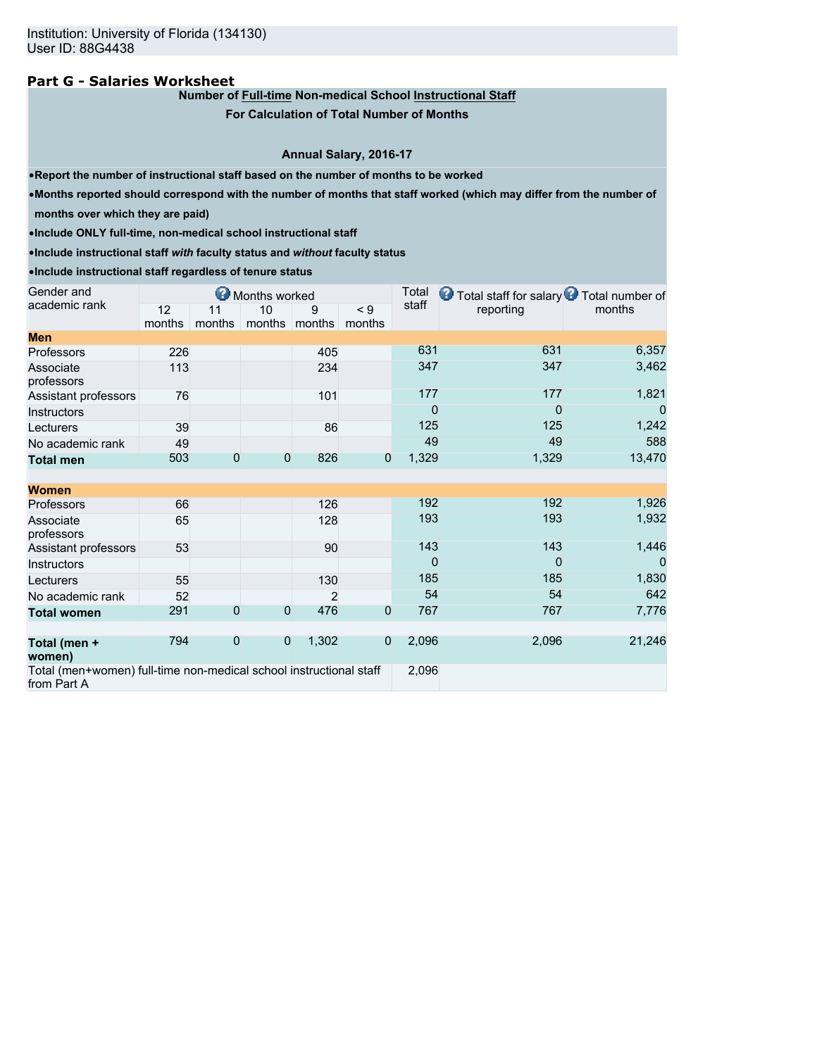### **Part G - Salaries Worksheet**

## **Number of Full-time Non-medical School Instructional Staff**

**For Calculation of Total Number of Months**

#### **Annual Salary, 2016-17**

•**Report the number of instructional staff based on the number of months to be worked**

•**Months reported should correspond with the number of months that staff worked (which may differ from the number of**

**months over which they are paid)**

•**Include ONLY full-time, non-medical school instructional staff**

•**Include instructional staff** *with* **faculty status and** *without* **faculty status**

•**Include instructional staff regardless of tenure status**

| Gender and                                                                        |        |                | Months worked |        |                | Total          | <b>O</b> Total staff for salary <b>O</b> Total number of |          |
|-----------------------------------------------------------------------------------|--------|----------------|---------------|--------|----------------|----------------|----------------------------------------------------------|----------|
| academic rank                                                                     | 12     | 11             | 10            | 9      | < 9            | staff          | reporting                                                | months   |
|                                                                                   | months | months         | months        | months | months         |                |                                                          |          |
| <b>Men</b>                                                                        |        |                |               |        |                |                |                                                          |          |
| Professors                                                                        | 226    |                |               | 405    |                | 631            | 631                                                      | 6,357    |
| Associate<br>professors                                                           | 113    |                |               | 234    |                | 347            | 347                                                      | 3,462    |
| Assistant professors                                                              | 76     |                |               | 101    |                | 177            | 177                                                      | 1,821    |
| Instructors                                                                       |        |                |               |        |                | $\overline{0}$ | 0                                                        | $\Omega$ |
| Lecturers                                                                         | 39     |                |               | 86     |                | 125            | 125                                                      | 1,242    |
| No academic rank                                                                  | 49     |                |               |        |                | 49             | 49                                                       | 588      |
| <b>Total men</b>                                                                  | 503    | $\mathbf{0}$   | $\mathbf 0$   | 826    | $\overline{0}$ | 1,329          | 1,329                                                    | 13,470   |
|                                                                                   |        |                |               |        |                |                |                                                          |          |
| <b>Women</b>                                                                      |        |                |               |        |                |                |                                                          |          |
| Professors                                                                        | 66     |                |               | 126    |                | 192            | 192                                                      | 1,926    |
| Associate<br>professors                                                           | 65     |                |               | 128    |                | 193            | 193                                                      | 1,932    |
| Assistant professors                                                              | 53     |                |               | 90     |                | 143            | 143                                                      | 1,446    |
| Instructors                                                                       |        |                |               |        |                | 0              | 0                                                        |          |
| Lecturers                                                                         | 55     |                |               | 130    |                | 185            | 185                                                      | 1,830    |
| No academic rank                                                                  | 52     |                |               | 2      |                | 54             | 54                                                       | 642      |
| <b>Total women</b>                                                                | 291    | $\overline{0}$ | $\theta$      | 476    | $\overline{0}$ | 767            | 767                                                      | 7,776    |
| Total (men +<br>women)                                                            | 794    | $\mathbf{0}$   | 0             | 1,302  | $\overline{0}$ | 2,096          | 2,096                                                    | 21,246   |
| Total (men+women) full-time non-medical school instructional staff<br>from Part A |        |                |               |        |                |                | 2,096                                                    |          |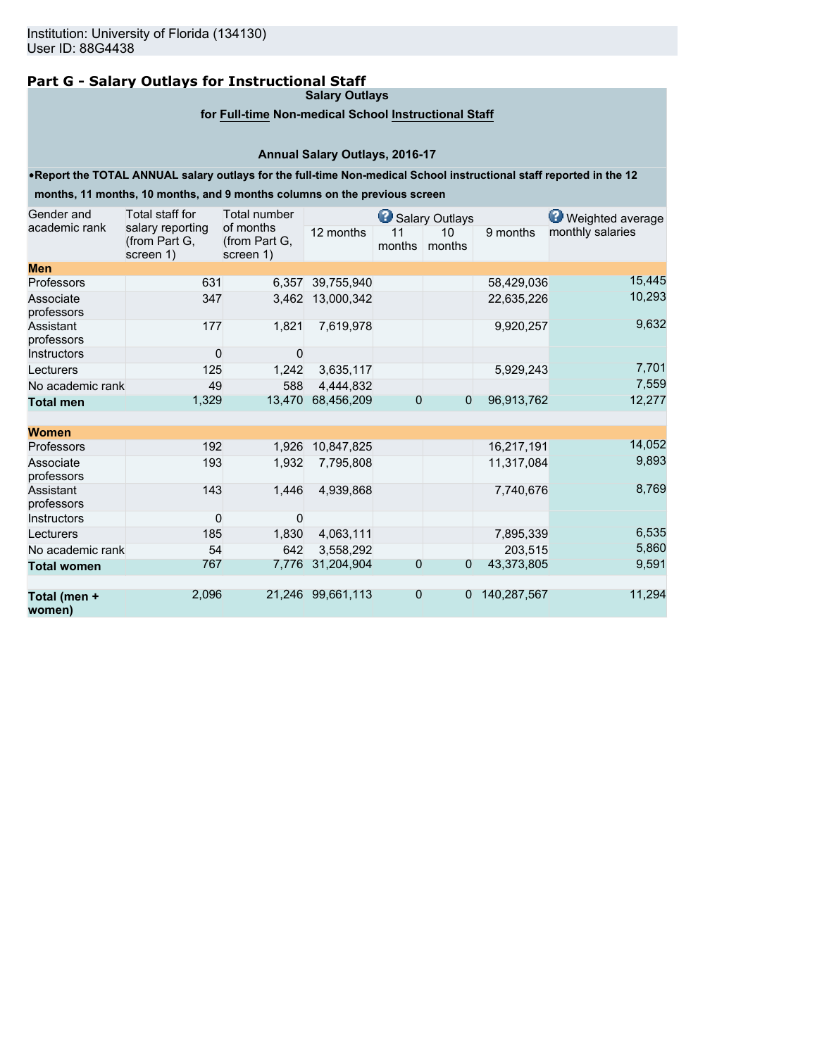# **Part G - Salary Outlays for Instructional Staff**

**Salary Outlays**

### **for Full-time Non-medical School Instructional Staff**

## **Annual Salary Outlays, 2016-17**

#### •**Report the TOTAL ANNUAL salary outlays for the full-time Non-medical School instructional staff reported in the 12**

**months, 11 months, 10 months, and 9 months columns on the previous screen**

| Gender and              | Total staff for                                | Total number                            |                   |                | Salary Outlays |             |                  |  |  |  |
|-------------------------|------------------------------------------------|-----------------------------------------|-------------------|----------------|----------------|-------------|------------------|--|--|--|
| academic rank           | salary reporting<br>(from Part G,<br>screen 1) | of months<br>(from Part G,<br>screen 1) | 12 months         | 11<br>months   | 10<br>months   | 9 months    | monthly salaries |  |  |  |
| <b>Men</b>              |                                                |                                         |                   |                |                |             |                  |  |  |  |
| Professors              | 631                                            | 6.357                                   | 39,755,940        |                |                | 58,429,036  | 15,445           |  |  |  |
| Associate<br>professors | 347                                            | 3,462                                   | 13,000,342        |                |                | 22,635,226  | 10,293           |  |  |  |
| Assistant<br>professors | 177                                            | 1,821                                   | 7,619,978         |                |                | 9,920,257   | 9,632            |  |  |  |
| Instructors             | $\mathbf 0$                                    | 0                                       |                   |                |                |             |                  |  |  |  |
| Lecturers               | 125                                            | 1,242                                   | 3,635,117         |                |                | 5,929,243   | 7,701            |  |  |  |
| No academic rank        | 49                                             | 588                                     | 4.444.832         |                |                |             | 7,559            |  |  |  |
| <b>Total men</b>        | 1,329                                          | 13,470                                  | 68,456,209        | $\overline{0}$ | $\overline{0}$ | 96,913,762  | 12,277           |  |  |  |
| <b>Women</b>            |                                                |                                         |                   |                |                |             |                  |  |  |  |
| Professors              | 192                                            | 1,926                                   | 10,847,825        |                |                | 16,217,191  | 14,052           |  |  |  |
| Associate<br>professors | 193                                            | 1,932                                   | 7,795,808         |                |                | 11,317,084  | 9,893            |  |  |  |
| Assistant<br>professors | 143                                            | 1,446                                   | 4,939,868         |                |                | 7,740,676   | 8,769            |  |  |  |
| Instructors             | 0                                              | 0                                       |                   |                |                |             |                  |  |  |  |
| Lecturers               | 185                                            | 1,830                                   | 4,063,111         |                |                | 7,895,339   | 6,535            |  |  |  |
| No academic rank        | 54                                             | 642                                     | 3,558,292         |                |                | 203,515     | 5,860            |  |  |  |
| <b>Total women</b>      | 767                                            | 7,776                                   | 31,204,904        | $\overline{0}$ | $\overline{0}$ | 43,373,805  | 9,591            |  |  |  |
| Total (men +<br>women)  | 2,096                                          |                                         | 21.246 99.661.113 | $\overline{0}$ | 0              | 140,287,567 | 11,294           |  |  |  |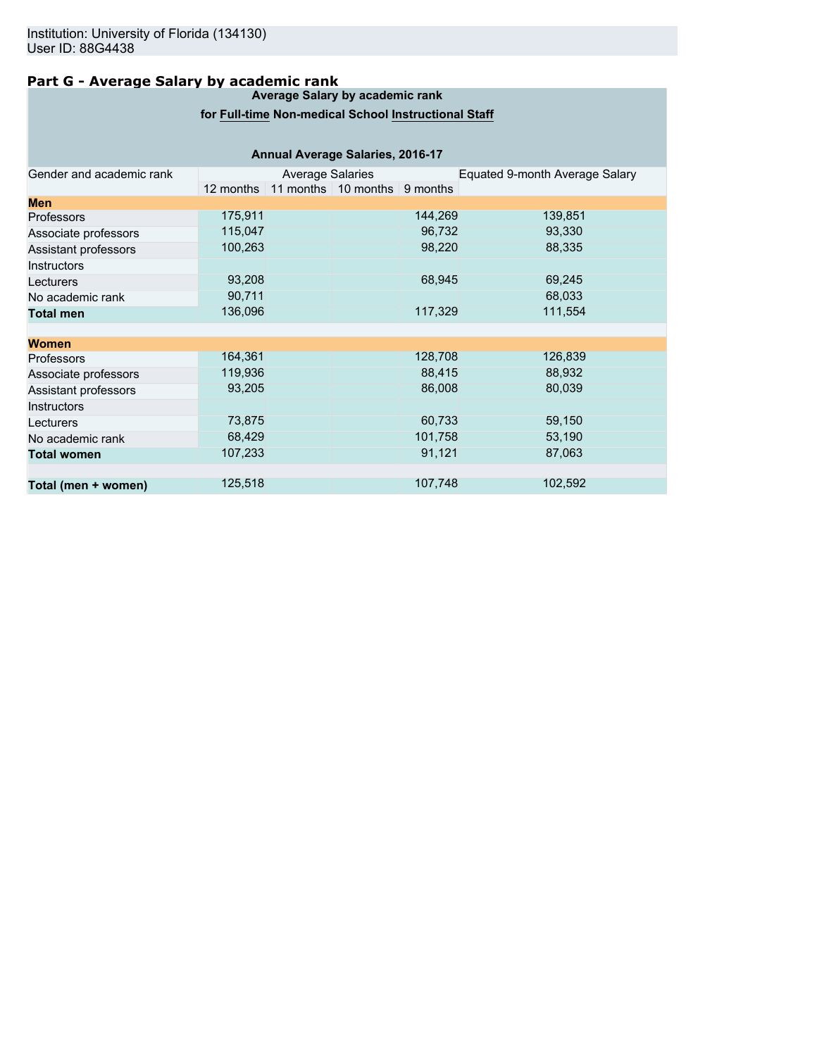## **Part G - Average Salary by academic rank**

#### **Average Salary by academic rank**

## **for Full-time Non-medical School Instructional Staff**

| <b>Annual Average Salaries, 2016-17</b> |           |                         |                                  |         |                                |  |  |  |  |  |
|-----------------------------------------|-----------|-------------------------|----------------------------------|---------|--------------------------------|--|--|--|--|--|
| Gender and academic rank                |           | <b>Average Salaries</b> |                                  |         | Equated 9-month Average Salary |  |  |  |  |  |
|                                         | 12 months |                         | 11 months   10 months   9 months |         |                                |  |  |  |  |  |
| <b>Men</b>                              |           |                         |                                  |         |                                |  |  |  |  |  |
| <b>Professors</b>                       | 175,911   |                         |                                  | 144,269 | 139,851                        |  |  |  |  |  |
| Associate professors                    | 115,047   |                         |                                  | 96,732  | 93,330                         |  |  |  |  |  |
| Assistant professors                    | 100,263   |                         |                                  | 98,220  | 88,335                         |  |  |  |  |  |
| <b>Instructors</b>                      |           |                         |                                  |         |                                |  |  |  |  |  |
| Lecturers                               | 93,208    |                         |                                  | 68,945  | 69,245                         |  |  |  |  |  |
| No academic rank                        | 90,711    |                         |                                  |         | 68,033                         |  |  |  |  |  |
| <b>Total men</b>                        | 136,096   |                         |                                  | 117,329 | 111,554                        |  |  |  |  |  |
|                                         |           |                         |                                  |         |                                |  |  |  |  |  |
| <b>Women</b>                            |           |                         |                                  |         |                                |  |  |  |  |  |
| <b>Professors</b>                       | 164,361   |                         |                                  | 128,708 | 126,839                        |  |  |  |  |  |
| Associate professors                    | 119,936   |                         |                                  | 88,415  | 88,932                         |  |  |  |  |  |
| Assistant professors                    | 93,205    |                         |                                  | 86,008  | 80,039                         |  |  |  |  |  |
| <b>Instructors</b>                      |           |                         |                                  |         |                                |  |  |  |  |  |
| Lecturers                               | 73,875    |                         |                                  | 60,733  | 59,150                         |  |  |  |  |  |
| No academic rank                        | 68,429    |                         |                                  | 101,758 | 53,190                         |  |  |  |  |  |
| <b>Total women</b>                      | 107,233   |                         |                                  | 91,121  | 87,063                         |  |  |  |  |  |
|                                         |           |                         |                                  |         |                                |  |  |  |  |  |
| Total (men + women)                     | 125,518   |                         |                                  | 107,748 | 102,592                        |  |  |  |  |  |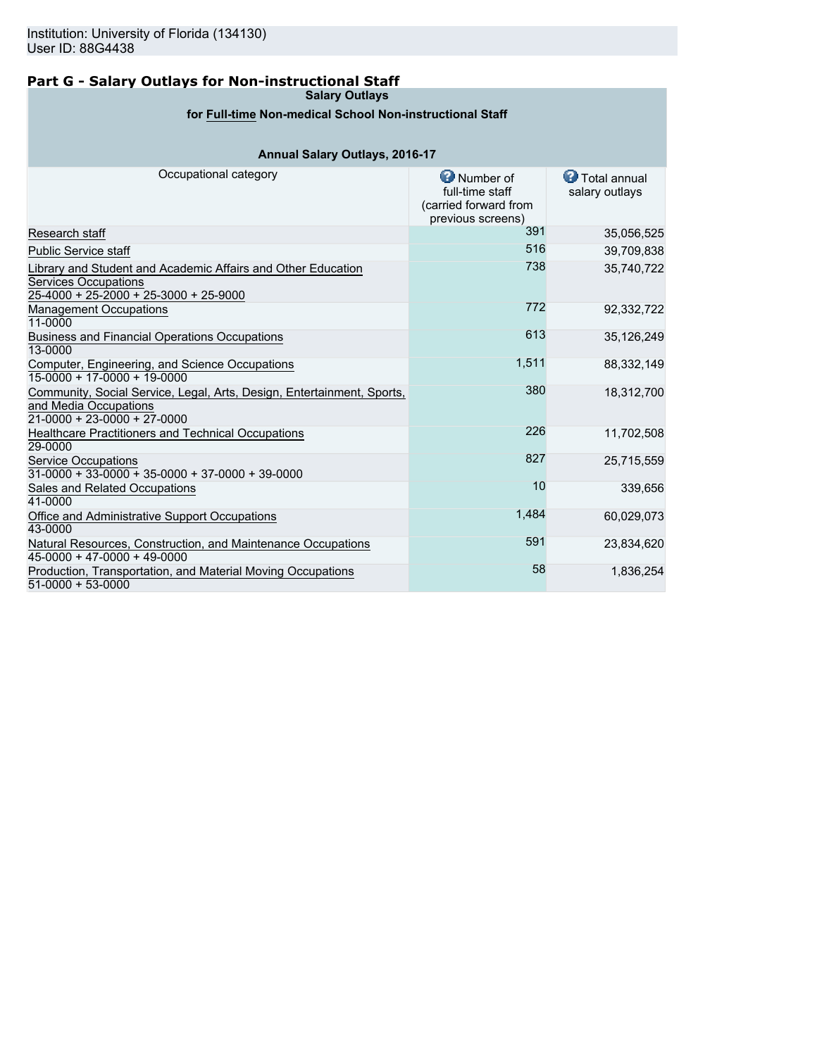## **Part G - Salary Outlays for Non-instructional Staff**

**Salary Outlays**

## **for Full-time Non-medical School Non-instructional Staff**

## **Annual Salary Outlays, 2016-17**

| Occupational category                                                                                                                  | Number of<br>full-time staff<br>(carried forward from<br>previous screens) | <b>D</b> Total annual<br>salary outlays |
|----------------------------------------------------------------------------------------------------------------------------------------|----------------------------------------------------------------------------|-----------------------------------------|
| Research staff                                                                                                                         | 391                                                                        | 35,056,525                              |
| <b>Public Service staff</b>                                                                                                            | 516                                                                        | 39,709,838                              |
| Library and Student and Academic Affairs and Other Education<br><b>Services Occupations</b><br>$25-4000 + 25-2000 + 25-3000 + 25-9000$ | 738                                                                        | 35,740,722                              |
| <b>Management Occupations</b><br>11-0000                                                                                               | 772                                                                        | 92,332,722                              |
| Business and Financial Operations Occupations<br>13-0000                                                                               | 613                                                                        | 35,126,249                              |
| Computer, Engineering, and Science Occupations<br>$15-0000 + 17-0000 + 19-0000$                                                        | 1,511                                                                      | 88,332,149                              |
| Community, Social Service, Legal, Arts, Design, Entertainment, Sports,<br>and Media Occupations<br>$21-0000 + 23-0000 + 27-0000$       | 380                                                                        | 18,312,700                              |
| Healthcare Practitioners and Technical Occupations<br>29-0000                                                                          | 226                                                                        | 11,702,508                              |
| <b>Service Occupations</b><br>$31-0000 + 33-0000 + 35-0000 + 37-0000 + 39-0000$                                                        | 827                                                                        | 25,715,559                              |
| Sales and Related Occupations<br>41-0000                                                                                               | 10                                                                         | 339,656                                 |
| Office and Administrative Support Occupations<br>43-0000                                                                               | 1,484                                                                      | 60,029,073                              |
| Natural Resources, Construction, and Maintenance Occupations<br>$45-0000 + 47-0000 + 49-0000$                                          | 591                                                                        | 23,834,620                              |
| Production, Transportation, and Material Moving Occupations<br>$51-0000 + 53-0000$                                                     | 58                                                                         | 1,836,254                               |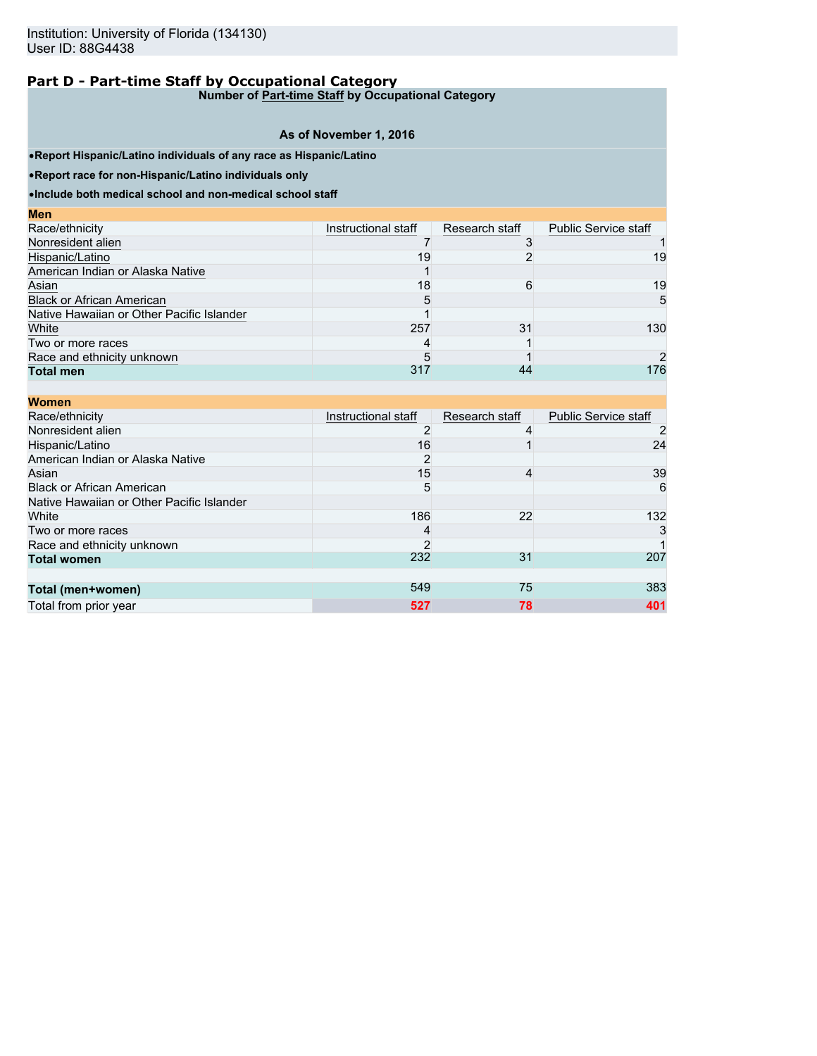**Number of Part-time Staff by Occupational Category**

## **As of November 1, 2016**

•**Report Hispanic/Latino individuals of any race as Hispanic/Latino**

•**Report race for non-Hispanic/Latino individuals only**

| <b>Men</b>                                |                     |                |                             |
|-------------------------------------------|---------------------|----------------|-----------------------------|
| Race/ethnicity                            | Instructional staff | Research staff | <b>Public Service staff</b> |
| Nonresident alien                         |                     |                |                             |
| Hispanic/Latino                           | 19                  |                | 19                          |
| American Indian or Alaska Native          |                     |                |                             |
| Asian                                     | 18                  | 6              | 19                          |
| <b>Black or African American</b>          | 5                   |                | 5                           |
| Native Hawaiian or Other Pacific Islander |                     |                |                             |
| White                                     | 257                 | 31             | 130                         |
| Two or more races                         | 4                   |                |                             |
| Race and ethnicity unknown                | 5                   |                |                             |
| <b>Total men</b>                          | 317                 | 44             | 176                         |

| <b>Women</b>                              |                     |                |                             |
|-------------------------------------------|---------------------|----------------|-----------------------------|
| Race/ethnicity                            | Instructional staff | Research staff | <b>Public Service staff</b> |
| Nonresident alien                         | 2                   |                |                             |
| Hispanic/Latino                           | 16                  |                | 24                          |
| American Indian or Alaska Native          | 2                   |                |                             |
| Asian                                     | 15                  | 4              | 39                          |
| <b>Black or African American</b>          | 5                   |                | 6                           |
| Native Hawaiian or Other Pacific Islander |                     |                |                             |
| White                                     | 186                 | 22             | 132                         |
| Two or more races                         | 4                   |                | 3                           |
| Race and ethnicity unknown                | 2                   |                |                             |
| <b>Total women</b>                        | 232                 | 31             | 207                         |
|                                           |                     |                |                             |
| Total (men+women)                         | 549                 | 75             | 383                         |
| Total from prior year                     | 527                 | 78             | 401                         |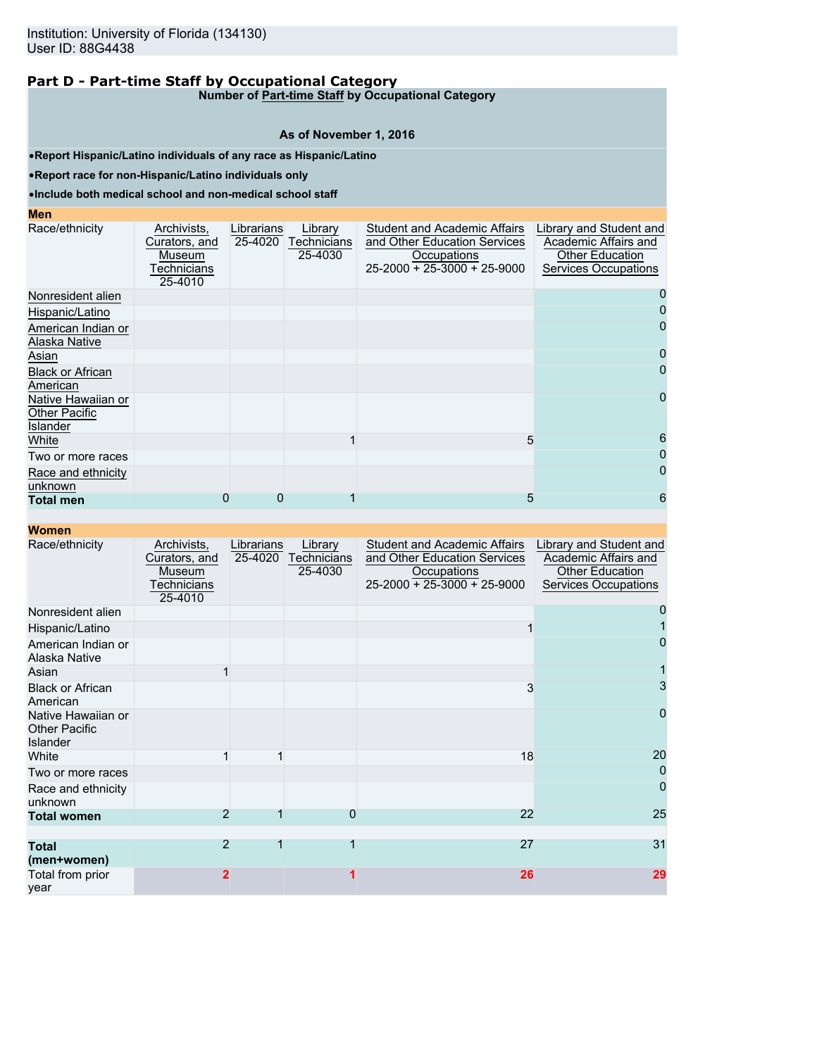**Number of Part-time Staff by Occupational Category**

#### **As of November 1, 2016**

•**Report Hispanic/Latino individuals of any race as Hispanic/Latino**

•**Report race for non-Hispanic/Latino individuals only**

#### •**Include both medical school and non-medical school staff**

## **Men**

| Race/ethnicity                                         | Archivists,<br>Curators, and<br>Museum<br><b>Fechnicians</b><br>25-4010 | Librarians<br>25-4020 | Library<br>Technicians<br>25-4030 | <b>Student and Academic Affairs</b><br>and Other Education Services<br>Occupations<br>$25 - 2000 + 25 - 3000 + 25 - 9000$ | Library and Student and<br>Academic Affairs and<br>Other Education<br>Services Occupations |
|--------------------------------------------------------|-------------------------------------------------------------------------|-----------------------|-----------------------------------|---------------------------------------------------------------------------------------------------------------------------|--------------------------------------------------------------------------------------------|
| Nonresident alien                                      |                                                                         |                       |                                   |                                                                                                                           |                                                                                            |
| Hispanic/Latino                                        |                                                                         |                       |                                   |                                                                                                                           |                                                                                            |
| American Indian or<br>Alaska Native                    |                                                                         |                       |                                   |                                                                                                                           | 0                                                                                          |
| Asian                                                  |                                                                         |                       |                                   |                                                                                                                           |                                                                                            |
| <b>Black or African</b><br>American                    |                                                                         |                       |                                   |                                                                                                                           |                                                                                            |
| Native Hawaiian or<br><b>Other Pacific</b><br>Islander |                                                                         |                       |                                   |                                                                                                                           | 0                                                                                          |
| White                                                  |                                                                         |                       |                                   | 5                                                                                                                         | 6                                                                                          |
| Two or more races                                      |                                                                         |                       |                                   |                                                                                                                           |                                                                                            |
| Race and ethnicity<br>unknown                          |                                                                         |                       |                                   |                                                                                                                           |                                                                                            |
| <b>Total men</b>                                       | 0                                                                       | 0                     |                                   | 5                                                                                                                         | 6                                                                                          |

| Race/ethnicity                                                | Archivists,<br>Curators, and<br>Museum<br><u>Fechnicians</u> | Librarians<br>25-4020 | Library<br>Technicians<br>25-4030 | <b>Student and Academic Affairs</b><br>and Other Education Services<br>Occupations<br>$25-2000 + 25-3000 + 25-9000$ | Library and Student and<br>Academic Affairs and<br><b>Other Education</b><br>Services Occupations |
|---------------------------------------------------------------|--------------------------------------------------------------|-----------------------|-----------------------------------|---------------------------------------------------------------------------------------------------------------------|---------------------------------------------------------------------------------------------------|
|                                                               | 25-4010                                                      |                       |                                   |                                                                                                                     |                                                                                                   |
| Nonresident alien                                             |                                                              |                       |                                   |                                                                                                                     |                                                                                                   |
| Hispanic/Latino                                               |                                                              |                       |                                   |                                                                                                                     |                                                                                                   |
| American Indian or<br>Alaska Native                           |                                                              |                       |                                   |                                                                                                                     | 0                                                                                                 |
| Asian                                                         |                                                              |                       |                                   |                                                                                                                     |                                                                                                   |
| <b>Black or African</b><br>American                           |                                                              |                       |                                   | 3                                                                                                                   | 3                                                                                                 |
| Native Hawaiian or<br><b>Other Pacific</b><br><b>Islander</b> |                                                              |                       |                                   |                                                                                                                     | $\overline{0}$                                                                                    |
| White                                                         |                                                              |                       |                                   | 18                                                                                                                  | 20                                                                                                |
| Two or more races                                             |                                                              |                       |                                   |                                                                                                                     | $\mathbf 0$                                                                                       |
| Race and ethnicity<br>unknown                                 |                                                              |                       |                                   |                                                                                                                     | $\overline{0}$                                                                                    |
| <b>Total women</b>                                            | $\overline{2}$                                               |                       | 0                                 | 22                                                                                                                  | 25                                                                                                |
|                                                               |                                                              |                       |                                   |                                                                                                                     |                                                                                                   |
| <b>Total</b><br>(men+women)                                   | $\overline{2}$                                               | 1                     | 1                                 | 27                                                                                                                  | 31                                                                                                |
| Total from prior<br>vear                                      | $\mathbf{2}$                                                 |                       |                                   | 26                                                                                                                  | 29                                                                                                |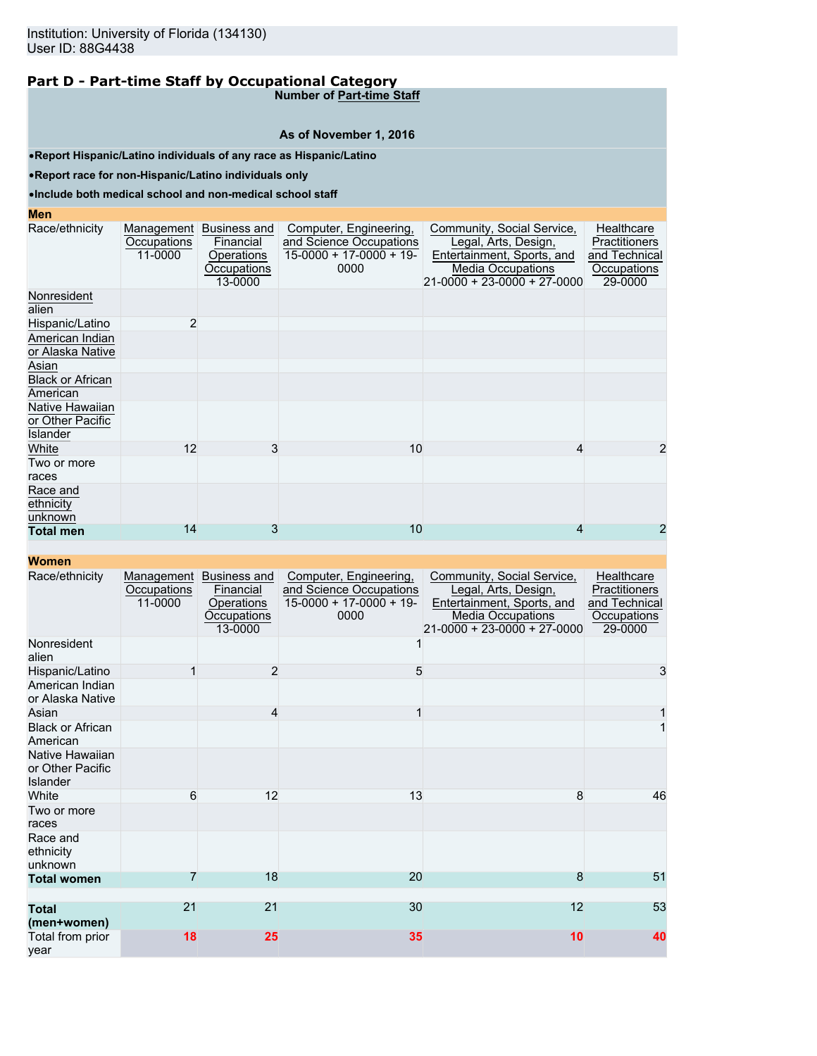**Number of Part-time Staff**

#### **As of November 1, 2016**

•**Report Hispanic/Latino individuals of any race as Hispanic/Latino**

•**Report race for non-Hispanic/Latino individuals only**

#### •**Include both medical school and non-medical school staff**

| <b>Men</b>                                      |                                      |                                                                   |                                                                                       |                                                                                                                                               |                                                                        |
|-------------------------------------------------|--------------------------------------|-------------------------------------------------------------------|---------------------------------------------------------------------------------------|-----------------------------------------------------------------------------------------------------------------------------------------------|------------------------------------------------------------------------|
| Race/ethnicity                                  | Management<br>Occupations<br>11-0000 | Business and<br>Financial<br>Operations<br>Occupations<br>13-0000 | Computer, Engineering,<br>and Science Occupations<br>$15-0000 + 17-0000 + 19$<br>0000 | Community, Social Service,<br>Legal, Arts, Design,<br>Entertainment, Sports, and<br><b>Media Occupations</b><br>$21-0000 + 23-0000 + 27-0000$ | Healthcare<br>Practitioners<br>and Technical<br>Occupations<br>29-0000 |
| Nonresident<br>alien                            |                                      |                                                                   |                                                                                       |                                                                                                                                               |                                                                        |
| Hispanic/Latino                                 | $\overline{2}$                       |                                                                   |                                                                                       |                                                                                                                                               |                                                                        |
| American Indian<br>or Alaska Native             |                                      |                                                                   |                                                                                       |                                                                                                                                               |                                                                        |
| Asian                                           |                                      |                                                                   |                                                                                       |                                                                                                                                               |                                                                        |
| <b>Black or African</b><br>American             |                                      |                                                                   |                                                                                       |                                                                                                                                               |                                                                        |
| Native Hawaiian<br>or Other Pacific<br>Islander |                                      |                                                                   |                                                                                       |                                                                                                                                               |                                                                        |
| White                                           | 12                                   | 3                                                                 | 10                                                                                    | 4                                                                                                                                             | 2                                                                      |
| Two or more<br>races                            |                                      |                                                                   |                                                                                       |                                                                                                                                               |                                                                        |
| Race and<br>ethnicity<br>unknown                |                                      |                                                                   |                                                                                       |                                                                                                                                               |                                                                        |
| <b>Total men</b>                                | 14                                   | 3                                                                 | 10                                                                                    |                                                                                                                                               | 2                                                                      |

| Race/ethnicity                                  | Management<br>Occupations<br>11-0000 | <b>Business and</b><br>Financial<br>Operations<br>Occupations<br>13-0000 | Computer, Engineering,<br>and Science Occupations<br>$15-0000 + 17-0000 + 19$<br>0000 | Community, Social Service,<br>Legal, Arts, Design,<br>Entertainment, Sports, and<br><b>Media Occupations</b><br>$21 - 0000 + 23 - 0000 + 27 - 0000$ | Healthcare<br><b>Practitioners</b><br>and Technical<br>Occupations<br>29-0000 |
|-------------------------------------------------|--------------------------------------|--------------------------------------------------------------------------|---------------------------------------------------------------------------------------|-----------------------------------------------------------------------------------------------------------------------------------------------------|-------------------------------------------------------------------------------|
| Nonresident<br>alien                            |                                      |                                                                          |                                                                                       |                                                                                                                                                     |                                                                               |
| Hispanic/Latino                                 | 1                                    | 2                                                                        | 5                                                                                     |                                                                                                                                                     | 3                                                                             |
| American Indian<br>or Alaska Native             |                                      |                                                                          |                                                                                       |                                                                                                                                                     |                                                                               |
| Asian                                           |                                      | $\overline{4}$                                                           | 1                                                                                     |                                                                                                                                                     | 1                                                                             |
| <b>Black or African</b><br>American             |                                      |                                                                          |                                                                                       |                                                                                                                                                     | 1                                                                             |
| Native Hawaiian<br>or Other Pacific<br>Islander |                                      |                                                                          |                                                                                       |                                                                                                                                                     |                                                                               |
| White                                           | 6                                    | 12                                                                       | 13                                                                                    | 8                                                                                                                                                   | 46                                                                            |
| Two or more<br>races                            |                                      |                                                                          |                                                                                       |                                                                                                                                                     |                                                                               |
| Race and<br>ethnicity<br>unknown                |                                      |                                                                          |                                                                                       |                                                                                                                                                     |                                                                               |
| <b>Total women</b>                              | 7                                    | 18                                                                       | 20                                                                                    | 8                                                                                                                                                   | 51                                                                            |
| <b>Total</b><br>(men+women)                     | 21                                   | 21                                                                       | 30                                                                                    | 12                                                                                                                                                  | 53                                                                            |
| Total from prior<br>vear                        | 18                                   | 25                                                                       | 35                                                                                    | 10                                                                                                                                                  | 40                                                                            |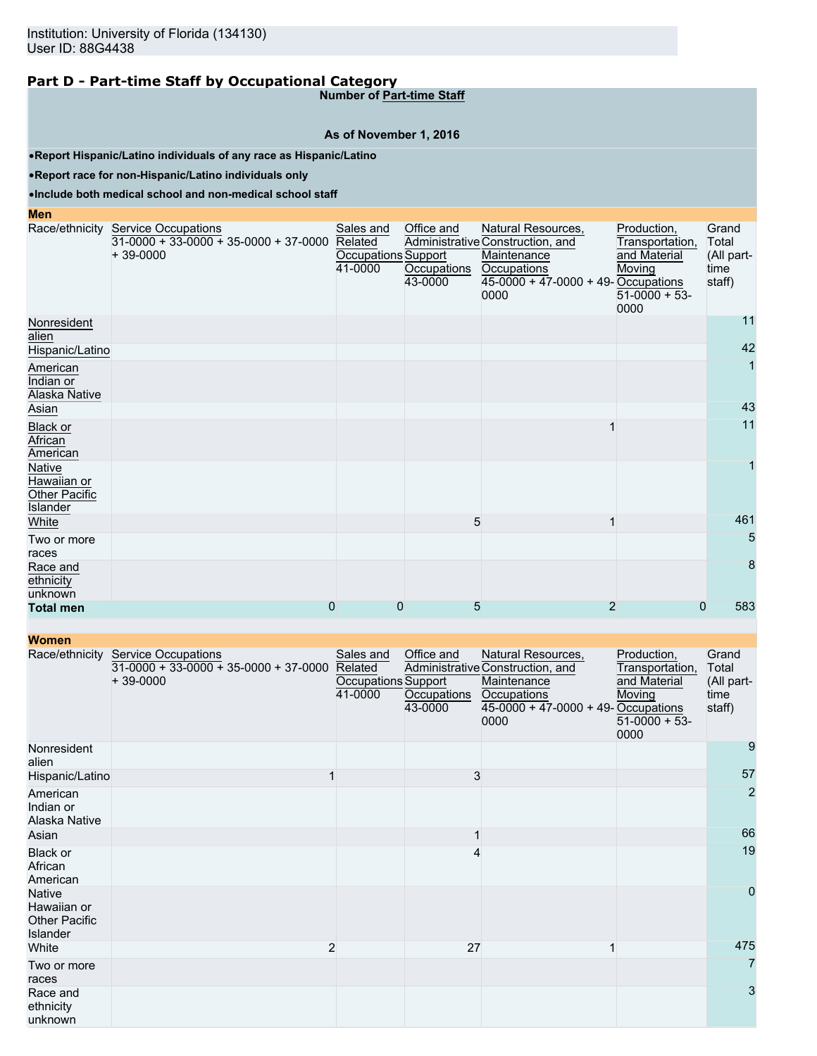**Number of Part-time Staff**

#### **As of November 1, 2016**

•**Report Hispanic/Latino individuals of any race as Hispanic/Latino**

•**Report race for non-Hispanic/Latino individuals only**

#### •**Include both medical school and non-medical school staff**

**Men**

|                                                    | Race/ethnicity Service Occupations<br>$31-0000 + 33-0000 + 35-0000 + 37-0000$<br>$+39-0000$ | Sales and<br>Related<br>Occupations Support<br>41-0000 | Office and<br>Occupations<br>43-0000 | Natural Resources,<br>Administrative Construction, and<br>Maintenance<br>Occupations<br>$45-0000 + 47-0000 + 49$ -Occupations<br>0000 | Production,<br>Transportation,<br>and Material<br>Moving<br>$51-0000 + 53$ -<br>0000 | Grand<br>Total<br>(All part-<br>time<br>staff) |
|----------------------------------------------------|---------------------------------------------------------------------------------------------|--------------------------------------------------------|--------------------------------------|---------------------------------------------------------------------------------------------------------------------------------------|--------------------------------------------------------------------------------------|------------------------------------------------|
| Nonresident<br>alien                               |                                                                                             |                                                        |                                      |                                                                                                                                       |                                                                                      | 11                                             |
| Hispanic/Latino                                    |                                                                                             |                                                        |                                      |                                                                                                                                       |                                                                                      | 42                                             |
| American<br>Indian or<br>Alaska Native             |                                                                                             |                                                        |                                      |                                                                                                                                       |                                                                                      | 1                                              |
| Asian                                              |                                                                                             |                                                        |                                      |                                                                                                                                       |                                                                                      | 43                                             |
| Black or<br>African<br>American                    |                                                                                             |                                                        |                                      |                                                                                                                                       |                                                                                      | 11                                             |
| Native<br>Hawaiian or<br>Other Pacific<br>Islander |                                                                                             |                                                        |                                      |                                                                                                                                       |                                                                                      | 1                                              |
| White                                              |                                                                                             |                                                        |                                      | 5<br>1                                                                                                                                |                                                                                      | 461                                            |
| Two or more<br>races                               |                                                                                             |                                                        |                                      |                                                                                                                                       |                                                                                      | 5                                              |
| Race and<br>ethnicity<br>unknown                   |                                                                                             |                                                        |                                      |                                                                                                                                       |                                                                                      | 8                                              |
| <b>Total men</b>                                   | 0                                                                                           | 0                                                      | 5                                    | 2                                                                                                                                     | 0                                                                                    | 583                                            |

| <b>TYVIIIGH</b>                                                  |                                                                                             |                                                               |                                      |                                                                                                                                       |                                                                                     |                                                |
|------------------------------------------------------------------|---------------------------------------------------------------------------------------------|---------------------------------------------------------------|--------------------------------------|---------------------------------------------------------------------------------------------------------------------------------------|-------------------------------------------------------------------------------------|------------------------------------------------|
|                                                                  | Race/ethnicity Service Occupations<br>$31-0000 + 33-0000 + 35-0000 + 37-0000$<br>$+39-0000$ | Sales and<br>Related<br><b>Occupations Support</b><br>41-0000 | Office and<br>Occupations<br>43-0000 | Natural Resources,<br>Administrative Construction, and<br>Maintenance<br>Occupations<br>$45-0000 + 47-0000 + 49$ -Occupations<br>0000 | Production,<br>Transportation,<br>and Material<br>Moving<br>$51-0000 + 53-$<br>0000 | Grand<br>Total<br>(All part-<br>time<br>staff) |
| Nonresident<br>alien                                             |                                                                                             |                                                               |                                      |                                                                                                                                       |                                                                                     | 9                                              |
| Hispanic/Latino                                                  |                                                                                             |                                                               | 3                                    |                                                                                                                                       |                                                                                     | 57                                             |
| American<br>Indian or<br>Alaska Native                           |                                                                                             |                                                               |                                      |                                                                                                                                       |                                                                                     | $\overline{2}$                                 |
| Asian                                                            |                                                                                             |                                                               |                                      |                                                                                                                                       |                                                                                     | 66                                             |
| Black or<br>African<br>American                                  |                                                                                             |                                                               | 4                                    |                                                                                                                                       |                                                                                     | 19                                             |
| <b>Native</b><br>Hawaiian or<br><b>Other Pacific</b><br>Islander |                                                                                             |                                                               |                                      |                                                                                                                                       |                                                                                     | $\overline{0}$                                 |
| White                                                            | 2                                                                                           |                                                               | 27                                   |                                                                                                                                       |                                                                                     | 475                                            |
| Two or more<br>races                                             |                                                                                             |                                                               |                                      |                                                                                                                                       |                                                                                     | 7                                              |
| Race and<br>ethnicity<br>unknown                                 |                                                                                             |                                                               |                                      |                                                                                                                                       |                                                                                     | 3                                              |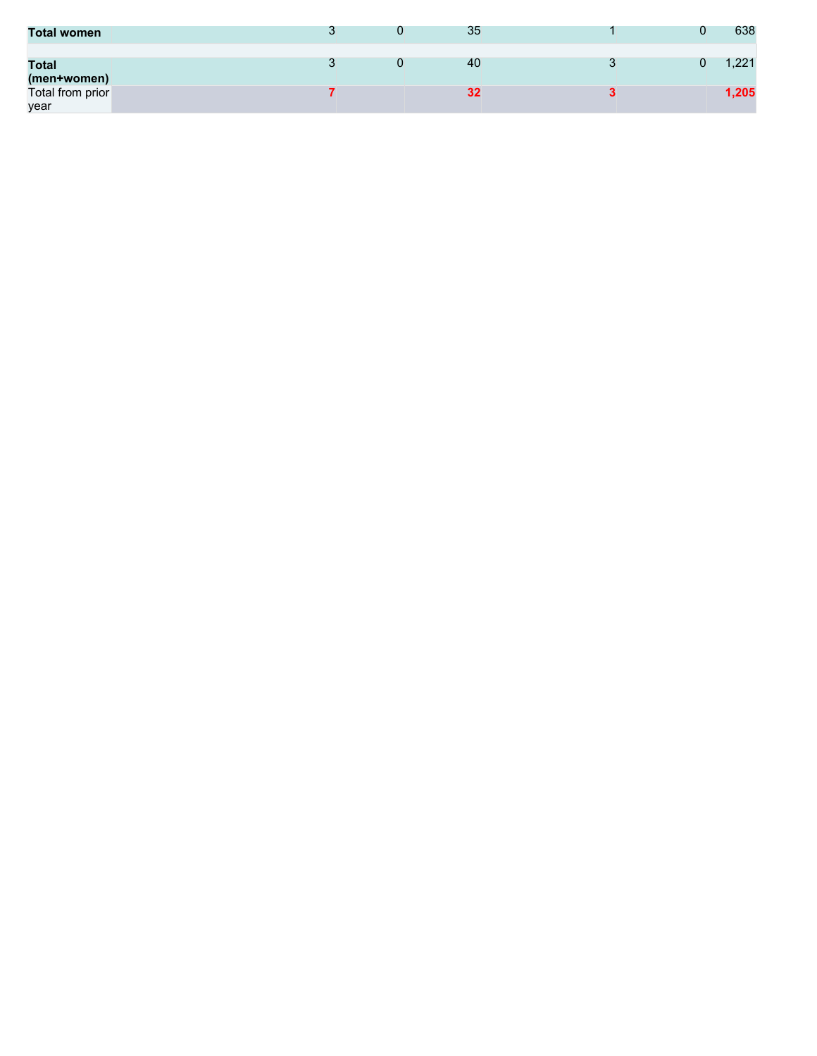| <b>Total women</b>          |  | 35 |  | 638   |
|-----------------------------|--|----|--|-------|
| <b>Total</b><br>(men+women) |  | 40 |  | 1,221 |
| Total from prior<br>year    |  | 32 |  | 1,205 |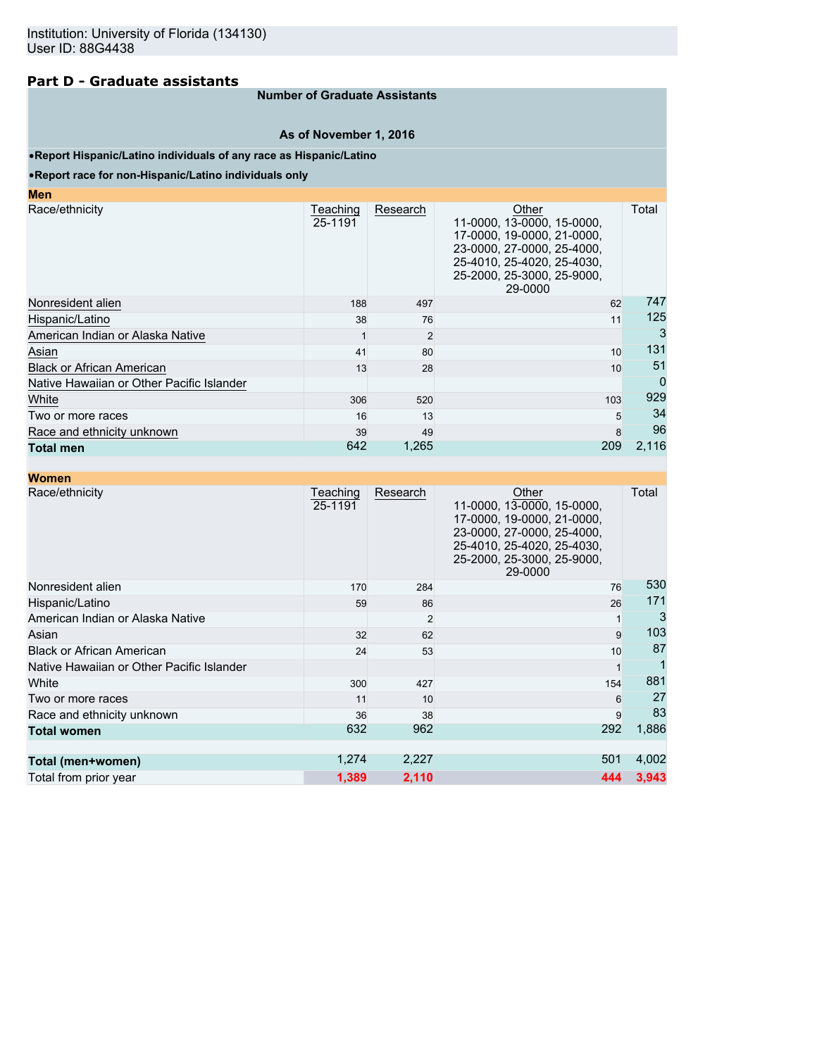## **Part D - Graduate assistants**

### **Number of Graduate Assistants**

#### **As of November 1, 2016**

#### •**Report Hispanic/Latino individuals of any race as Hispanic/Latino**

#### •**Report race for non-Hispanic/Latino individuals only**

| Men                                       |                     |          |                                                                                                                                                                        |             |
|-------------------------------------------|---------------------|----------|------------------------------------------------------------------------------------------------------------------------------------------------------------------------|-------------|
| Race/ethnicity                            | Teaching<br>25-1191 | Research | Other<br>11-0000, 13-0000, 15-0000,<br>17-0000, 19-0000, 21-0000,<br>23-0000, 27-0000, 25-4000,<br>25-4010, 25-4020, 25-4030,<br>25-2000, 25-3000, 25-9000,<br>29-0000 | Total       |
| Nonresident alien                         | 188                 | 497      | 62                                                                                                                                                                     | 747         |
| Hispanic/Latino                           | 38                  | 76       | 11                                                                                                                                                                     | 125         |
| American Indian or Alaska Native          |                     | 2        |                                                                                                                                                                        | 3           |
| Asian                                     | 41                  | 80       | 10                                                                                                                                                                     | 131         |
| <b>Black or African American</b>          | 13                  | 28       | 10                                                                                                                                                                     | 51          |
| Native Hawaiian or Other Pacific Islander |                     |          |                                                                                                                                                                        | $\mathbf 0$ |
| White                                     | 306                 | 520      | 103                                                                                                                                                                    | 929         |
| Two or more races                         | 16                  | 13       | 5                                                                                                                                                                      | 34          |
| Race and ethnicity unknown                | 39                  | 49       | 8                                                                                                                                                                      | 96          |
| <b>Total men</b>                          | 642                 | 1,265    | 209                                                                                                                                                                    | 2,116       |

| <b>Women</b>                              |                     |                |                                                                                                                                                                        |       |
|-------------------------------------------|---------------------|----------------|------------------------------------------------------------------------------------------------------------------------------------------------------------------------|-------|
| Race/ethnicity                            | Teaching<br>25-1191 | Research       | Other<br>11-0000, 13-0000, 15-0000,<br>17-0000, 19-0000, 21-0000,<br>23-0000, 27-0000, 25-4000,<br>25-4010, 25-4020, 25-4030,<br>25-2000, 25-3000, 25-9000,<br>29-0000 | Total |
| Nonresident alien                         | 170                 | 284            | 76                                                                                                                                                                     | 530   |
| Hispanic/Latino                           | 59                  | 86             | 26                                                                                                                                                                     | 171   |
| American Indian or Alaska Native          |                     | $\overline{2}$ |                                                                                                                                                                        | 3     |
| Asian                                     | 32                  | 62             | 9                                                                                                                                                                      | 103   |
| <b>Black or African American</b>          | 24                  | 53             | 10                                                                                                                                                                     | 87    |
| Native Hawaiian or Other Pacific Islander |                     |                |                                                                                                                                                                        |       |
| White                                     | 300                 | 427            | 154                                                                                                                                                                    | 881   |
| Two or more races                         | 11                  | 10             | 6                                                                                                                                                                      | 27    |
| Race and ethnicity unknown                | 36                  | 38             | 9                                                                                                                                                                      | 83    |
| <b>Total women</b>                        | 632                 | 962            | 292                                                                                                                                                                    | 1,886 |
| Total (men+women)                         | 1,274               | 2,227          | 501                                                                                                                                                                    | 4,002 |
| Total from prior year                     | 1,389               | 2,110          | 444                                                                                                                                                                    | 3,943 |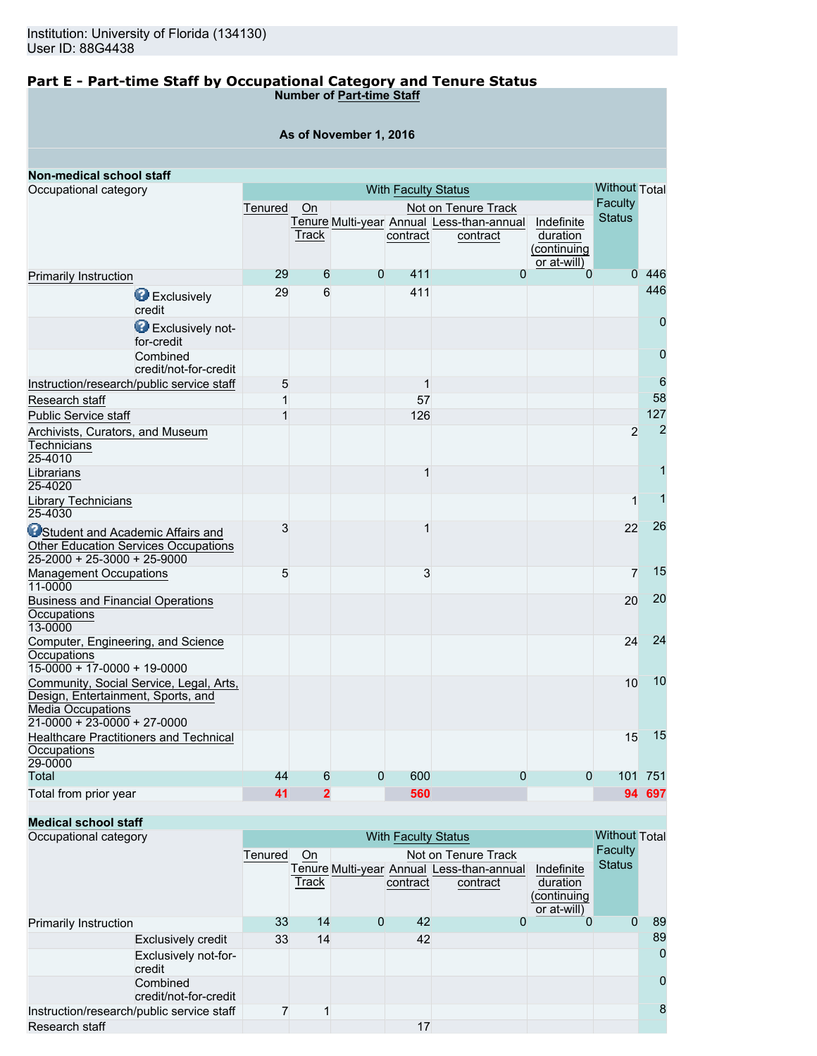#### **Part E - Part-time Staff by Occupational Category and Tenure Status Number of Part-time Staff**

**As of November 1, 2016**

| Non-medical school staff                                                                                                                   |         |                |                      |              |                                                       |                                                      |                |                 |
|--------------------------------------------------------------------------------------------------------------------------------------------|---------|----------------|----------------------|--------------|-------------------------------------------------------|------------------------------------------------------|----------------|-----------------|
| Occupational category                                                                                                                      |         |                | <b>Without Total</b> |              |                                                       |                                                      |                |                 |
|                                                                                                                                            | Tenured | On             |                      |              | Not on Tenure Track                                   |                                                      | Faculty        |                 |
|                                                                                                                                            |         | Track          |                      | contract     | Tenure Multi-year Annual Less-than-annual<br>contract | Indefinite<br>duration<br>(continuing<br>or at-will) | <b>Status</b>  |                 |
| <b>Primarily Instruction</b>                                                                                                               | 29      | 6              | $\overline{0}$       | 411          | $\overline{0}$                                        | $\overline{0}$                                       | $\Omega$       | 446             |
| Exclusively<br>credit                                                                                                                      | 29      | 6              |                      | 411          |                                                       |                                                      |                | 446             |
| Exclusively not-<br>for-credit                                                                                                             |         |                |                      |              |                                                       |                                                      |                | $\mathbf 0$     |
| Combined<br>credit/not-for-credit                                                                                                          |         |                |                      |              |                                                       |                                                      |                | $\overline{0}$  |
| Instruction/research/public service staff                                                                                                  | 5       |                |                      | $\mathbf{1}$ |                                                       |                                                      |                | $6\phantom{1}6$ |
| Research staff                                                                                                                             | 1       |                |                      | 57           |                                                       |                                                      |                | 58              |
| <b>Public Service staff</b>                                                                                                                | 1       |                |                      | 126          |                                                       |                                                      |                | 127             |
| Archivists, Curators, and Museum<br><b>Technicians</b><br>25-4010                                                                          |         |                |                      |              |                                                       |                                                      | $\overline{2}$ | $\overline{2}$  |
| Librarians<br>25-4020                                                                                                                      |         |                |                      | 1            |                                                       |                                                      |                | 1               |
| Library Technicians<br>25-4030                                                                                                             |         |                |                      |              |                                                       |                                                      | 1              | 1               |
| <b>O</b> Student and Academic Affairs and<br><b>Other Education Services Occupations</b><br>$25 - 2000 + 25 - 3000 + 25 - 9000$            | 3       |                |                      | 1            |                                                       |                                                      | 22             | 26              |
| <b>Management Occupations</b><br>11-0000                                                                                                   | 5       |                |                      | 3            |                                                       |                                                      | 7              | 15              |
| <b>Business and Financial Operations</b><br>Occupations<br>13-0000                                                                         |         |                |                      |              |                                                       |                                                      | 20             | 20              |
| Computer, Engineering, and Science<br>Occupations<br>$15-0000 + 17-0000 + 19-0000$                                                         |         |                |                      |              |                                                       |                                                      | 24             | 24              |
| Community, Social Service, Legal, Arts,<br>Design, Entertainment, Sports, and<br><b>Media Occupations</b><br>$21-0000 + 23-0000 + 27-0000$ |         |                |                      |              |                                                       |                                                      | 10             | 10              |
| <b>Healthcare Practitioners and Technical</b><br>Occupations<br>29-0000                                                                    |         |                |                      |              |                                                       |                                                      | 15             | 15              |
| <b>Total</b>                                                                                                                               | 44      | 6              | 0                    | 600          | 0                                                     | 0                                                    | 101            | 751             |
| Total from prior year                                                                                                                      | 41      | $\overline{2}$ |                      | 560          |                                                       |                                                      |                | 94 697          |

#### **Medical school staff**

| Occupational category                     |                                   | <b>With Faculty Status</b> |       |   |          |                                                       |                                                      | <b>Without Total</b> |          |
|-------------------------------------------|-----------------------------------|----------------------------|-------|---|----------|-------------------------------------------------------|------------------------------------------------------|----------------------|----------|
|                                           |                                   | Tenured                    | On    |   |          | Not on Tenure Track                                   |                                                      | Faculty              |          |
|                                           |                                   |                            | Track |   | contract | Tenure Multi-year Annual Less-than-annual<br>contract | Indefinite<br>duration<br>(continuing<br>or at-will) | <b>Status</b>        |          |
| Primarily Instruction                     |                                   | 33                         | 14    | 0 | 42       | 0                                                     | 0                                                    | 0                    | 89       |
|                                           | <b>Exclusively credit</b>         | 33                         | 14    |   | 42       |                                                       |                                                      |                      | 89       |
|                                           | Exclusively not-for-<br>credit    |                            |       |   |          |                                                       |                                                      |                      | $\Omega$ |
|                                           | Combined<br>credit/not-for-credit |                            |       |   |          |                                                       |                                                      |                      | 0        |
| Instruction/research/public service staff |                                   |                            |       |   |          |                                                       |                                                      |                      | 8        |
| Research staff                            |                                   |                            |       |   | 17       |                                                       |                                                      |                      |          |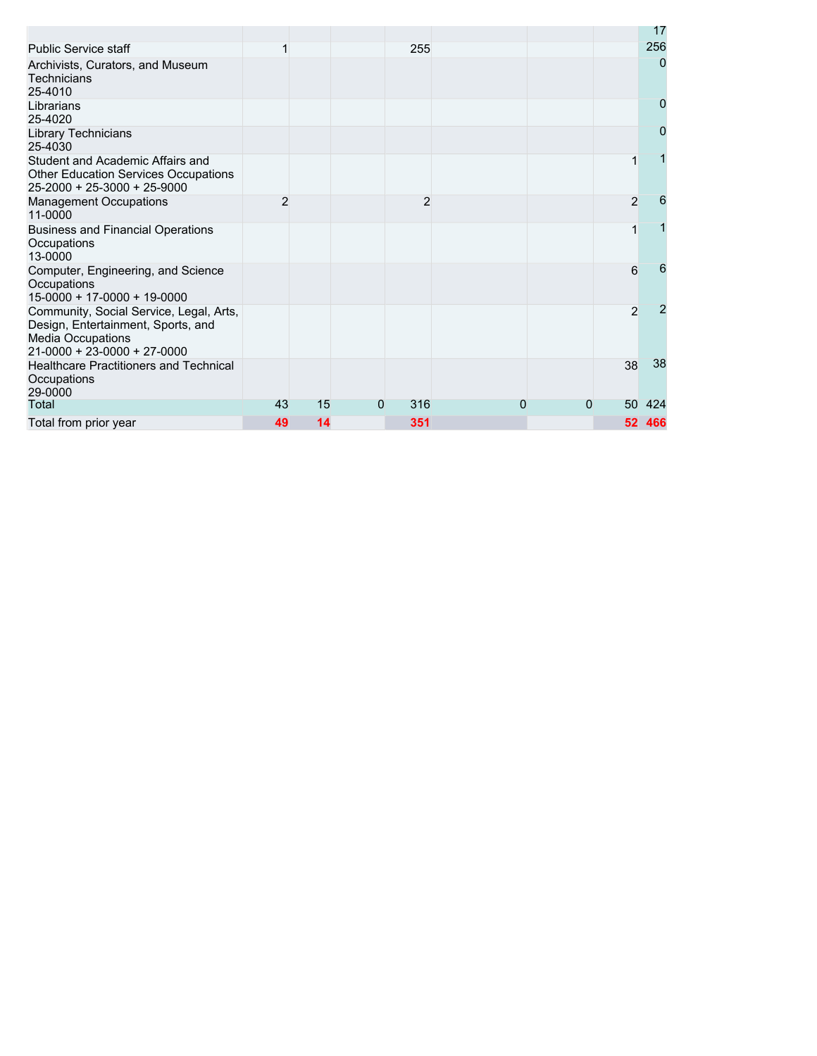|                                                                                                                                            |                |    |   |     |   |   |                 | 17             |
|--------------------------------------------------------------------------------------------------------------------------------------------|----------------|----|---|-----|---|---|-----------------|----------------|
| <b>Public Service staff</b>                                                                                                                |                |    |   | 255 |   |   |                 | 256            |
| Archivists, Curators, and Museum<br><b>Technicians</b><br>25-4010                                                                          |                |    |   |     |   |   |                 | $\overline{0}$ |
| Librarians<br>25-4020                                                                                                                      |                |    |   |     |   |   |                 | 0              |
| <b>Library Technicians</b><br>25-4030                                                                                                      |                |    |   |     |   |   |                 | 0              |
| Student and Academic Affairs and<br><b>Other Education Services Occupations</b><br>25-2000 + 25-3000 + 25-9000                             |                |    |   |     |   |   | 1               |                |
| <b>Management Occupations</b><br>11-0000                                                                                                   | $\overline{2}$ |    |   | 2   |   |   | $\overline{2}$  | 6              |
| <b>Business and Financial Operations</b><br>Occupations<br>13-0000                                                                         |                |    |   |     |   |   | 1               |                |
| Computer, Engineering, and Science<br>Occupations<br>$15-0000 + 17-0000 + 19-0000$                                                         |                |    |   |     |   |   | 6               | 6              |
| Community, Social Service, Legal, Arts,<br>Design, Entertainment, Sports, and<br><b>Media Occupations</b><br>$21-0000 + 23-0000 + 27-0000$ |                |    |   |     |   |   | $\overline{2}$  | 2              |
| <b>Healthcare Practitioners and Technical</b><br>Occupations<br>29-0000                                                                    |                |    |   |     |   |   | 38              | 38             |
| Total                                                                                                                                      | 43             | 15 | 0 | 316 | 0 | 0 | 50              | 424            |
| Total from prior year                                                                                                                      | 49             | 14 |   | 351 |   |   | 52 <sub>2</sub> | 466            |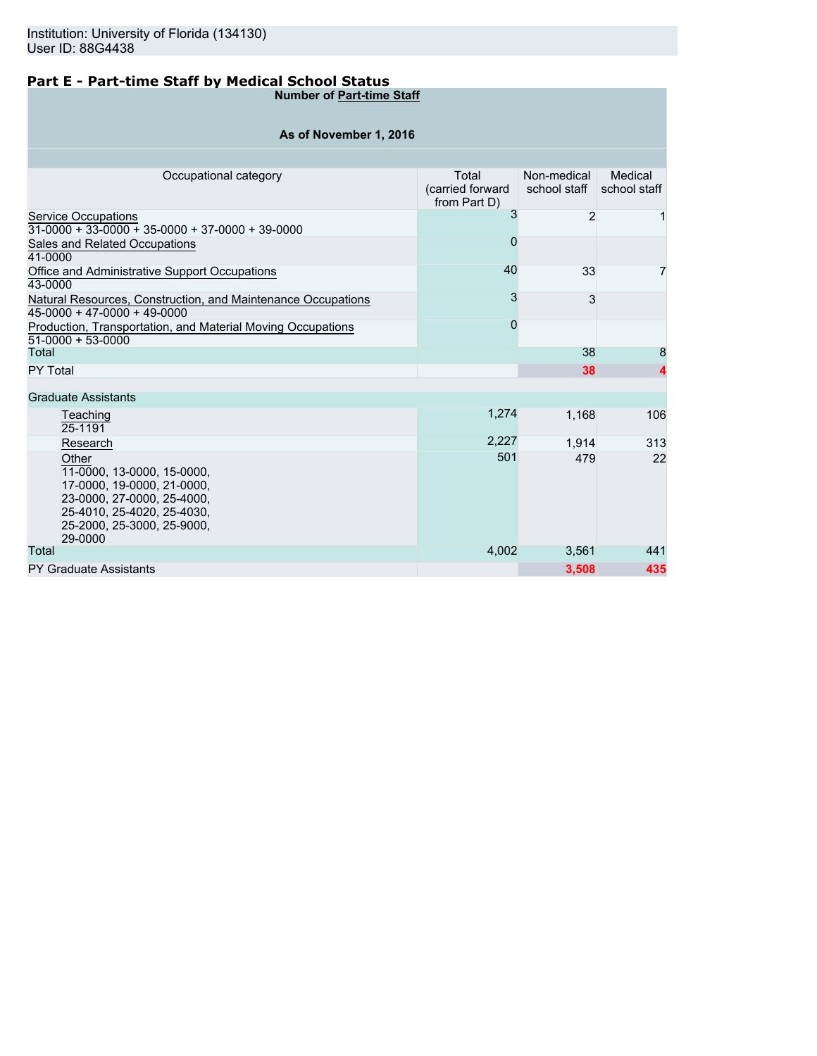# **Part E - Part-time Staff by Medical School Status**

**Number of Part-time Staff**

| As of November 1, 2016 |  |  |  |  |  |  |  |  |  |
|------------------------|--|--|--|--|--|--|--|--|--|
|------------------------|--|--|--|--|--|--|--|--|--|

| Occupational category                                                                                                                                                  | Total<br>(carried forward<br>from Part D) | Non-medical<br>school staff | Medical<br>school staff |
|------------------------------------------------------------------------------------------------------------------------------------------------------------------------|-------------------------------------------|-----------------------------|-------------------------|
| Service Occupations<br>$31-0000 + 33-0000 + 35-0000 + 37-0000 + 39-0000$                                                                                               | 3                                         | $\overline{2}$              |                         |
| Sales and Related Occupations<br>41-0000                                                                                                                               | O                                         |                             |                         |
| Office and Administrative Support Occupations<br>43-0000                                                                                                               | 40                                        | 33                          | 7                       |
| Natural Resources, Construction, and Maintenance Occupations<br>$45-0000 + 47-0000 + 49-0000$                                                                          | 3                                         | 3                           |                         |
| Production, Transportation, and Material Moving Occupations<br>51-0000 + 53-0000                                                                                       | 0                                         |                             |                         |
| Total                                                                                                                                                                  |                                           | 38                          | 8                       |
| PY Total                                                                                                                                                               |                                           | 38                          |                         |
| <b>Graduate Assistants</b>                                                                                                                                             |                                           |                             |                         |
| Teaching<br>25-1191                                                                                                                                                    | 1,274                                     | 1.168                       | 106                     |
| Research                                                                                                                                                               | 2,227                                     | 1,914                       | 313                     |
| Other<br>11-0000, 13-0000, 15-0000,<br>17-0000, 19-0000, 21-0000,<br>23-0000, 27-0000, 25-4000,<br>25-4010, 25-4020, 25-4030.<br>25-2000, 25-3000, 25-9000,<br>29-0000 | 501                                       | 479                         | 22                      |
| Total                                                                                                                                                                  | 4,002                                     | 3,561                       | 441                     |
| <b>PY Graduate Assistants</b>                                                                                                                                          |                                           | 3,508                       | 435                     |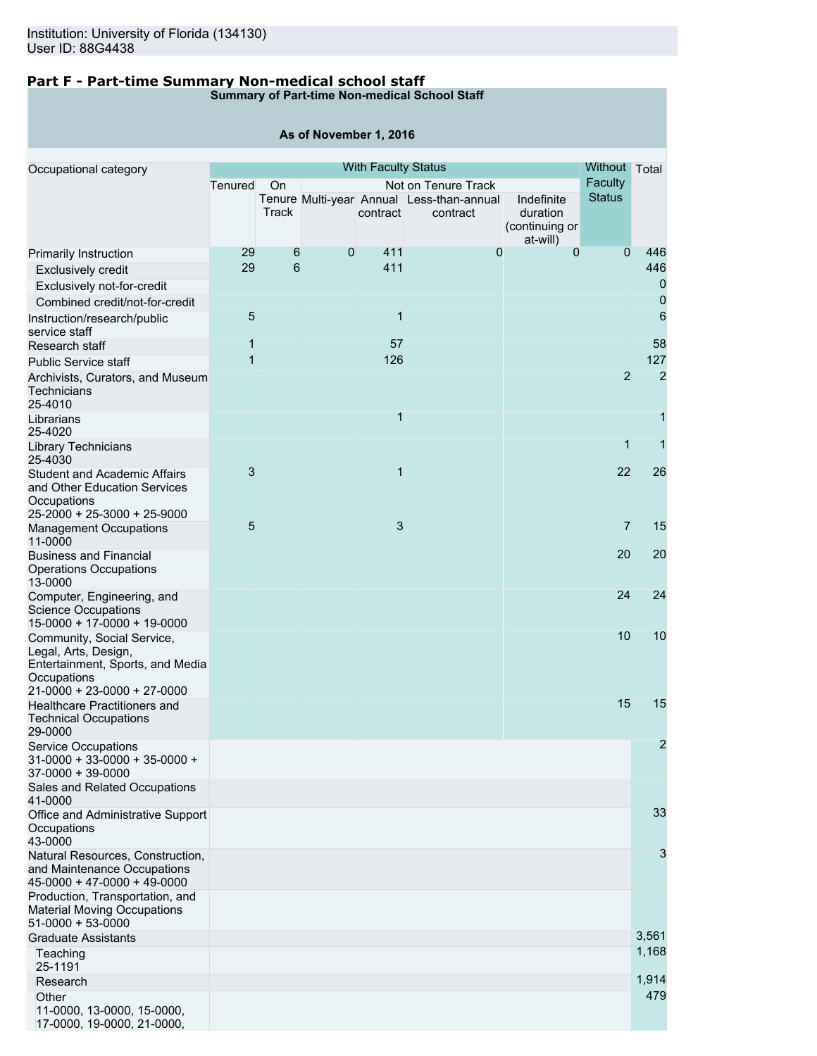**Other** 

11-0000, 13-0000, 15-0000, 17-0000, 19-0000, 21-0000,

## **Part F - Part-time Summary Non-medical school staff**

**Summary of Part-time Non-medical School Staff**

|                                                                                                                                      |                |       | As of November 1, 2016 |                            |                                                                  |                                        |                          |                 |
|--------------------------------------------------------------------------------------------------------------------------------------|----------------|-------|------------------------|----------------------------|------------------------------------------------------------------|----------------------------------------|--------------------------|-----------------|
| Occupational category                                                                                                                |                |       |                        | <b>With Faculty Status</b> |                                                                  |                                        | Without Total            |                 |
|                                                                                                                                      | Tenured        | On    |                        |                            | Not on Tenure Track<br>Tenure Multi-year Annual Less-than-annual | Indefinite                             | Faculty<br><b>Status</b> |                 |
|                                                                                                                                      |                | Track |                        | contract                   | contract                                                         | duration<br>(continuing or<br>at-will) |                          |                 |
| Primarily Instruction                                                                                                                | 29             | 6     | $\overline{0}$         | 411                        | 0                                                                | $\mathbf 0$                            | $\overline{0}$           | 446             |
| Exclusively credit                                                                                                                   | 29             | 6     |                        | 411                        |                                                                  |                                        |                          | 446             |
| Exclusively not-for-credit                                                                                                           |                |       |                        |                            |                                                                  |                                        |                          | 0               |
| Combined credit/not-for-credit                                                                                                       |                |       |                        |                            |                                                                  |                                        |                          | $\mathbf 0$     |
| Instruction/research/public                                                                                                          | 5              |       |                        | $\overline{\mathbf{1}}$    |                                                                  |                                        |                          | $6\phantom{1}6$ |
| service staff                                                                                                                        |                |       |                        |                            |                                                                  |                                        |                          |                 |
| Research staff                                                                                                                       | $\mathbf{1}$   |       |                        | 57                         |                                                                  |                                        |                          | 58              |
| <b>Public Service staff</b>                                                                                                          | $\overline{1}$ |       |                        | 126                        |                                                                  |                                        |                          | 127             |
| Archivists, Curators, and Museum<br>Technicians<br>25-4010                                                                           |                |       |                        |                            |                                                                  |                                        | $\overline{2}$           | $\overline{2}$  |
| Librarians<br>25-4020                                                                                                                |                |       |                        | 1                          |                                                                  |                                        |                          | 1               |
| Library Technicians<br>25-4030                                                                                                       |                |       |                        |                            |                                                                  |                                        | $\mathbf{1}$             | $\mathbf{1}$    |
| Student and Academic Affairs<br>and Other Education Services<br>Occupations                                                          | 3              |       |                        | $\mathbf{1}$               |                                                                  |                                        | 22                       | 26              |
| 25-2000 + 25-3000 + 25-9000                                                                                                          |                |       |                        |                            |                                                                  |                                        |                          |                 |
| <b>Management Occupations</b><br>11-0000                                                                                             | 5              |       |                        | 3                          |                                                                  |                                        | $\overline{7}$           | 15              |
| <b>Business and Financial</b><br><b>Operations Occupations</b><br>13-0000                                                            |                |       |                        |                            |                                                                  |                                        | 20                       | 20              |
| Computer, Engineering, and<br><b>Science Occupations</b><br>15-0000 + 17-0000 + 19-0000                                              |                |       |                        |                            |                                                                  |                                        | 24                       | 24              |
| Community, Social Service,<br>Legal, Arts, Design,<br>Entertainment, Sports, and Media<br>Occupations<br>21-0000 + 23-0000 + 27-0000 |                |       |                        |                            |                                                                  |                                        | 10                       | 10              |
| <b>Healthcare Practitioners and</b><br><b>Technical Occupations</b><br>29-0000                                                       |                |       |                        |                            |                                                                  |                                        | 15                       | 15              |
| <b>Service Occupations</b><br>$31-0000 + 33-0000 + 35-0000 +$<br>$37-0000 + 39-0000$                                                 |                |       |                        |                            |                                                                  |                                        |                          | $\overline{2}$  |
| Sales and Related Occupations<br>41-0000                                                                                             |                |       |                        |                            |                                                                  |                                        |                          |                 |
| Office and Administrative Support<br>Occupations<br>43-0000                                                                          |                |       |                        |                            |                                                                  |                                        |                          | 33              |
| Natural Resources, Construction,<br>and Maintenance Occupations<br>45-0000 + 47-0000 + 49-0000                                       |                |       |                        |                            |                                                                  |                                        |                          | 3               |
| Production, Transportation, and<br><b>Material Moving Occupations</b><br>$51-0000 + 53-0000$                                         |                |       |                        |                            |                                                                  |                                        |                          |                 |
| <b>Graduate Assistants</b>                                                                                                           |                |       |                        |                            |                                                                  |                                        |                          | 3,561           |
| Teaching<br>25-1191                                                                                                                  |                |       |                        |                            |                                                                  |                                        |                          | 1,168           |
| Research                                                                                                                             |                |       |                        |                            |                                                                  |                                        |                          | 1,914           |

479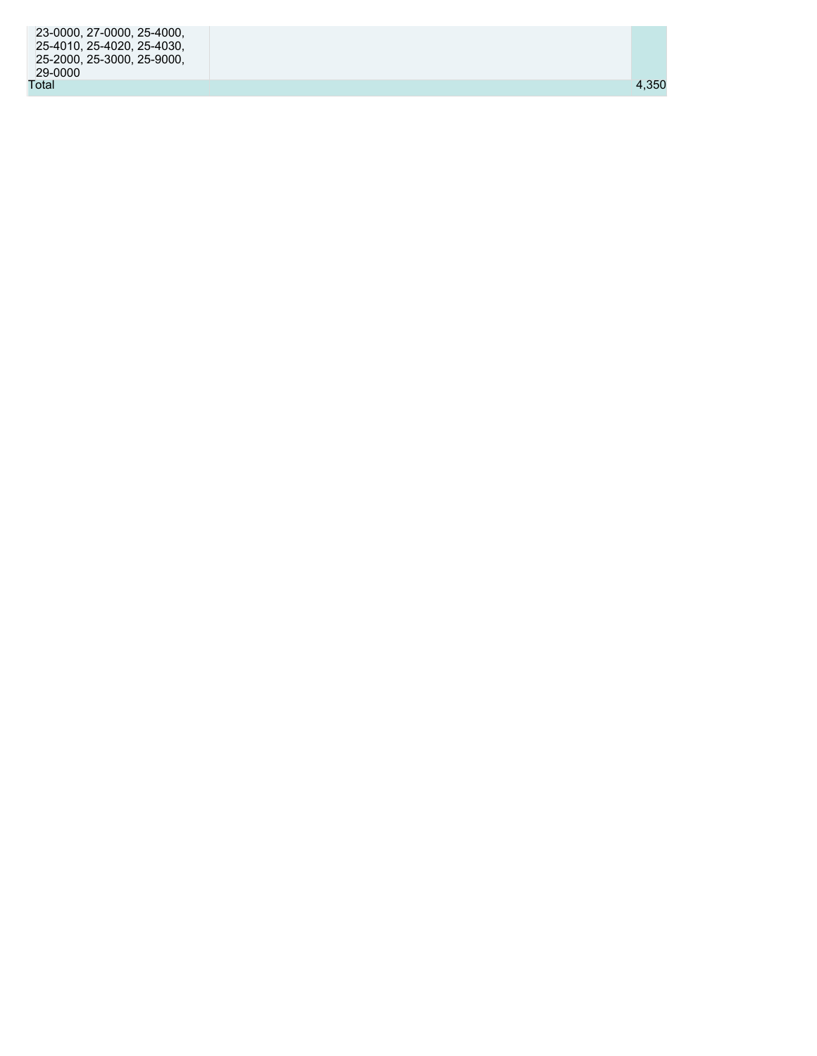| 23-0000, 27-0000, 25-4000, |       |
|----------------------------|-------|
| 25-4010, 25-4020, 25-4030, |       |
| 25-2000. 25-3000. 25-9000. |       |
| 29-0000                    |       |
| Total                      | 4.350 |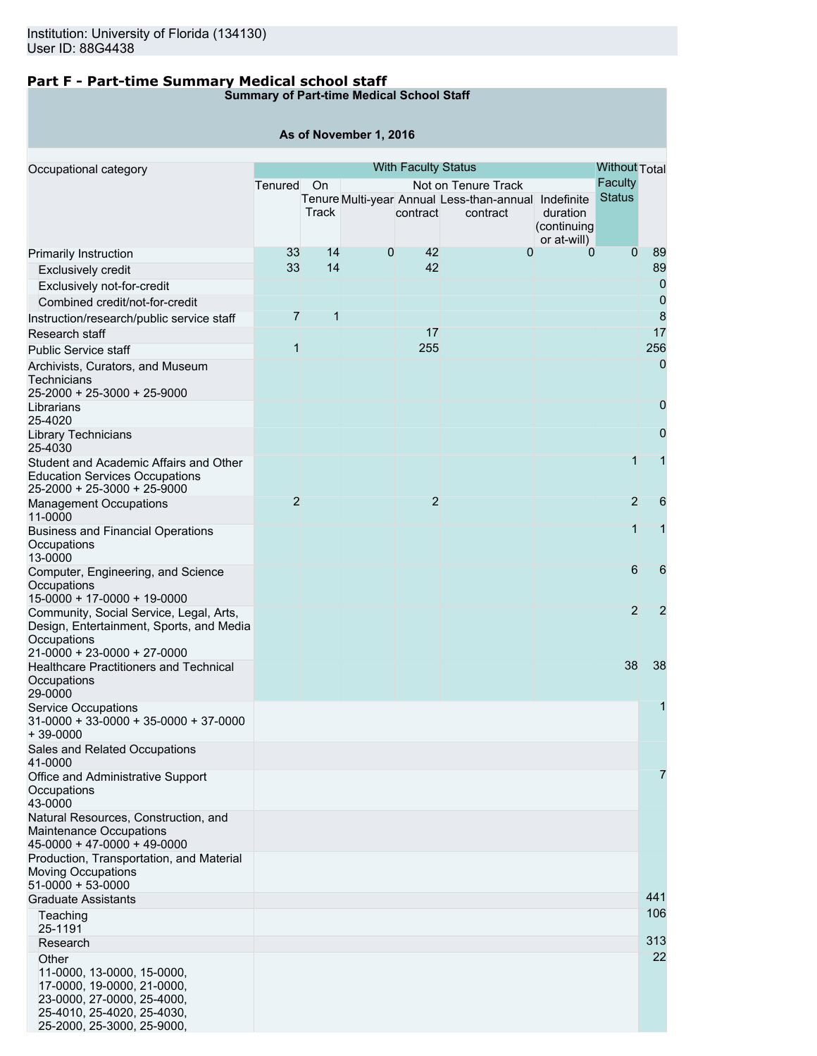## **Part F - Part-time Summary Medical school staff**

## **Summary of Part-time Medical School Staff**

#### **As of November 1, 2016**

| Occupational category                                           |                |                |             | <b>With Faculty Status</b> |                                                      |                         | <b>Without Total</b> |                  |
|-----------------------------------------------------------------|----------------|----------------|-------------|----------------------------|------------------------------------------------------|-------------------------|----------------------|------------------|
|                                                                 | Tenured        | On             |             |                            | Not on Tenure Track                                  |                         | <b>Faculty</b>       |                  |
|                                                                 |                |                |             |                            | Tenure Multi-year Annual Less-than-annual Indefinite |                         | <b>Status</b>        |                  |
|                                                                 |                | Track          |             | contract                   | contract                                             | duration<br>(continuing |                      |                  |
|                                                                 |                |                |             |                            |                                                      | or at-will)             |                      |                  |
| Primarily Instruction                                           | 33             | 14             | $\mathbf 0$ | 42                         | 0                                                    | $\Omega$                | $\overline{0}$       | 89               |
| <b>Exclusively credit</b>                                       | 33             | 14             |             | 42                         |                                                      |                         |                      | 89               |
| Exclusively not-for-credit                                      |                |                |             |                            |                                                      |                         |                      | $\overline{0}$   |
| Combined credit/not-for-credit                                  |                |                |             |                            |                                                      |                         |                      | $\boldsymbol{0}$ |
| Instruction/research/public service staff                       | $\overline{7}$ | $\overline{1}$ |             |                            |                                                      |                         |                      | $\boldsymbol{8}$ |
| Research staff                                                  |                |                |             | 17                         |                                                      |                         |                      | 17               |
| <b>Public Service staff</b>                                     | $\overline{1}$ |                |             | 255                        |                                                      |                         |                      | 256              |
| Archivists, Curators, and Museum                                |                |                |             |                            |                                                      |                         |                      | $\mathbf 0$      |
| <b>Technicians</b>                                              |                |                |             |                            |                                                      |                         |                      |                  |
| 25-2000 + 25-3000 + 25-9000                                     |                |                |             |                            |                                                      |                         |                      | $\mathbf 0$      |
| Librarians<br>25-4020                                           |                |                |             |                            |                                                      |                         |                      |                  |
| Library Technicians                                             |                |                |             |                            |                                                      |                         |                      | 0                |
| 25-4030                                                         |                |                |             |                            |                                                      |                         |                      |                  |
| Student and Academic Affairs and Other                          |                |                |             |                            |                                                      |                         | 1                    | 1                |
| <b>Education Services Occupations</b>                           |                |                |             |                            |                                                      |                         |                      |                  |
| 25-2000 + 25-3000 + 25-9000<br><b>Management Occupations</b>    | $\overline{2}$ |                |             | $\overline{2}$             |                                                      |                         | $\overline{2}$       | 6                |
| 11-0000                                                         |                |                |             |                            |                                                      |                         |                      |                  |
| <b>Business and Financial Operations</b>                        |                |                |             |                            |                                                      |                         | 1                    | 1                |
| Occupations                                                     |                |                |             |                            |                                                      |                         |                      |                  |
| 13-0000                                                         |                |                |             |                            |                                                      |                         |                      |                  |
| Computer, Engineering, and Science                              |                |                |             |                            |                                                      |                         | 6                    | 6                |
| Occupations<br>15-0000 + 17-0000 + 19-0000                      |                |                |             |                            |                                                      |                         |                      |                  |
| Community, Social Service, Legal, Arts,                         |                |                |             |                            |                                                      |                         | $\overline{2}$       | $\overline{2}$   |
| Design, Entertainment, Sports, and Media                        |                |                |             |                            |                                                      |                         |                      |                  |
| Occupations                                                     |                |                |             |                            |                                                      |                         |                      |                  |
| 21-0000 + 23-0000 + 27-0000                                     |                |                |             |                            |                                                      |                         | 38                   | 38               |
| <b>Healthcare Practitioners and Technical</b><br>Occupations    |                |                |             |                            |                                                      |                         |                      |                  |
| 29-0000                                                         |                |                |             |                            |                                                      |                         |                      |                  |
| <b>Service Occupations</b>                                      |                |                |             |                            |                                                      |                         |                      | 1                |
| $31-0000 + 33-0000 + 35-0000 + 37-0000$                         |                |                |             |                            |                                                      |                         |                      |                  |
| $+39-0000$                                                      |                |                |             |                            |                                                      |                         |                      |                  |
| Sales and Related Occupations<br>41-0000                        |                |                |             |                            |                                                      |                         |                      |                  |
| Office and Administrative Support                               |                |                |             |                            |                                                      |                         |                      | 7                |
| Occupations                                                     |                |                |             |                            |                                                      |                         |                      |                  |
| 43-0000                                                         |                |                |             |                            |                                                      |                         |                      |                  |
| Natural Resources, Construction, and                            |                |                |             |                            |                                                      |                         |                      |                  |
| <b>Maintenance Occupations</b><br>$45-0000 + 47-0000 + 49-0000$ |                |                |             |                            |                                                      |                         |                      |                  |
| Production, Transportation, and Material                        |                |                |             |                            |                                                      |                         |                      |                  |
| <b>Moving Occupations</b>                                       |                |                |             |                            |                                                      |                         |                      |                  |
| $51-0000 + 53-0000$                                             |                |                |             |                            |                                                      |                         |                      |                  |
| <b>Graduate Assistants</b>                                      |                |                |             |                            |                                                      |                         |                      | 441              |
| Teaching                                                        |                |                |             |                            |                                                      |                         |                      | 106              |
| 25-1191<br>Research                                             |                |                |             |                            |                                                      |                         |                      | 313              |
| Other                                                           |                |                |             |                            |                                                      |                         |                      | 22               |
| 11-0000, 13-0000, 15-0000,                                      |                |                |             |                            |                                                      |                         |                      |                  |
| 17-0000, 19-0000, 21-0000,                                      |                |                |             |                            |                                                      |                         |                      |                  |
| 23-0000, 27-0000, 25-4000,                                      |                |                |             |                            |                                                      |                         |                      |                  |
| 25-4010, 25-4020, 25-4030,                                      |                |                |             |                            |                                                      |                         |                      |                  |
| 25-2000, 25-3000, 25-9000,                                      |                |                |             |                            |                                                      |                         |                      |                  |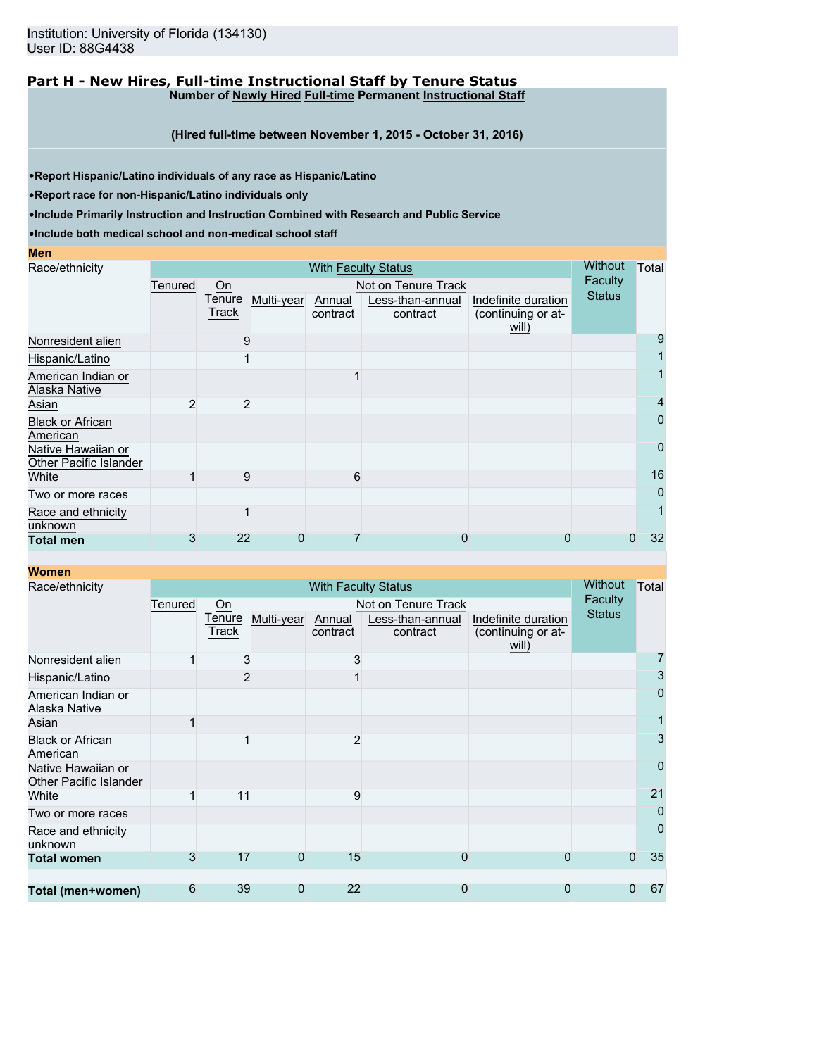#### **Part H - New Hires, Full-time Instructional Staff by Tenure Status Number of Newly Hired Full-time Permanent Instructional Staff**

**(Hired full-time between November 1, 2015 - October 31, 2016)**

•**Report Hispanic/Latino individuals of any race as Hispanic/Latino**

•**Report race for non-Hispanic/Latino individuals only**

•**Include Primarily Instruction and Instruction Combined with Research and Public Service**

| <b>Contract Contract Contract Contract Contract Contract Contract Contract Contract Contract Contract Contract Co</b> |                        | <b>STATE OF STATE OF STATE OF STATE OF STATE OF STATE OF STATE OF STATE OF STATE OF STATE OF STATE OF STATE OF S</b><br><b>Contract Contract Contract Contract Contract Contract Contract Contract Contract Contract Contract Contract Co</b> |
|-----------------------------------------------------------------------------------------------------------------------|------------------------|-----------------------------------------------------------------------------------------------------------------------------------------------------------------------------------------------------------------------------------------------|
|                                                                                                                       | <b>Service Service</b> | $\mathcal{L}^{\text{max}}_{\text{max}}$ and $\mathcal{L}^{\text{max}}_{\text{max}}$ and $\mathcal{L}^{\text{max}}_{\text{max}}$                                                                                                               |

| Race/ethnicity                               |         | Without | Total      |          |                     |                             |               |    |
|----------------------------------------------|---------|---------|------------|----------|---------------------|-----------------------------|---------------|----|
|                                              | Tenured | $On$    |            |          | Not on Tenure Track |                             | Faculty       |    |
|                                              |         | Tenure  | Multi-year | Annual   | Less-than-annual    | Indefinite duration         | <b>Status</b> |    |
|                                              |         | Track   |            | contract | contract            | (continuing or at-<br>will) |               |    |
| Nonresident alien                            |         | 9       |            |          |                     |                             |               | 9  |
| Hispanic/Latino                              |         |         |            |          |                     |                             |               |    |
| American Indian or<br>Alaska Native          |         |         |            |          |                     |                             |               |    |
| Asian                                        | 2       | 2       |            |          |                     |                             |               | 4  |
| <b>Black or African</b><br>American          |         |         |            |          |                     |                             |               | 0  |
| Native Hawaiian or<br>Other Pacific Islander |         |         |            |          |                     |                             |               | 0  |
| White                                        |         | 9       |            | 6        |                     |                             |               | 16 |
| Two or more races                            |         |         |            |          |                     |                             |               | 0  |
| Race and ethnicity<br>unknown                |         |         |            |          |                     |                             |               |    |
| <b>Total men</b>                             | 3       | 22      | 0          |          | 0                   | 0                           | 0             | 32 |

| <b>Women</b>                                 |         |                |            |                            |                     |                             |               |                |
|----------------------------------------------|---------|----------------|------------|----------------------------|---------------------|-----------------------------|---------------|----------------|
| Race/ethnicity                               |         |                |            | <b>With Faculty Status</b> |                     |                             | Without       | Total          |
|                                              | Tenured | On             |            |                            | Not on Tenure Track |                             | Faculty       |                |
|                                              |         | Tenure         | Multi-year | Annual                     | Less-than-annual    | Indefinite duration         | <b>Status</b> |                |
|                                              |         | Track          |            | contract                   | contract            | (continuing or at-<br>will) |               |                |
| Nonresident alien                            |         | 3              |            | 3                          |                     |                             |               | 7              |
| Hispanic/Latino                              |         | $\overline{2}$ |            |                            |                     |                             |               | 3              |
| American Indian or<br>Alaska Native          |         |                |            |                            |                     |                             |               | $\mathbf 0$    |
| Asian                                        |         |                |            |                            |                     |                             |               |                |
| <b>Black or African</b><br>American          |         |                |            | $\overline{2}$             |                     |                             |               | 3              |
| Native Hawaiian or<br>Other Pacific Islander |         |                |            |                            |                     |                             |               | $\overline{0}$ |
| White                                        |         | 11             |            | 9                          |                     |                             |               | 21             |
| Two or more races                            |         |                |            |                            |                     |                             |               | 0              |
| Race and ethnicity<br>unknown                |         |                |            |                            |                     |                             |               | 0              |
| <b>Total women</b>                           | 3       | 17             | 0          | 15                         | 0                   | 0                           | 0             | 35             |
|                                              |         |                |            |                            |                     |                             |               |                |
| Total (men+women)                            | 6       | 39             | 0          | 22                         | 0                   | 0                           | 0             | 67             |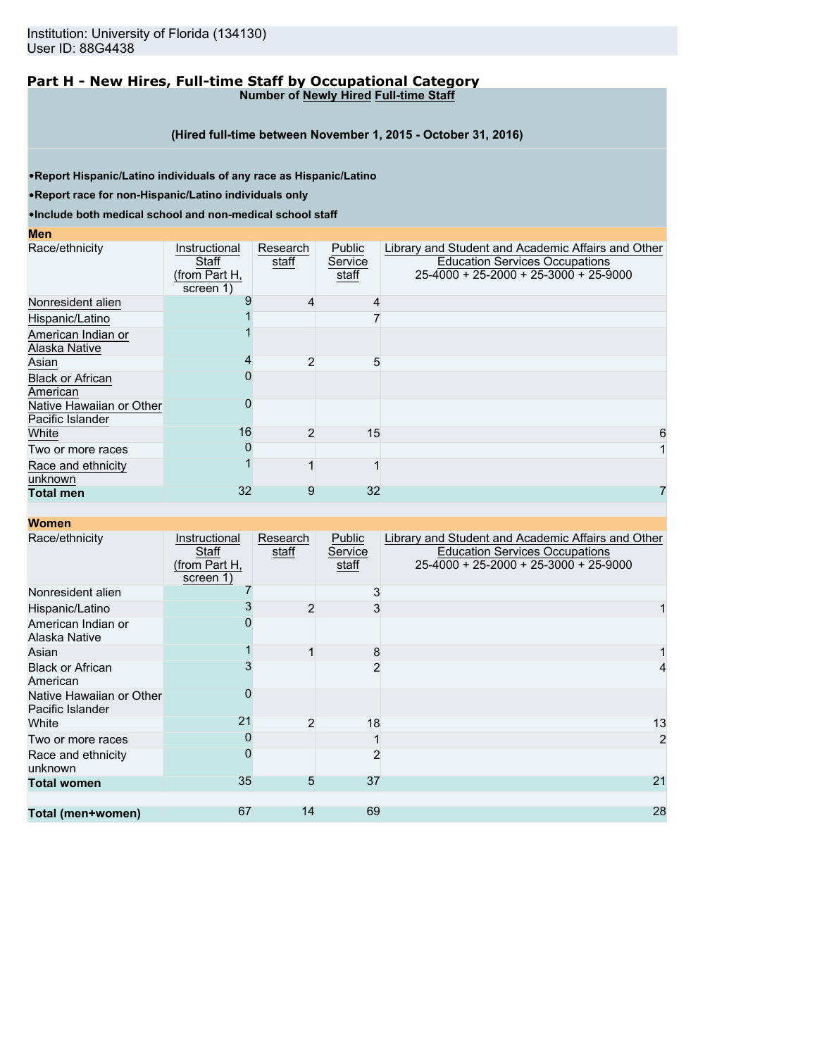#### **Part H - New Hires, Full-time Staff by Occupational Category Number of Newly Hired Full-time Staff**

**(Hired full-time between November 1, 2015 - October 31, 2016)**

•**Report Hispanic/Latino individuals of any race as Hispanic/Latino**

•**Report race for non-Hispanic/Latino individuals only**

•**Include both medical school and non-medical school staff**

#### **Men**

| Race/ethnicity                               | Instructional<br>Staff<br>(from Part H,<br>screen 1) | Research<br>staff | Public<br>Service<br>staff | Library and Student and Academic Affairs and Other<br><b>Education Services Occupations</b><br>25-4000 + 25-2000 + 25-3000 + 25-9000 |
|----------------------------------------------|------------------------------------------------------|-------------------|----------------------------|--------------------------------------------------------------------------------------------------------------------------------------|
| Nonresident alien                            |                                                      | 4                 | 4                          |                                                                                                                                      |
| Hispanic/Latino                              |                                                      |                   |                            |                                                                                                                                      |
| American Indian or                           |                                                      |                   |                            |                                                                                                                                      |
| Alaska Native                                |                                                      |                   |                            |                                                                                                                                      |
| Asian                                        |                                                      | 2                 | 5                          |                                                                                                                                      |
| <b>Black or African</b><br>American          |                                                      |                   |                            |                                                                                                                                      |
| Native Hawaiian or Other<br>Pacific Islander |                                                      |                   |                            |                                                                                                                                      |
| White                                        | 16                                                   | 2                 | 15                         | 6                                                                                                                                    |
| Two or more races                            |                                                      |                   |                            |                                                                                                                                      |
| Race and ethnicity<br>unknown                |                                                      |                   |                            |                                                                                                                                      |
| <b>Total men</b>                             | 32                                                   | 9                 | 32                         |                                                                                                                                      |

| Race/ethnicity                               | Instructional<br>Staff<br>(from Part H,<br>screen 1) | Research<br>staff | <b>Public</b><br>Service<br>staff | Library and Student and Academic Affairs and Other<br><b>Education Services Occupations</b><br>25-4000 + 25-2000 + 25-3000 + 25-9000 |
|----------------------------------------------|------------------------------------------------------|-------------------|-----------------------------------|--------------------------------------------------------------------------------------------------------------------------------------|
| Nonresident alien                            |                                                      |                   | 3                                 |                                                                                                                                      |
| Hispanic/Latino                              |                                                      | $\overline{2}$    | 3                                 |                                                                                                                                      |
| American Indian or<br>Alaska Native          |                                                      |                   |                                   |                                                                                                                                      |
| Asian                                        |                                                      |                   | 8                                 |                                                                                                                                      |
| <b>Black or African</b><br>American          |                                                      |                   | $\overline{2}$                    |                                                                                                                                      |
| Native Hawaiian or Other<br>Pacific Islander | 0                                                    |                   |                                   |                                                                                                                                      |
| White                                        | 21                                                   | $\overline{2}$    | 18                                | 13                                                                                                                                   |
| Two or more races                            | 0                                                    |                   |                                   |                                                                                                                                      |
| Race and ethnicity<br>unknown                | 0                                                    |                   | $\overline{2}$                    |                                                                                                                                      |
| <b>Total women</b>                           | 35                                                   | 5                 | 37                                | 21                                                                                                                                   |
|                                              |                                                      |                   |                                   |                                                                                                                                      |
| Total (men+women)                            | 67                                                   | 14                | 69                                | 28                                                                                                                                   |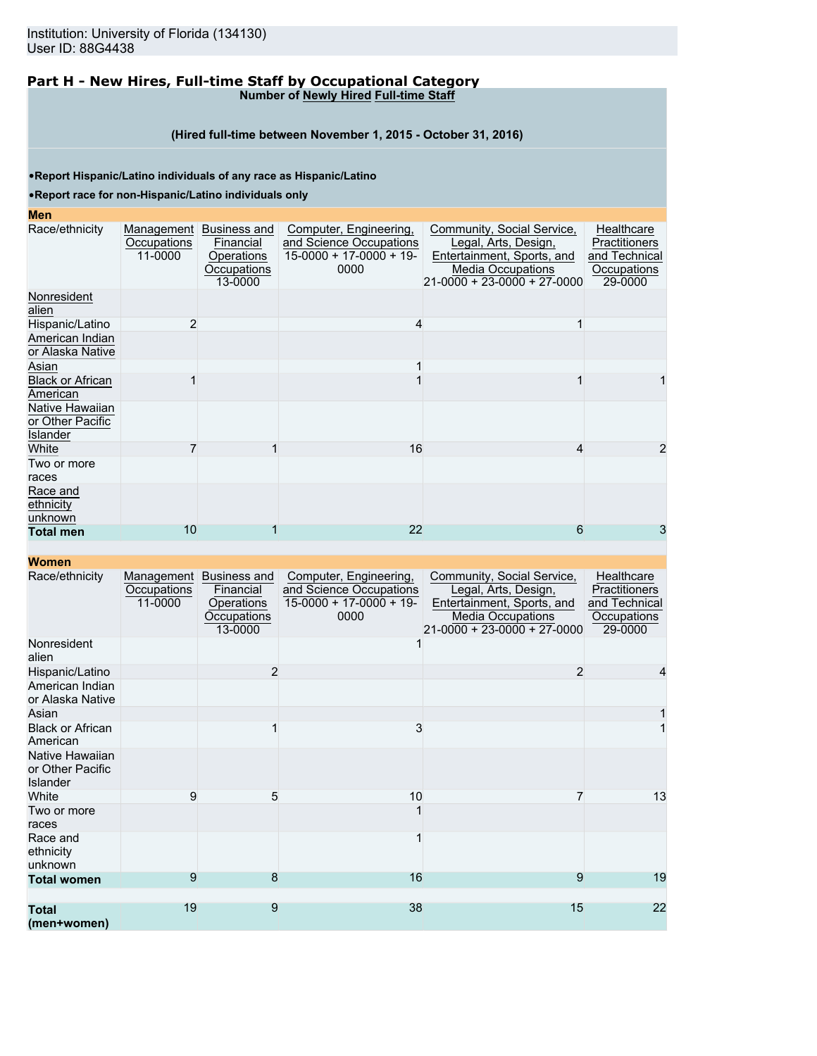#### **Part H - New Hires, Full-time Staff by Occupational Category Number of Newly Hired Full-time Staff**

#### **(Hired full-time between November 1, 2015 - October 31, 2016)**

•**Report Hispanic/Latino individuals of any race as Hispanic/Latino**

•**Report race for non-Hispanic/Latino individuals only**

#### **Men**

| Race/ethnicity<br>Occupations<br>11-0000<br>alien<br>$\overline{2}$<br>Hispanic/Latino<br>Asian<br><b>Black or African</b><br>American<br>Native Hawaiian<br>or Other Pacific<br>Islander<br>White<br>Two or more<br>races<br>Race and<br>unknown<br>10<br><b>Total men</b> |                                                                              |                                                                                        |                                                                                                                                             |                                                                        |
|-----------------------------------------------------------------------------------------------------------------------------------------------------------------------------------------------------------------------------------------------------------------------------|------------------------------------------------------------------------------|----------------------------------------------------------------------------------------|---------------------------------------------------------------------------------------------------------------------------------------------|------------------------------------------------------------------------|
| Nonresident<br>American Indian<br>or Alaska Native<br>ethnicity                                                                                                                                                                                                             | Management Business and<br>Financial<br>Operations<br>Occupations<br>13-0000 | Computer, Engineering,<br>and Science Occupations<br>$15-0000 + 17-0000 + 19-$<br>0000 | Community, Social Service,<br>Legal, Arts, Design,<br>Entertainment, Sports, and<br><b>Media Occupations</b><br>21-0000 + 23-0000 + 27-0000 | Healthcare<br>Practitioners<br>and Technical<br>Occupations<br>29-0000 |
|                                                                                                                                                                                                                                                                             |                                                                              |                                                                                        |                                                                                                                                             |                                                                        |
|                                                                                                                                                                                                                                                                             |                                                                              | Δ                                                                                      |                                                                                                                                             |                                                                        |
|                                                                                                                                                                                                                                                                             |                                                                              |                                                                                        |                                                                                                                                             |                                                                        |
|                                                                                                                                                                                                                                                                             |                                                                              |                                                                                        |                                                                                                                                             |                                                                        |
|                                                                                                                                                                                                                                                                             |                                                                              |                                                                                        |                                                                                                                                             |                                                                        |
|                                                                                                                                                                                                                                                                             |                                                                              |                                                                                        |                                                                                                                                             |                                                                        |
|                                                                                                                                                                                                                                                                             |                                                                              | 16                                                                                     | 4                                                                                                                                           |                                                                        |
|                                                                                                                                                                                                                                                                             |                                                                              |                                                                                        |                                                                                                                                             |                                                                        |
|                                                                                                                                                                                                                                                                             |                                                                              |                                                                                        |                                                                                                                                             |                                                                        |
|                                                                                                                                                                                                                                                                             |                                                                              | 22                                                                                     | 6                                                                                                                                           | 3                                                                      |

| Race/ethnicity                                  | Management<br>Occupations<br>11-0000 | Business and<br>Financial<br>Operations<br>Occupations<br>13-0000 | Computer, Engineering,<br>and Science Occupations<br>$15-0000 + 17-0000 + 19$<br>0000 | Community, Social Service,<br>Legal, Arts, Design,<br>Entertainment, Sports, and<br>Media Occupations<br>$21 - 0000 + 23 - 0000 + 27 - 0000$ | Healthcare<br>Practitioners<br>and Technical<br>Occupations<br>29-0000 |
|-------------------------------------------------|--------------------------------------|-------------------------------------------------------------------|---------------------------------------------------------------------------------------|----------------------------------------------------------------------------------------------------------------------------------------------|------------------------------------------------------------------------|
| Nonresident<br>alien                            |                                      |                                                                   |                                                                                       |                                                                                                                                              |                                                                        |
| Hispanic/Latino                                 |                                      | $\overline{2}$                                                    |                                                                                       | $\overline{2}$                                                                                                                               | 4                                                                      |
| American Indian<br>or Alaska Native             |                                      |                                                                   |                                                                                       |                                                                                                                                              |                                                                        |
| Asian                                           |                                      |                                                                   |                                                                                       |                                                                                                                                              |                                                                        |
| <b>Black or African</b><br>American             |                                      |                                                                   | 3                                                                                     |                                                                                                                                              |                                                                        |
| Native Hawaiian<br>or Other Pacific<br>Islander |                                      |                                                                   |                                                                                       |                                                                                                                                              |                                                                        |
| White                                           | 9                                    | 5                                                                 | 10                                                                                    |                                                                                                                                              | 13                                                                     |
| Two or more<br>races                            |                                      |                                                                   |                                                                                       |                                                                                                                                              |                                                                        |
| Race and<br>ethnicity<br>unknown                |                                      |                                                                   |                                                                                       |                                                                                                                                              |                                                                        |
| <b>Total women</b>                              | 9                                    | 8                                                                 | 16                                                                                    | 9                                                                                                                                            | 19                                                                     |
|                                                 |                                      |                                                                   |                                                                                       |                                                                                                                                              |                                                                        |
| <b>Total</b><br>(men+women)                     | 19                                   | 9                                                                 | 38                                                                                    | 15                                                                                                                                           | 22                                                                     |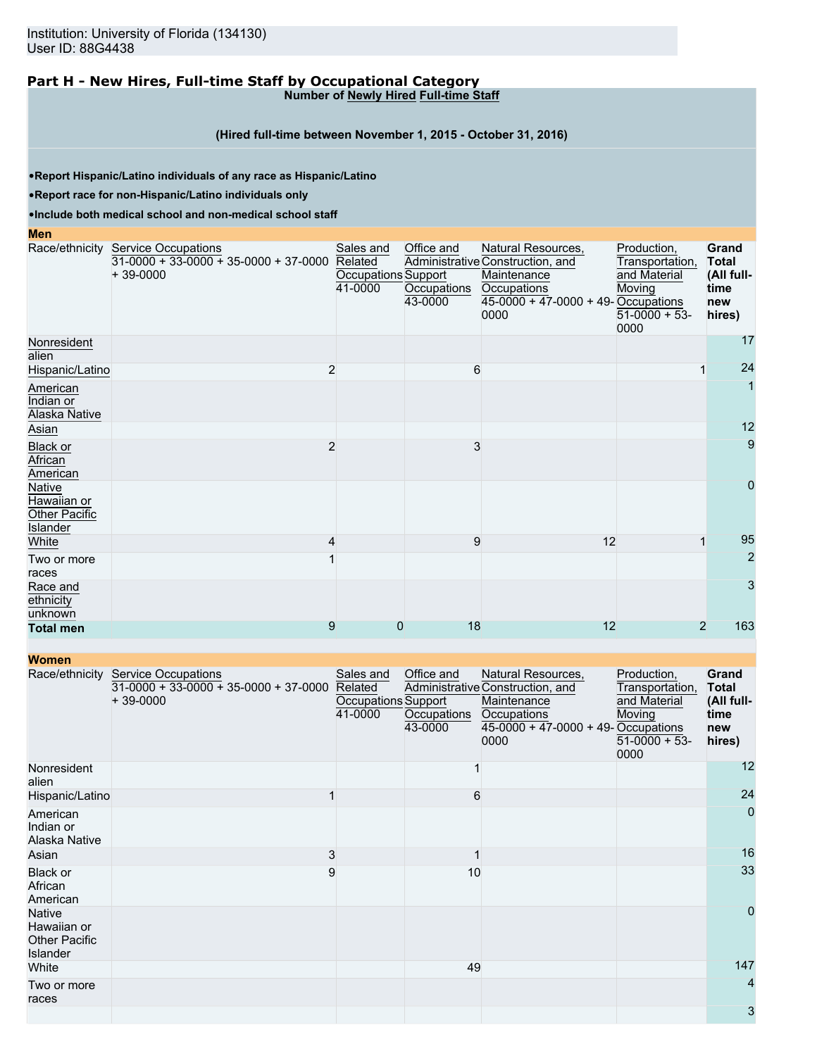#### **Part H - New Hires, Full-time Staff by Occupational Category Number of Newly Hired Full-time Staff**

### **(Hired full-time between November 1, 2015 - October 31, 2016)**

•**Report Hispanic/Latino individuals of any race as Hispanic/Latino**

•**Report race for non-Hispanic/Latino individuals only**

•**Include both medical school and non-medical school staff**

#### **Men**

|                                                           | Race/ethnicity Service Occupations<br>$31-0000 + 33-0000 + 35-0000 + 37-0000$<br>$+39-0000$ | Sales and<br>Related<br>Occupations Support<br>41-0000 | Office and<br>Occupations<br>43-0000 | Natural Resources,<br>Administrative Construction, and<br>Maintenance<br>Occupations<br>45-0000 + 47-0000 + 49- Occupations<br>0000 | Production,<br>Transportation,<br>and Material<br>Moving<br>$51-0000 + 53$<br>0000 | Grand<br><b>Total</b><br>(All full-<br>time<br>new<br>hires) |
|-----------------------------------------------------------|---------------------------------------------------------------------------------------------|--------------------------------------------------------|--------------------------------------|-------------------------------------------------------------------------------------------------------------------------------------|------------------------------------------------------------------------------------|--------------------------------------------------------------|
| Nonresident<br>alien                                      |                                                                                             |                                                        |                                      |                                                                                                                                     |                                                                                    | 17                                                           |
| Hispanic/Latino                                           | $\overline{2}$                                                                              |                                                        |                                      | 6                                                                                                                                   |                                                                                    | 24                                                           |
| American<br>Indian or<br><b>Alaska Native</b>             |                                                                                             |                                                        |                                      |                                                                                                                                     |                                                                                    |                                                              |
| Asian                                                     |                                                                                             |                                                        |                                      |                                                                                                                                     |                                                                                    | 12                                                           |
| <b>Black or</b><br>African<br>American                    | $\overline{2}$                                                                              |                                                        | 3                                    |                                                                                                                                     |                                                                                    | 9                                                            |
| Native<br>Hawaiian or<br><b>Other Pacific</b><br>Islander |                                                                                             |                                                        |                                      |                                                                                                                                     |                                                                                    | $\overline{0}$                                               |
| White                                                     | 4                                                                                           |                                                        | 9                                    | 12                                                                                                                                  |                                                                                    | 95                                                           |
| Two or more<br>races                                      |                                                                                             |                                                        |                                      |                                                                                                                                     |                                                                                    | $\overline{2}$                                               |
| Race and<br>ethnicity<br>unknown                          |                                                                                             |                                                        |                                      |                                                                                                                                     |                                                                                    | 3                                                            |
| <b>Total men</b>                                          | 9                                                                                           | 0                                                      | 18                                   | 12                                                                                                                                  |                                                                                    | 163<br>2                                                     |

| <b>Women</b>                                                     |                                                                                     |                                                        |                                      |                                                                                                                                     |                                                                                    |                                                              |
|------------------------------------------------------------------|-------------------------------------------------------------------------------------|--------------------------------------------------------|--------------------------------------|-------------------------------------------------------------------------------------------------------------------------------------|------------------------------------------------------------------------------------|--------------------------------------------------------------|
| Race/ethnicity                                                   | <b>Service Occupations</b><br>$31-0000 + 33-0000 + 35-0000 + 37-0000$<br>$+39-0000$ | Sales and<br>Related<br>Occupations Support<br>41-0000 | Office and<br>Occupations<br>43-0000 | Natural Resources,<br>Administrative Construction, and<br>Maintenance<br>Occupations<br>45-0000 + 47-0000 + 49- Occupations<br>0000 | Production,<br>Transportation,<br>and Material<br>Moving<br>$51-0000 + 53$<br>0000 | Grand<br><b>Total</b><br>(All full-<br>time<br>new<br>hires) |
| Nonresident<br>alien                                             |                                                                                     |                                                        |                                      |                                                                                                                                     |                                                                                    | 12                                                           |
| Hispanic/Latino                                                  |                                                                                     |                                                        | 6                                    |                                                                                                                                     |                                                                                    | 24                                                           |
| American<br>Indian or<br>Alaska Native                           |                                                                                     |                                                        |                                      |                                                                                                                                     |                                                                                    | $\mathbf 0$                                                  |
| Asian                                                            |                                                                                     | 3                                                      |                                      |                                                                                                                                     |                                                                                    | 16                                                           |
| Black or<br>African<br>American                                  | 9                                                                                   |                                                        | 10                                   |                                                                                                                                     |                                                                                    | 33                                                           |
| <b>Native</b><br>Hawaiian or<br><b>Other Pacific</b><br>Islander |                                                                                     |                                                        |                                      |                                                                                                                                     |                                                                                    | $\mathbf{0}$                                                 |
| White                                                            |                                                                                     |                                                        | 49                                   |                                                                                                                                     |                                                                                    | 147                                                          |
| Two or more<br>races                                             |                                                                                     |                                                        |                                      |                                                                                                                                     |                                                                                    | 4                                                            |
|                                                                  |                                                                                     |                                                        |                                      |                                                                                                                                     |                                                                                    | 3                                                            |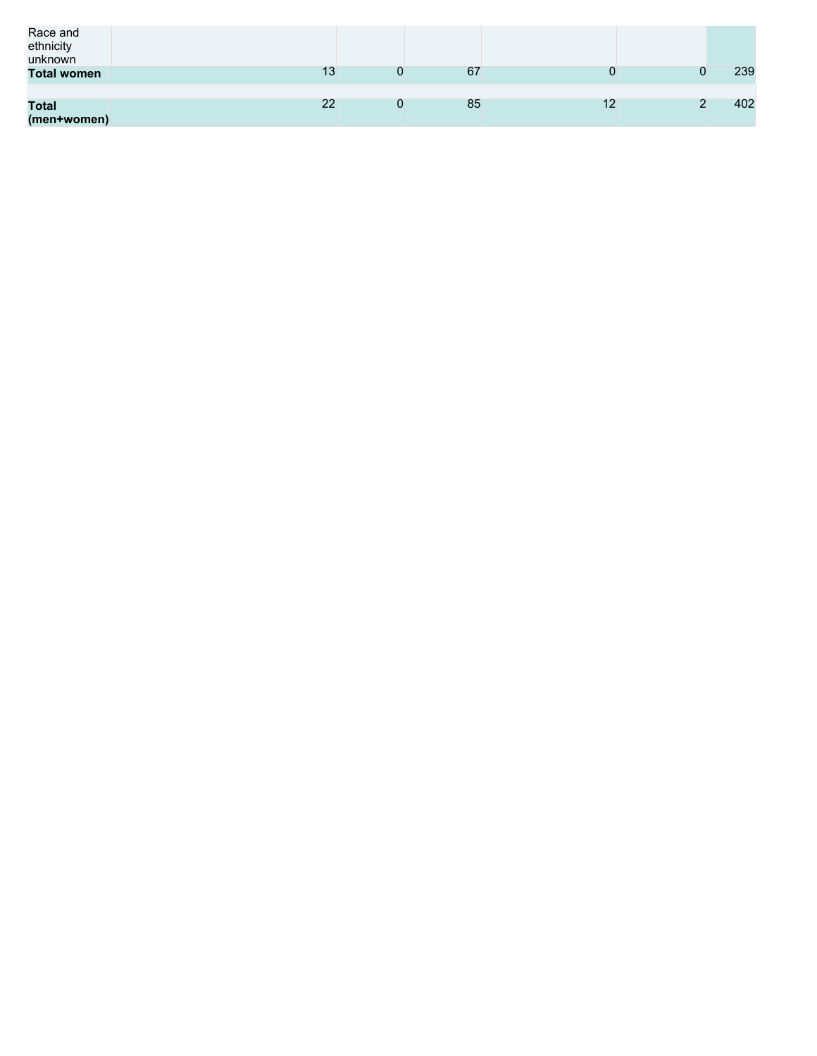| Race and<br>ethnicity<br>unknown |    |    |    |     |
|----------------------------------|----|----|----|-----|
| <b>Total women</b>               | 13 | 67 |    | 239 |
|                                  |    |    |    |     |
| <b>Total</b>                     | 22 | 85 | 12 | 402 |
| (men+women)                      |    |    |    |     |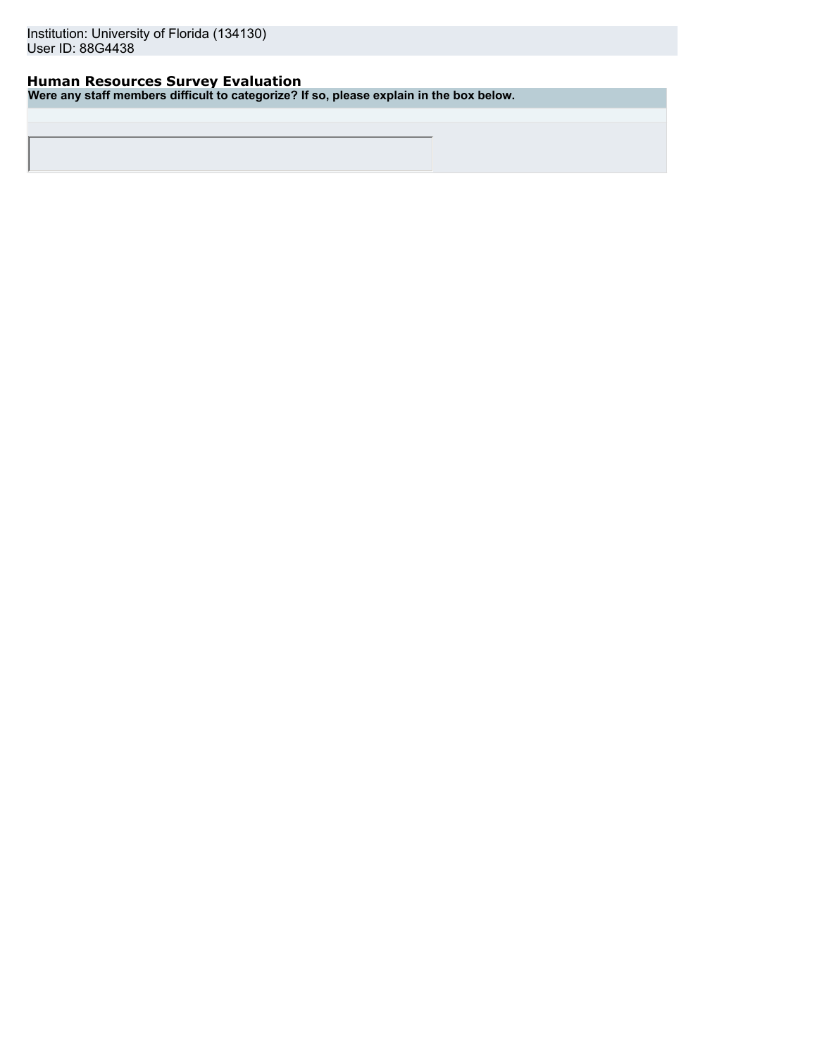## **Human Resources Survey Evaluation**

**Were any staff members difficult to categorize? If so, please explain in the box below.**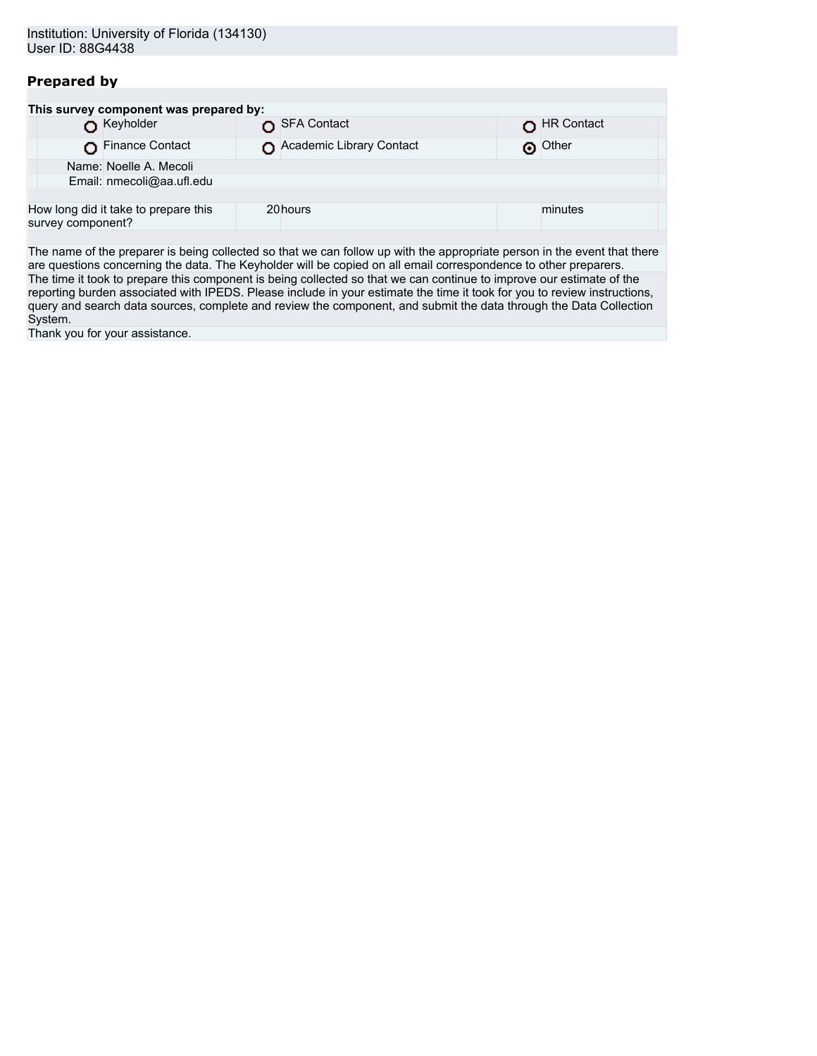## **Prepared by**

|                   | This survey component was prepared by: |                          |            |
|-------------------|----------------------------------------|--------------------------|------------|
|                   | Keyholder                              | SFA Contact              | HR Contact |
|                   | Finance Contact                        | Academic Library Contact | O Other    |
|                   | Name: Noelle A. Mecoli                 |                          |            |
|                   | Email: nmecoli@aa.ufl.edu              |                          |            |
|                   |                                        |                          |            |
| survey component? | How long did it take to prepare this   | 20hours                  | minutes    |
|                   |                                        |                          |            |

The name of the preparer is being collected so that we can follow up with the appropriate person in the event that there are questions concerning the data. The Keyholder will be copied on all email correspondence to other preparers. The time it took to prepare this component is being collected so that we can continue to improve our estimate of the reporting burden associated with IPEDS. Please include in your estimate the time it took for you to review instructions, query and search data sources, complete and review the component, and submit the data through the Data Collection System.

Thank you for your assistance.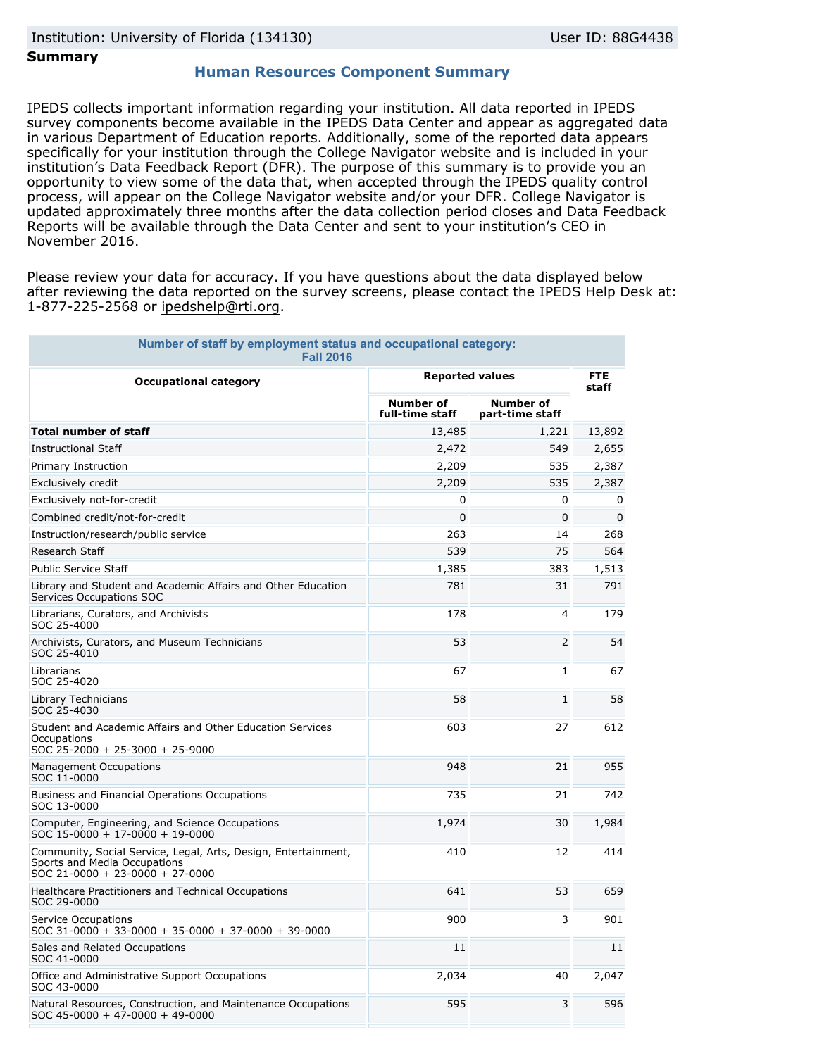## **Summary**

### **Human Resources Component Summary**

IPEDS collects important information regarding your institution. All data reported in IPEDS survey components become available in the IPEDS Data Center and appear as aggregated data in various Department of Education reports. Additionally, some of the reported data appears specifically for your institution through the College Navigator website and is included in your institution's Data Feedback Report (DFR). The purpose of this summary is to provide you an opportunity to view some of the data that, when accepted through the IPEDS quality control process, will appear on the College Navigator website and/or your DFR. College Navigator is updated approximately three months after the data collection period closes and Data Feedback Reports will be available through the [Data Center](http://nces.ed.gov/ipeds/datacenter/) and sent to your institution's CEO in November 2016.

Please review your data for accuracy. If you have questions about the data displayed below after reviewing the data reported on the survey screens, please contact the IPEDS Help Desk at: 1-877-225-2568 or ipedshelp@rti.org.

| Number of staff by employment status and occupational category:<br><b>Fall 2016</b>                                                       |                                     |                                     |                     |  |
|-------------------------------------------------------------------------------------------------------------------------------------------|-------------------------------------|-------------------------------------|---------------------|--|
| <b>Occupational category</b>                                                                                                              | <b>Reported values</b>              |                                     | <b>FTE</b><br>staff |  |
|                                                                                                                                           | <b>Number of</b><br>full-time staff | <b>Number of</b><br>part-time staff |                     |  |
| <b>Total number of staff</b>                                                                                                              | 13,485                              | 1,221                               | 13,892              |  |
| <b>Instructional Staff</b>                                                                                                                | 2,472                               | 549                                 | 2,655               |  |
| Primary Instruction                                                                                                                       | 2,209                               | 535                                 | 2,387               |  |
| Exclusively credit                                                                                                                        | 2,209                               | 535                                 | 2,387               |  |
| Exclusively not-for-credit                                                                                                                | 0                                   | 0                                   | 0                   |  |
| Combined credit/not-for-credit                                                                                                            | 0                                   | 0                                   | 0                   |  |
| Instruction/research/public service                                                                                                       | 263                                 | 14                                  | 268                 |  |
| Research Staff                                                                                                                            | 539                                 | 75                                  | 564                 |  |
| <b>Public Service Staff</b>                                                                                                               | 1,385                               | 383                                 | 1,513               |  |
| Library and Student and Academic Affairs and Other Education<br>Services Occupations SOC                                                  | 781                                 | 31                                  | 791                 |  |
| Librarians, Curators, and Archivists<br>SOC 25-4000                                                                                       | 178                                 | $\overline{a}$                      | 179                 |  |
| Archivists, Curators, and Museum Technicians<br>SOC 25-4010                                                                               | 53                                  | $\overline{2}$                      | 54                  |  |
| Librarians<br>SOC 25-4020                                                                                                                 | 67                                  | 1                                   | 67                  |  |
| Library Technicians<br>SOC 25-4030                                                                                                        | 58                                  | 1                                   | 58                  |  |
| Student and Academic Affairs and Other Education Services<br>Occupations<br>SOC 25-2000 + 25-3000 + 25-9000                               | 603                                 | 27                                  | 612                 |  |
| <b>Management Occupations</b><br>SOC 11-0000                                                                                              | 948                                 | 21                                  | 955                 |  |
| Business and Financial Operations Occupations<br>SOC 13-0000                                                                              | 735                                 | 21                                  | 742                 |  |
| Computer, Engineering, and Science Occupations<br>SOC 15-0000 + 17-0000 + 19-0000                                                         | 1,974                               | 30                                  | 1,984               |  |
| Community, Social Service, Legal, Arts, Design, Entertainment,<br>Sports and Media Occupations<br>$SOC 21 - 0000 + 23 - 0000 + 27 - 0000$ | 410                                 | 12                                  | 414                 |  |
| Healthcare Practitioners and Technical Occupations<br>SOC 29-0000                                                                         | 641                                 | 53                                  | 659                 |  |
| <b>Service Occupations</b><br>$SOC 31-0000 + 33-0000 + 35-0000 + 37-0000 + 39-0000$                                                       | 900                                 | 3                                   | 901                 |  |
| Sales and Related Occupations<br>SOC 41-0000                                                                                              | 11                                  |                                     | 11                  |  |
| Office and Administrative Support Occupations<br>SOC 43-0000                                                                              | 2,034                               | 40                                  | 2,047               |  |
| Natural Resources, Construction, and Maintenance Occupations<br>$SOC$ 45-0000 + 47-0000 + 49-0000                                         | 595                                 | 3                                   | 596                 |  |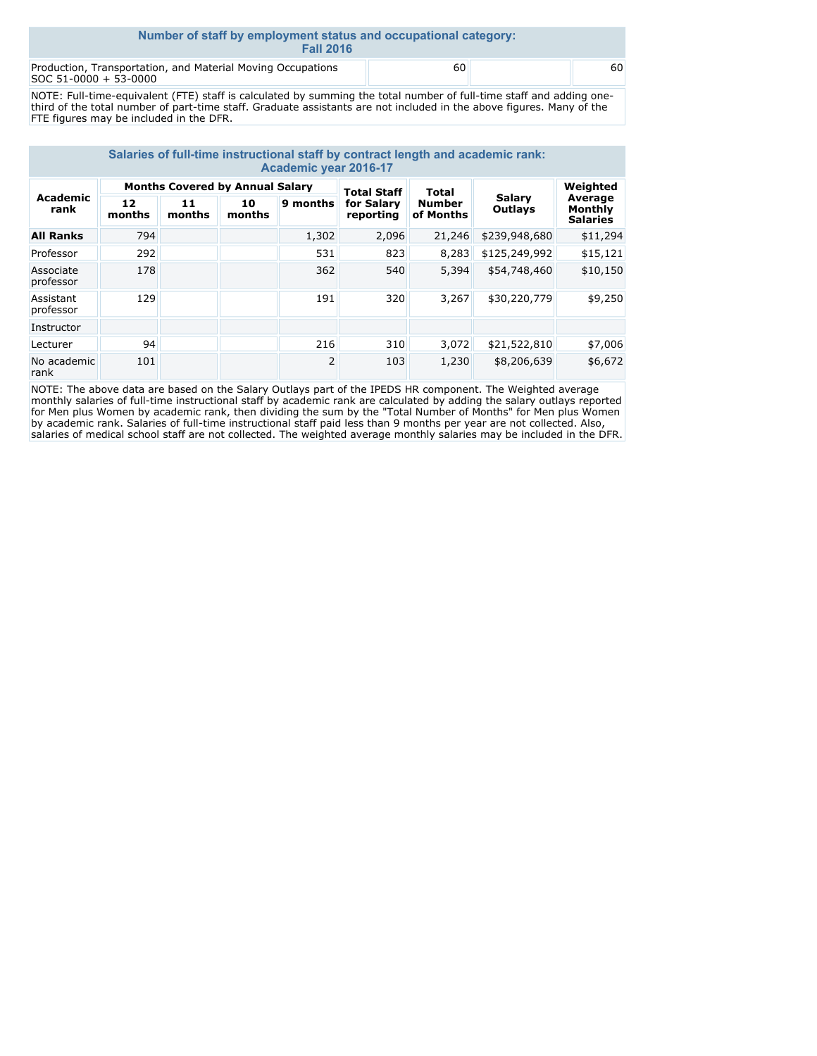| Number of staff by employment status and occupational category:<br><b>Fall 2016</b>  |    |  |    |  |  |  |
|--------------------------------------------------------------------------------------|----|--|----|--|--|--|
| Production, Transportation, and Material Moving Occupations<br>SOC 51-0000 + 53-0000 | 60 |  | 60 |  |  |  |

NOTE: Full-time-equivalent (FTE) staff is calculated by summing the total number of full-time staff and adding onethird of the total number of part-time staff. Graduate assistants are not included in the above figures. Many of the FTE figures may be included in the DFR.

| Salaries of full-time instructional staff by contract length and academic rank:<br>Academic year 2016-17 |                                        |              |              |          |                         |                            |                   |                                       |
|----------------------------------------------------------------------------------------------------------|----------------------------------------|--------------|--------------|----------|-------------------------|----------------------------|-------------------|---------------------------------------|
| Academic<br>rank                                                                                         | <b>Months Covered by Annual Salary</b> |              |              |          | <b>Total Staff</b>      | <b>Total</b>               |                   | Weighted                              |
|                                                                                                          | 12<br>months                           | 11<br>months | 10<br>months | 9 months | for Salary<br>reporting | <b>Number</b><br>of Months | Salary<br>Outlays | Average<br>Monthly<br><b>Salaries</b> |
| <b>All Ranks</b>                                                                                         | 794                                    |              |              | 1,302    | 2,096                   | 21,246                     | \$239,948,680     | \$11,294                              |
| Professor                                                                                                | 292                                    |              |              | 531      | 823                     | 8,283                      | \$125,249,992     | \$15,121                              |
| Associate<br>professor                                                                                   | 178                                    |              |              | 362      | 540                     | 5,394                      | \$54,748,460      | \$10,150                              |
| Assistant<br>professor                                                                                   | 129                                    |              |              | 191      | 320                     | 3,267                      | \$30,220,779      | \$9,250                               |
| Instructor                                                                                               |                                        |              |              |          |                         |                            |                   |                                       |
| Lecturer                                                                                                 | 94                                     |              |              | 216      | 310                     | 3,072                      | \$21,522,810      | \$7,006                               |
| No academic<br>rank                                                                                      | 101                                    |              |              | 2        | 103                     | 1,230                      | \$8,206,639       | \$6,672                               |

NOTE: The above data are based on the Salary Outlays part of the IPEDS HR component. The Weighted average monthly salaries of full-time instructional staff by academic rank are calculated by adding the salary outlays reported for Men plus Women by academic rank, then dividing the sum by the "Total Number of Months" for Men plus Women by academic rank. Salaries of full-time instructional staff paid less than 9 months per year are not collected. Also, salaries of medical school staff are not collected. The weighted average monthly salaries may be included in the DFR.